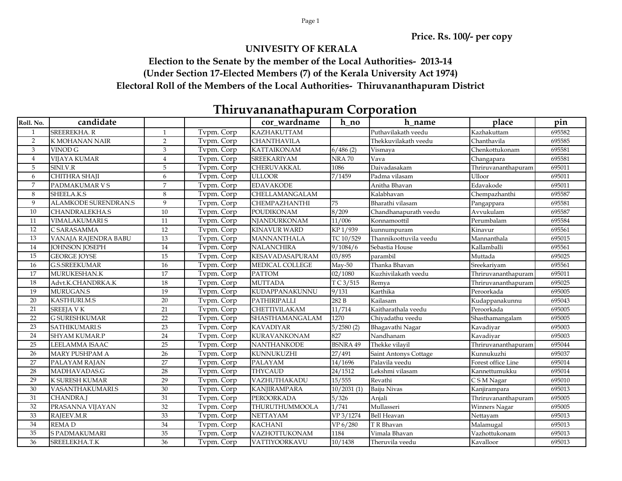# **UNIVESITY OF KERALA**

# **Election to the Senate by the member of the Local Authorities- 2013-14 (Under Section 17-Elected Members (7) of the Kerala University Act 1974) Electoral Roll of the Members of the Local Authorities- Thiruvananthapuram District**

| Roll. No.       | candidate             |                |            | cor wardname        | h no                         | h_name                 | place                | pin    |
|-----------------|-----------------------|----------------|------------|---------------------|------------------------------|------------------------|----------------------|--------|
| $\mathbf{1}$    | <b>SREEREKHA, R</b>   | $\mathbf{1}$   | Tvpm. Corp | KAZHAKUTTAM         |                              | Puthavilakath veedu    | Kazhakuttam          | 695582 |
| 2               | K MOHANAN NAIR        | 2              | Tvpm. Corp | <b>CHANTHAVILA</b>  |                              | Thekkuvilakath veedu   | Chanthavila          | 695585 |
| 3               | VINOD G               | 3              | Tvpm. Corp | <b>KATTAIKONAM</b>  | 6/486(2)                     | Vismaya                | Chenkottukonam       | 695581 |
| $\overline{4}$  | <b>VIJAYA KUMAR</b>   | $\overline{4}$ | Tvpm. Corp | <b>SREEKARIYAM</b>  | <b>NRA70</b>                 | Vava                   | Changapara           | 695581 |
| 5               | SINI.V.R              | 5              | Tvpm. Corp | <b>CHERUVAKKAL</b>  | 1086                         | Daivadasakam           | Thriruvananthapuram  | 695011 |
| 6               | CHITHRA SHAJI         | 6              | Tvpm. Corp | <b>ULLOOR</b>       | 7/1459                       | Padma vilasam          | Ulloor               | 695011 |
| $\overline{7}$  | <b>PADMAKUMAR VS</b>  | $\overline{7}$ | Tvpm. Corp | <b>EDAVAKODE</b>    |                              | Anitha Bhavan          | Edavakode            | 695011 |
| 8               | SHEELA.K.S            | 8              | Tvpm. Corp | CHELLAMANGALAM      |                              | Kalabhavan             | Chempazhanthi        | 695587 |
| 9               | ALAMKODE SURENDRAN.S  | 9              | Tvpm. Corp | CHEMPAZHANTHI       | 75                           | Bharathi vilasam       | Pangappara           | 695581 |
| 10              | <b>CHANDRALEKHA.S</b> | 10             | Tvpm. Corp | POUDIKONAM          | 8/209                        | Chandhanapurath veedu  | Avvukulam            | 695587 |
| 11              | VIMALAKUMARI S        | 11             | Tvpm. Corp | NJANDURKONAM        | 11/006                       | Konnamoottil           | Perumbalam           | 695584 |
| 12              | C SARASAMMA           | 12             | Tvpm. Corp | <b>KINAVUR WARD</b> | $\overline{\text{KP 1}/939}$ | kunnumpuram            | Kinavur              | 695561 |
| 13              | VANAJA RAJENDRA BABU  | 13             | Tvpm. Corp | MANNANTHALA         | TC 10/529                    | Thannikoottuvila veedu | Mannanthala          | 695015 |
| 14              | <b>JOHNSON JOSEPH</b> | 14             | Tvpm. Corp | <b>NALANCHIRA</b>   | 9/1084/6                     | Sebastia House         | Kallamballi          | 695561 |
| 15              | <b>GEORGE JOYSE</b>   | 15             | Tvpm. Corp | KESAVADASAPURAM     | 03/895                       | parambil               | Muttada              | 695025 |
| $\overline{16}$ | <b>G.S.SREEKUMAR</b>  | 16             | Tvpm. Corp | MEDICAL COLLEGE     | $May-50$                     | Thanka Bhavan          | Sreekariyam          | 695561 |
| 17              | MURUKESHAN.K          | 17             | Tvpm. Corp | <b>PATTOM</b>       | 02/1080                      | Kuzhivilakath veedu    | Thriruvananthapuram  | 695011 |
| 18              | Advt.K.CHANDRKA.K     | 18             | Tvpm. Corp | <b>MUTTADA</b>      | TC3/515                      | Remya                  | Thriruvananthapuram  | 695025 |
| 19              | MURUGAN.S             | 19             | Tvpm. Corp | KUDAPPANAKUNNU      | 9/131                        | Karthika               | Peroorkada           | 695005 |
| 20              | KASTHURI.M.S          | 20             | Tvpm. Corp | PATHIRIPALLI        | 282 B                        | Kailasam               | Kudappanakunnu       | 695043 |
| 21              | <b>SREEJA V K</b>     | 21             | Tvpm. Corp | CHETTIVILAKAM       | 11/714                       | Kaitharathala veedu    | Peroorkada           | 695005 |
| 22              | <b>G SURESHKUMAR</b>  | 22             | Tvpm. Corp | SHASTHAMANGALAM     | 1270                         | Chiyadathu veedu       | Shasthamangalam      | 695005 |
| 23              | SATHIKUMARI.S         | 23             | Tvpm. Corp | <b>KAVADIYAR</b>    | 5/2580(2)                    | Bhagavathi Nagar       | Kavadiyar            | 695003 |
| 24              | <b>SHYAM KUMAR.P</b>  | 24             | Tvpm. Corp | <b>KURAVANKONAM</b> | 827                          | Nandhanam              | Kavadivar            | 695003 |
| 25              | LEELAMMA ISAAC        | 25             | Tvpm. Corp | <b>NANTHANKODE</b>  | <b>BSNRA 49</b>              | Thekke vilayil         | Thriruvananthapuram  | 695044 |
| 26              | <b>MARY PUSHPAM A</b> | 26             | Tvpm. Corp | KUNNUKUZHI          | 27/491                       | Saint Antonys Cottage  | Kunnukuzhi           | 695037 |
| 27              | PALAYAM RAJAN         | 27             | Tvpm. Corp | PALAYAM             | 14/1696                      | Palavila veedu         | Forest office Line   | 695014 |
| 28              | MADHAVADAS.G          | 28             | Tvpm. Corp | <b>THYCAUD</b>      | 24/1512                      | Lekshmi vilasam        | Kannettumukku        | 695014 |
| 29              | <b>K SURESH KUMAR</b> | 29             | Tvpm. Corp | VAZHUTHAKADU        | 15/555                       | Revathi                | C S M Nagar          | 695010 |
| 30              | VASANTHAKUMARI.S      | 30             | Tvpm. Corp | <b>KANJIRAMPARA</b> | 10/2031(1)                   | Baiju Nivas            | Kanjirampara         | 695013 |
| 31              | <b>CHANDRA.J</b>      | 31             | Tvpm. Corp | PEROORKADA          | 5/326                        | Anjali                 | Thriruvananthapuram  | 695005 |
| 32              | PRASANNA VIJAYAN      | 32             | Tvpm. Corp | THURUTHUMMOOLA      | 1/741                        | Mullasseri             | <b>Winners Nagar</b> | 695005 |
| 33              | RAJEEV.M.R            | 33             | Tvpm. Corp | <b>NETTAYAM</b>     | VP 3/1274                    | <b>Bell Heavan</b>     | Nettayam             | 695013 |
| 34              | <b>REMAD</b>          | $34\,$         | Tvpm. Corp | <b>KACHANI</b>      | VP 6/280                     | T R Bhavan             | Malamugal            | 695013 |
| 35              | <b>S PADMAKUMARI</b>  | 35             | Tvpm. Corp | VAZHOTTUKONAM       | 1184                         | Vimala Bhavan          | Vazhottukonam        | 695013 |
| 36              | SREELEKHA.T.K         | 36             | Tvpm. Corp | VATTIYOORKAVU       | 10/1438                      | Theruvila veedu        | Kavalloor            | 695013 |

# **Thiruvananathapuram Corporation**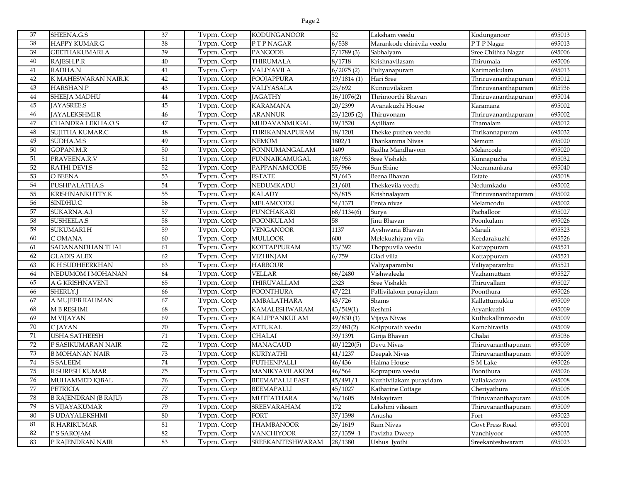| 37       | SHEENA.G.S                  | 37         | Tvpm. Corp | <b>KODUNGANOOR</b>      | 52            | Laksham veedu             | Kodunganoor         | 695013 |
|----------|-----------------------------|------------|------------|-------------------------|---------------|---------------------------|---------------------|--------|
| 38       | <b>HAPPY KUMAR.G</b>        | 38         | Tvpm. Corp | PTP NAGAR               | 6/538         | Marankode chinivila veedu | PTP Nagar           | 695013 |
| 39       | <b>GEETHAKUMARI.A</b>       | 39         | Tvpm. Corp | <b>PANGODE</b>          | 7/1789(3)     | Sabhalyam                 | Sree Chithra Nagar  | 695006 |
| $40\,$   | RAJESH.P.R                  | 40         | Tvpm. Corp | THIRUMALA               | 8/1718        | Krishnavilasam            | Thirumala           | 695006 |
| 41       | RADHA.N                     | 41         | Typm. Corp | VALIYAVILA              | 6/2075(2)     | Puliyanapuram             | Karimonkulam        | 695013 |
| 42       | K MAHESWARAN NAIR.K         | 42         | Typm. Corp | <b>POOJAPPURA</b>       | 19/1814(1)    | Hari Sree                 | Thriruvananthapuram | 695012 |
| 43       | HARSHAN.P                   | 43         | Tvpm. Corp | VALIYASALA              | 23/692        | Kunnuvilakom              | Thriruvananthapuram | 605936 |
| $\bf 44$ | <b>SHEEJA MADHU</b>         | $44\,$     | Tvpm. Corp | <b>JAGATHY</b>          | 16/1076(2)    | Thrimoorthi Bhavan        | Thriruvananthapuram | 695014 |
| $45\,$   | <b>JAYASREE.S</b>           | 45         | Tvpm. Corp | <b>KARAMANA</b>         | 20/2399       | Avanakuzhi House          | Karamana            | 695002 |
| 46       | <b>JAYALEKSHMLR</b>         | 46         | Tvpm. Corp | <b>ARANNUR</b>          | 23/1205(2)    | Thiruvonam                | Thriruvananthapuram | 695002 |
| 47       | CHANDRA LEKHA.O.S           | 47         | Typm. Corp | MUDAVANMUGAL            | 19/1520       | Ayilliam                  | Thamalam            | 695012 |
| 48       | SUJITHA KUMAR.C             | 48         | Tvpm. Corp | THRIKANNAPURAM          | 18/1201       | Thekke puthen veedu       | Thrikannapuram      | 695032 |
| 49       | SUDHA.M.S                   | 49         | Tvpm. Corp | <b>NEMOM</b>            | 1802/1        | Thankamma Nivas           | Nemom               | 695020 |
| 50       | GOPAN.M.R                   | 50         | Typm. Corp | PONNUMANGALAM           | 1409          | Radha Mandhavom           | Melancode           | 695020 |
| 51       | PRAVEENA.R.V                | 51         | Tvpm. Corp | PUNNAIKAMUGAL           | 18/953        | Sree Vishakh              | Kunnapuzha          | 695032 |
| 52       | <b>RATHI DEVI.S</b>         | 52         | Tvpm. Corp | PAPPANAMCODE            | 55/966        | Sun Shine                 | Neeramankara        | 695040 |
| 53       | O BEENA                     | 53         | Tvpm. Corp | <b>ESTATE</b>           | 51/643        | Beena Bhavan              | Estate              | 695018 |
| 54       | PUSHPALATHA.S               | 54         | Tvpm. Corp | NEDUMKADU               | 21/601        | Thekkevila veedu          | Nedumkadu           | 695002 |
| 55       | KRISHNANKUTTY.K             | 55         | Tvpm. Corp | <b>KALADY</b>           | 55/815        | Krishnalayam              | Thriruvananthapuram | 695002 |
| 56       | SINDHU.C                    | 56         | Tvpm. Corp | MELAMCODU               | 54/1371       | Penta nivas               | Melamcodu           | 695002 |
| 57       | SUKARNA.A.J                 | 57         | Tvpm. Corp | PUNCHAKARI              | 68/1134(6)    | Surya                     | Pachalloor          | 695027 |
| 58       | SUSHEELA.S                  | 58         | Tvpm. Corp | <b>POONKULAM</b>        | 58            | <b>Jinu Bhavan</b>        | Poonkulam           | 695026 |
| 59       | SUKUMARI.H                  | 59         | Typm. Corp | <b>VENGANOOR</b>        | 1137          | Ayshwaria Bhavan          | Manali              | 695523 |
| 60       | C OMANA                     | 60         | Tvpm. Corp | <b>MULLOOR</b>          | 600           | Melekuzhiyam vila         | Keedarakuzhi        | 695526 |
| 61       | SADANANDHAN THAI            | 61         | Tvpm. Corp | <b>KOTTAPPURAM</b>      | 13/392        | Thoppuvila veedu          | Kottappuram         | 695521 |
| 62       | <b>GLADIS ALEX</b>          | 62         | Tvpm. Corp | <b>VIZHINJAM</b>        | 6/759         | Glad villa                | Kottappuram         | 695521 |
| 63       | K H SUDHEERKHAN             | 63         | Tvpm. Corp | <b>HARBOUR</b>          |               | Valiyaparambu             | Valiyaparambu       | 695521 |
| 64       | NEDUMOM I MOHANAN           | 64         | Tvpm. Corp | <b>VELLAR</b>           | 66/2480       | Vishwaleela               | Vazhamuttam         | 695527 |
| 65       | A G KRISHNAVENI             | 65         | Tvpm. Corp | THIRUVALLAM             | 2323          | Sree Vishakh              | Thiruvallam         | 695027 |
| 66       | SHERLY.J                    | 66         | Tvpm. Corp | <b>POONTHURA</b>        | 47/221        | Pallivilakom purayidam    | Poonthura           | 695026 |
| 67       | A MUJEEB RAHMAN             | 67         | Tvpm. Corp | AMBALATHARA             | 43/726        | Shams                     | Kallattumukku       | 695009 |
| 68       | <b>M B RESHMI</b>           | 68         | Tvpm. Corp | <b>KAMALESHWARAM</b>    | 43/549(1)     | Reshmi                    | Arvankuzhi          | 695009 |
| 69       | M VIJAYAN                   | 69         | Tvpm. Corp | <b>KALIPPANKULAM</b>    | 49/830(1)     | Vijaya Nivas              | Kuthukallinmoodu    | 695009 |
| 70       | C JAYAN                     | 70         | Tvpm. Corp | <b>ATTUKAL</b>          | 22/481(2)     | Koippurath veedu          | Komchiravila        | 695009 |
| 71       | <b>USHA SATHEESH</b>        | $71\,$     | Tvpm. Corp | <b>CHALAI</b>           | 39/1391       | Girija Bhavan             | Chalai              | 695036 |
| 72       | P SASIKUMARAN NAIR          | 72         | Typm. Corp | <b>MANACAUD</b>         | 40/1220(5)    | Devu Nivas                | Thiruvananthapuram  | 695009 |
| 73       | <b>B MOHANAN NAIR</b>       | 73         | Tvpm. Corp | <b>KURIYATHI</b>        | 41/1237       | Deepak Nivas              | Thiruvananthapuram  | 695009 |
| 74       | <b>S SALEEM</b>             | $74\,$     | Tvpm. Corp | PUTHENPALLI             | 46/436        | Halma House               | S M Lake            | 695026 |
| 75       | R SURESH KUMAR              | 75         | Typm. Corp | MANIKYAVILAKOM          | 46/564        | Koprapura veedu           | Poonthura           | 695026 |
| $76\,$   | MUHAMMED IQBAL              | 76         | Typm. Corp | <b>BEEMAPALLI EAST</b>  | 45/491/1      | Kuzhivilakam purayidam    | Vallakadavu         | 695008 |
| 77       | <b>PETRICIA</b>             | 77         | Tvpm. Corp | <b>BEEMAPALLI</b>       | 45/1027       | Katharine Cottage         | Cheriyathura        | 695008 |
| 78       | <b>B RAJENDRAN (B RAJU)</b> | ${\bf 78}$ | Typm. Corp | MUTTATHARA              | 36/1605       | Makayiram                 | Thiruvananthapuram  | 695008 |
| 79       | S VIJAYAKUMAR               | 79         | Tvpm. Corp | SREEVARAHAM             | 172           | Lekshmi vilasam           | Thiruvananthapuram  | 695009 |
| 80       | <b>S UDAYALEKSHMI</b>       | 80         | Typm. Corp | <b>FORT</b>             | 37/1398       | Anusha                    | Fort                | 695023 |
| 81       | <b>R HARIKUMAR</b>          | 81         | Tvpm. Corp | <b>THAMBANOOR</b>       | 26/1619       | Ram Nivas                 | Govt Press Road     | 695001 |
| 82       | P S SAROJAM                 | 82         | Typm. Corp | <b>VANCHIYOOR</b>       | $27/1359 - 1$ | Pavizha Dweep             | Vanchiyoor          | 695035 |
| 83       | P RAJENDRAN NAIR            | 83         | Tvpm. Corp | <b>SREEKANTESHWARAM</b> | 28/1380       | Ushus Jyothi              | Sreekanteshwaram    | 695023 |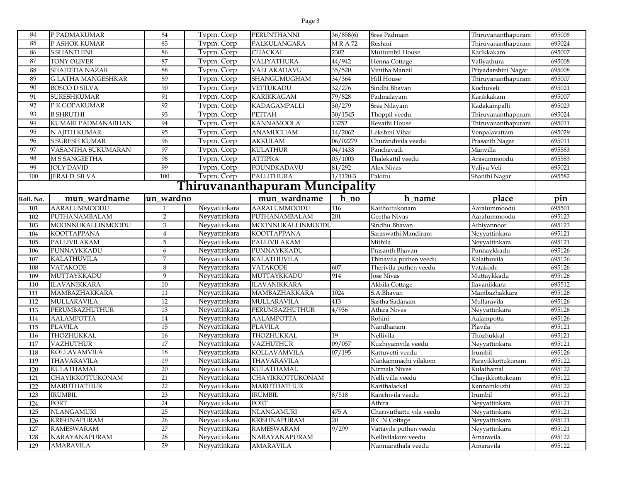| 84         | P PADMAKUMAR                 | 84              | Tvpm. Corp                     | PERUNTHANNI                         | 36/858(6)    | <b>Sree Padmam</b>       | Thiruvananthapuram    | 695008           |
|------------|------------------------------|-----------------|--------------------------------|-------------------------------------|--------------|--------------------------|-----------------------|------------------|
| 85         | P ASHOK KUMAR                | 85              | Tvpm. Corp                     | PALKULANGARA                        | <b>MRA72</b> | Reshmi                   | Thiruvananthapuram    | 695024           |
| 86         | <b>S SHANTHINI</b>           | 86              | Tvpm. Corp                     | CHACKAI                             | 2302         | Muttumbil House          | Karikkakam            | 695007           |
| 87         | TONY OLIVER                  | 87              | Typm. Corp                     | VALIYATHURA                         | 44/942       | Henna Cottage            | Valiyathura           | 695008           |
| 88         | <b>SHAJEEDA NAZAR</b>        | 88              | Typm. Corp                     | VALLAKADAVU                         | 35/520       | Vinitha Manzil           | Priyadarshini Nagar   | 695008           |
| 89         | <b>G LATHA MANGESHKAR</b>    | 89              | Typm. Corp                     | SHANGUMUGHAM                        | 34/364       | Hill House               | Thiruvananthapuram    | 695007           |
| 90         | <b>BOSCO D SILVA</b>         | 90              | Typm. Corp                     | VETTUKADU                           | 32/276       | Sindhi Bhavan            | Kochuveli             | 695021           |
| 91         | <b>SURESHKUMAR</b>           | 91              | Tvpm. Corp                     | <b>KARIKKAGAM</b>                   | 79/828       | Padmalayam               | Karikkakam            | 695007           |
| 92         | P K GOPAKUMAR                | 92              | Tvpm. Corp                     | <b>KADAGAMPALLI</b>                 | 30/279       | Sree Nilavam             | Kadakampalli          | 695023           |
| 93         | <b>B SHRUTHI</b>             | 93              | Tvpm. Corp                     | <b>PETTAH</b>                       | 30/1545      | Thoppil veedu            | Thiruvananthapuram    | 695024           |
| 94         | KUMARI PADMANABHAN           | 94              | Tvpm. Corp                     | <b>KANNAMOOLA</b>                   | 13252        | Revathi House            | Thiruvananthapuram    | 695011           |
| 95         | N AJITH KUMAR                | 95              | Typm. Corp                     | <b>ANAMUGHAM</b>                    | 14/2062      | Lekshmi Vihar            | Venpalavattam         | 695029           |
| 96         | <b>S SURESH KUMAR</b>        | 96              | Typm. Corp                     | <b>AKKULAM</b>                      | 06/02279     | Churandivila veedu       | Prasanth Nagar        | 695011           |
| 97         | VASANTHA SUKUMARAN           | 97              | Tvpm. Corp                     | <b>KULATHUR</b>                     | 04/1433      | Panchavadi               | Manvilla              | 695583           |
| 98         | <b>M S SANGEETHA</b>         | 98              | Tvpm. Corp                     | <b>ATTIPRA</b>                      | 03/1003      | Thalekattil veedu        | Arasummoodu           | 695583           |
| 99         | <b>JOLY DAVID</b>            | 99              | Tvpm. Corp                     | POUNDKADAVU                         | 81/292       | Alex Nivas               | Valiya Veli           | 695021           |
| 100        | <b>JERALD SILVA</b>          | 100             | Tvpm. Corp                     | <b>PALLITHURA</b>                   | $1/1120-3$   | Pakittu                  | Shanthi Nagar         | 695582           |
|            |                              |                 |                                | Thiruvananthapuram Muncipality      |              |                          |                       |                  |
|            |                              |                 |                                |                                     |              |                          |                       |                  |
| Roll. No.  | mun_wardname                 | un_wardno       |                                | mun_wardname                        | h no         | h_name                   | place                 | pin              |
| 101        | <b>AARALUMMOODU</b>          |                 | Neyyattinkara                  | AARALUMMOODU                        | 116          | Kaithottukonam           | Aaralummoodu          | 695501           |
| 102        | PUTHANAMBALAM                | $\overline{2}$  | Neyyattinkara                  | PUTHANAMBALAM                       | 201          | Geetha Nivas             | Aaralummoodu          | 695123           |
| 103        | MOONNUKALLINMOODU            | 3               | Neyyattinkara                  | MOONNUKALLINMOODU                   |              | Sindhu Bhavan            | Athiyannoor           | 695123           |
| 104        | KOOTTAPPANA                  | $\bf{4}$        | Neyyattinkara                  | <b>KOOTTAPPANA</b>                  |              | Saraswathi Mandiram      | Neyyattinkara         | 695121           |
| 105        | PALLIVILAKAM                 | 5               | Neyyattinkara                  | PALLIVILAKAM                        |              | Mithila                  | Neyyattinkara         | 695121           |
| 106        | PUNNAYKKADU                  | 6               | Neyyattinkara                  | PUNNAYKKADU                         |              | Prasanth Bhavan          | Punnaykkadu           | 695126           |
| 107        | <b>KALATHUVILA</b>           | $\overline{7}$  | Neyyattinkara                  | <b>KALATHUVILA</b>                  |              | Thinavila puthen veedu   | Kalathuvila           | 695126           |
| 108        | <b>VATAKODE</b>              | 8               | Neyyattinkara                  | VATAKODE                            | 607          | Therivila puthen veedu   | Vatakode              | 695126           |
| 109        | MUTTAYKKADU                  | 9               | Neyyattinkara                  | MUTTAYKKADU                         | 914          | <b>Jose Nivas</b>        | Muttaykkadu           | 695126           |
| 110        | <b>ILAVANIKKARA</b>          | 10              | Neyyattinkara                  | <b>ILAVANIKKARA</b>                 |              | Akhila Cottage           | Ilavanikkara          | 695512           |
| 111        | MAMBAZHAKKARA                | 11              | Neyyattinkara                  | MAMBAZHAKKARA                       | 1024<br>413  | S.A.Bhavan               | Mambazhakkara         | 695126<br>695126 |
| 112        | MULLARAVILA                  | 12              | Neyyattinkara                  | MULLARAVILA                         |              | Sastha Sadanam           | Mullaravila           |                  |
| 113        | PERUMBAZHUTHUR               | 13              | Neyyattinkara<br>Neyyattinkara | PERUMBAZHUTHUR                      | 4/936        | Athira Nivas<br>Rohini   | Neyyattinkara         | 695126           |
| 114        | AALAMPOTTA<br><b>PLAVILA</b> | 14<br>15        | Neyyattinkara                  | <b>AALAMPOTTA</b><br><b>PLAVILA</b> |              | Nandhanam                | Aalampotta<br>Plavila | 695126<br>695121 |
| 115<br>116 | THOZHUKKAL                   | 16              | Neyyattinkara                  | THOZHUKKAL                          | 19           | Nellivila                | Thozhukkal            | 695121           |
| 117        | <b>VAZHUTHUR</b>             | 17              | Neyyattinkara                  | <b>VAZHUTHUR</b>                    | 09/057       | Kuzhiyamvila veedu       | Neyyattinkara         | 695121           |
| 118        | <b>KOLLAVAMVILA</b>          | 18              | Neyyattinkara                  | <b>KOLLAVAMVILA</b>                 | 07/195       | Kattuvetti veedu         | Irumbil               | 695126           |
| 119        | THAVARAVILA                  | 19              | Neyyattinkara                  | THAVARAVILA                         |              | Nankammachi vilakom      | Parayikkottukonam     | 695122           |
| 120        | <b>KULATHAMAL</b>            | 20              | Neyyattinkara                  | <b>KULATHAMAL</b>                   |              | Nirmala Nivas            | Kulathamal            | 695122           |
| 121        | CHAYIKKOTTUKONAM             | $\overline{21}$ | Neyyattinkara                  | CHAYIKKOTTUKONAM                    |              | Nelli villa veedu        | Chayikkottukoam       | 695122           |
| 122        | <b>MARUTHATHUR</b>           | 22              | Neyyattinkara                  | <b>MARUTHATHUR</b>                  |              | Karithalackal            | Kannamkuzhi           | 695122           |
| 123        | <b>IRUMBIL</b>               | 23              | Neyyattinkara                  | <b>IRUMBIL</b>                      | 8/518        | Kanchivila veedu         | Irumbil               | 695121           |
| 124        | <b>FORT</b>                  | $24\,$          | Neyyattinkara                  | FORT                                |              | Athira                   | Nevyattinkara         | 695121           |
| 125        | <b>NLANGAMURI</b>            | $\overline{25}$ | Neyyattinkara                  | <b>NLANGAMURI</b>                   | 475 A        | Charivuthattu vila veedu | Neyyattinkara         | 695121           |
| 126        | KRISHNAPURAM                 | 26              | Neyyattinkara                  | <b>KRISHNAPURAM</b>                 | 20           | <b>B C N Cottage</b>     | Neyyattinkara         | 695121           |
| 127        | <b>RAMESWARAM</b>            | $\overline{27}$ | Neyyattinkara                  | <b>RAMESWARAM</b>                   | 9/299        | Vattavila puthen veedu   | Neyyattinkara         | 695121           |
| 128        | NARAYANAPURAM                | $28\,$          | Neyyattinkara                  | NARAYANAPURAM                       |              | Nellivilakom veedu       | Amaravila             | 695122           |
| 129        | AMARAVILA                    | 29              | Neyyattinkara                  | <b>AMARAVILA</b>                    |              | Nanniarathala veedu      | Amaravila             | 695122           |
|            |                              |                 |                                |                                     |              |                          |                       |                  |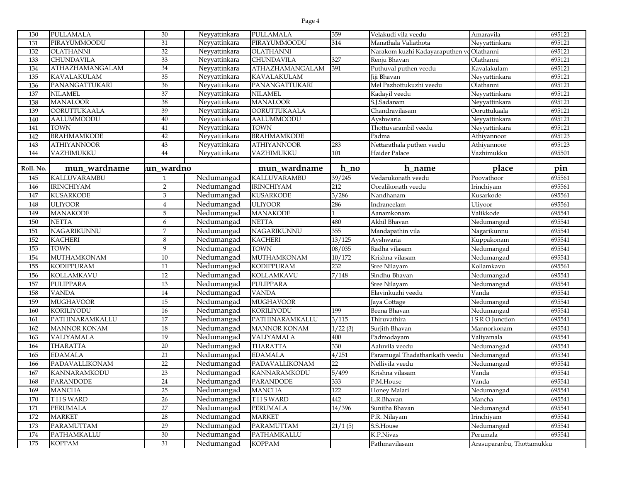|--|--|

| 130       | PULLAMALA           | 30              | Neyyattinkara | PULLAMALA           | 359                  | Velakudi vila veedu                       | Amaravila                       | 695121 |
|-----------|---------------------|-----------------|---------------|---------------------|----------------------|-------------------------------------------|---------------------------------|--------|
| 131       | PIRAYUMMOODU        | 31              | Neyyattinkara | PIRAYUMMOODU        | 314                  | Manathala Valiathota                      | Neyyattinkara                   | 695121 |
| 132       | <b>OLATHANNI</b>    | 32              | Neyyattinkara | <b>OLATHANNI</b>    |                      | Narakom kuzhi Kadayaraputhen ve Olathanni |                                 | 695121 |
| 133       | <b>CHUNDAVILA</b>   | $\overline{33}$ | Neyyattinkara | <b>CHUNDAVILA</b>   | 327                  | Renju Bhavan                              | Olathanni                       | 695121 |
| 134       | ATHAZHAMANGALAM     | 34              | Neyyattinkara | ATHAZHAMANGALAM     | 391                  | Puthuval puthen veedu                     | Kavalakulam                     | 695121 |
| 135       | KAVALAKULAM         | 35              | Neyyattinkara | <b>KAVALAKULAM</b>  |                      | Jiji Bhavan                               | Neyyattinkara                   | 695121 |
| 136       | PANANGATTUKARI      | 36              | Neyyattinkara | PANANGATTUKARI      |                      | Mel Pazhottukuzhi veedu                   | Olathanni                       | 695121 |
| 137       | <b>NILAMEL</b>      | 37              | Neyyattinkara | <b>NILAMEL</b>      |                      | Kadayil veedu                             | Neyyattinkara                   | 695121 |
| 138       | <b>MANALOOR</b>     | 38              | Neyyattinkara | <b>MANALOOR</b>     |                      | S.J.Sadanam                               | Neyyattinkara                   | 695121 |
| 139       | OORUTTUKAALA        | 39              | Neyyattinkara | OORUTTUKAALA        |                      | Chandravilasam                            | Ooruttukaala                    | 695121 |
| 140       | AALUMMOODU          | 40              | Neyyattinkara | <b>AALUMMOODU</b>   |                      | Ayshwaria                                 | Neyyattinkara                   | 695121 |
| 141       | <b>TOWN</b>         | 41              | Neyyattinkara | <b>TOWN</b>         |                      | Thottuvarambil veedu                      | Neyyattinkara                   | 695121 |
| 142       | <b>BRAHMAMKODE</b>  | 42              | Neyyattinkara | <b>BRAHMAMKODE</b>  |                      | Padma                                     | Athivannoor                     | 695123 |
| 143       | <b>ATHIYANNOOR</b>  | 43              | Neyyattinkara | <b>ATHIYANNOOR</b>  | 283                  | Nettarathala puthen veedu                 | Athivannoor                     | 695123 |
| 144       | VAZHIMUKKU          | 44              | Neyyattinkara | VAZHIMUKKU          | 101                  | Haider Palace                             | Vazhimukku                      | 695501 |
|           |                     |                 |               |                     |                      |                                           |                                 |        |
| Roll. No. | mun_wardname        | un_wardno       |               | mun_wardname        | $h_{n}$              | h name                                    | place                           | pin    |
| 145       | KALLUVARAMBU        | $\mathbf{1}$    | Nedumangad    | KALLUVARAMBU        | 39/245               | Vedarukonath veedu                        | Poovathoor                      | 695561 |
| 146       | <b>IRINCHIYAM</b>   | 2               | Nedumangad    | <b>IRINCHIYAM</b>   | 212                  | Ooralikonath veedu                        | Irinchiyam                      | 695561 |
| 147       | <b>KUSARKODE</b>    | 3               | Nedumangad    | <b>KUSARKODE</b>    | 3/286                | Nandhanam                                 | Kusarkode                       | 695561 |
| 148       | <b>ULIYOOR</b>      | $\overline{4}$  | Nedumangad    | <b>ULIYOOR</b>      | 286                  | Indraneelam                               | Uliyoor                         | 695561 |
| 149       | <b>MANAKODE</b>     | 5               | Nedumangad    | <b>MANAKODE</b>     |                      | Aanamkonam                                | Valikkode                       | 695541 |
| 150       | <b>NETTA</b>        | 6               | Nedumangad    | <b>NETTA</b>        | 480                  | Akhil Bhavan                              | Nedumangad                      | 695541 |
| 151       | NAGARIKUNNU         | $\overline{7}$  | Nedumangad    | NAGARIKUNNU         | 355                  | Mandapathin vila                          | Nagarikunnu                     | 695541 |
| 152       | <b>KACHERI</b>      | 8               | Nedumangad    | <b>KACHERI</b>      | 13/125               | Ayshwaria                                 | Kuppakonam                      | 695541 |
| 153       | <b>TOWN</b>         | 9               | Nedumangad    | <b>TOWN</b>         | 08/035               | Radha vilasam                             | Nedumangad                      | 695541 |
| 154       | MUTHAMKONAM         | 10              | Nedumangad    | MUTHAMKONAM         | 10/172               | Krishna vilasam                           | Nedumangad                      | 695541 |
| 155       | <b>KODIPPURAM</b>   | 11              | Nedumangad    | <b>KODIPPURAM</b>   | 232                  | Sree Nilayam                              | Kollamkavu                      | 695561 |
|           |                     | 12              | Nedumangad    | <b>KOLLAMKAVU</b>   |                      | Sindhu Bhavan                             |                                 | 695541 |
| 156       | KOLLAMKAVU          |                 |               |                     | 7/148                |                                           | Nedumangad                      |        |
| 157       | PULIPPARA           | 13              | Nedumangad    | PULIPPARA           |                      | Sree Nilayam                              | Nedumangad                      | 695541 |
| 158       | <b>VANDA</b>        | 14              | Nedumangad    | <b>VANDA</b>        |                      | Elavinkuzhi veedu                         | Vanda                           | 695541 |
| 159       | <b>MUGHAVOOR</b>    | 15              | Nedumangad    | <b>MUGHAVOOR</b>    |                      | Jaya Cottage                              | Nedumangad                      | 695541 |
| 160       | KORILIYODU          | 16              | Nedumangad    | <b>KORILIYODU</b>   | 199                  | Beena Bhavan                              | $\overline{\text{N}}$ edumangad | 695541 |
| 161       | PATHINARAMKALLU     | 17              | Nedumangad    | PATHINARAMKALLU     | 3/115                | Thiruvathira                              | I S R O Junction                | 695541 |
| 162       | <b>MANNOR KONAM</b> | 18              | Nedumangad    | <b>MANNOR KONAM</b> | 1/22(3)              | Surjith Bhavan                            | Mannorkonam                     | 695541 |
| 163       | VALIYAMALA          | 19              | Nedumangad    | VALIYAMALA          | 400                  | Padmodayam                                | Valiyamala                      | 695541 |
| 164       | <b>THARATTA</b>     | 20              | Nedumangad    | <b>THARATTA</b>     | 330                  | Aaluvila veedu                            | Nedumangad                      | 695541 |
| 165       | <b>EDAMALA</b>      | 21              | Nedumangad    | <b>EDAMALA</b>      | 4/251                | Paramugal Thadatharikath veedu            | Nedumangad                      | 695341 |
| 166       | PADAVALLIKONAM      | 22              | Nedumangad    | PADAVALLIKONAM      | 22                   | Nellivila veedu                           | Nedumangad                      | 695541 |
| 167       | <b>KANNARAMKODU</b> | 23              | Nedumangad    | <b>KANNARAMKODU</b> | 5/499                | Krishna vilasam                           | Vanda                           | 695541 |
| 168       | <b>PARANDODE</b>    | $24\,$          | Nedumangad    | <b>PARANDODE</b>    | 333                  | P.M.House                                 | Vanda                           | 695541 |
| 169       | MANCHA              | 25              | Nedumangad    | <b>MANCHA</b>       | 122                  | Honey Malari                              | Nedumangad                      | 695541 |
| 170       | THSWARD             | 26              | Nedumangad    | <b>THSWARD</b>      | 442                  | L.R.Bhavan                                | Mancha                          | 695541 |
| 171       | <b>PERUMALA</b>     | $27\,$          | Nedumangad    | <b>PERUMALA</b>     | 14/396               | Sunitha Bhavan                            | Nedumangad                      | 695541 |
| 172       | <b>MARKET</b>       | 28              | Nedumangad    | <b>MARKET</b>       |                      | P.R. Nilayam                              | Irinchiyam                      | 695541 |
| 173       | PARAMUTTAM          | 29              | Nedumangad    | PARAMUTTAM          | $\overline{21}/1(5)$ | S.S.House                                 | Nedumangad                      | 695541 |
| 174       | PATHAMKALLU         | $30\,$          | Nedumangad    | PATHAMKALLU         |                      | K.P.Nivas                                 | Perumala                        | 695541 |
| 175       | <b>KOPPAM</b>       | 31              | Nedumangad    | <b>KOPPAM</b>       |                      | Pathmavilasam                             | Arasuparanbu, Thottamukku       |        |
|           |                     |                 |               |                     |                      |                                           |                                 |        |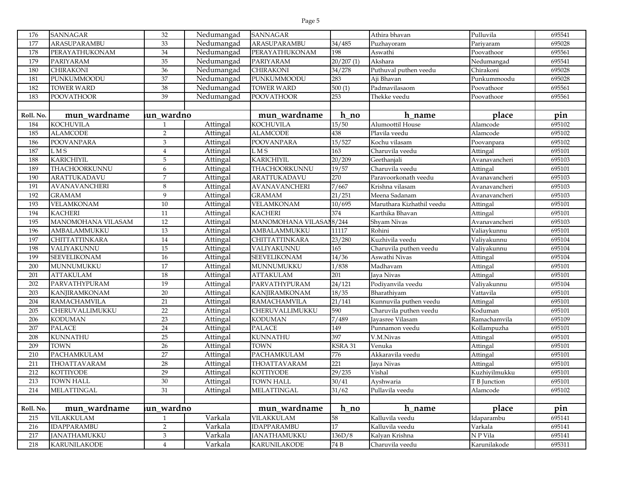| 176       | <b>SANNAGAR</b>     | 32             | Nedumangad                      | SANNAGAR                 |                   | Athira bhavan             | Pulluvila     | 695541 |
|-----------|---------------------|----------------|---------------------------------|--------------------------|-------------------|---------------------------|---------------|--------|
| 177       | ARASUPARAMBU        | 33             | $\overline{\text{N}}$ edumangad | ARASUPARAMBU             | 34/485            | Puzhavoram                | Pariyaram     | 695028 |
| 178       | PERAYATHUKONAM      | 34             | Nedumangad                      | PERAYATHUKONAM           | 198               | Aswathi                   | Poovathoor    | 695561 |
| 179       | PARIYARAM           | 35             | Nedumangad                      | PARIYARAM                | 20/207(1)         | Akshara                   | Nedumangad    | 695541 |
| 180       | <b>CHIRAKONI</b>    | 36             | Nedumangad                      | <b>CHIRAKONI</b>         | 34/278            | Puthuval puthen veedu     | Chirakoni     | 695028 |
| 181       | PUNKUMMOODU         | 37             | Nedumangad                      | PUNKUMMOODU              | 283               | Aji Bhavan                | Punkummoodu   | 695028 |
| 182       | <b>TOWER WARD</b>   | 38             | $\overline{\text{N}}$ edumangad | <b>TOWER WARD</b>        | 500(1)            | Padmavilasaom             | Poovathoor    | 695561 |
| 183       | <b>POOVATHOOR</b>   | 39             | Nedumangad                      | <b>POOVATHOOR</b>        | 253               | Thekke veedu              | Poovathoor    | 695561 |
|           |                     |                |                                 |                          |                   |                           |               |        |
| Roll. No. | mun wardname        | un_wardno      |                                 | mun wardname             | h no              | h_name                    | place         | pin    |
| 184       | <b>KOCHUVILA</b>    | $\mathbf{1}$   | Attingal                        | <b>KOCHUVILA</b>         | 15/50             | Alumoottil House          | Alamcode      | 695102 |
| 185       | <b>ALAMCODE</b>     | 2              | Attingal                        | <b>ALAMCODE</b>          | 438               | Plavila veedu             | Alamcode      | 695102 |
| 186       | POOVANPARA          | 3              | Attingal                        | POOVANPARA               | 15/527            | Kochu vilasam             | Poovanpara    | 695102 |
| 187       | LMS                 | $\overline{4}$ | Attingal                        | L M S                    | 163               | Charuvila veedu           | Attingal      | 695101 |
| 188       | KARICHIYIL          | 5              | Attingal                        | <b>KARICHIYIL</b>        | 20/209            | Geethanjali               | Avanavancheri | 695103 |
| 189       | THACHOORKUNNU       | 6              | Attingal                        | THACHOORKUNNU            | 19/57             | Charuvila veedu           | Attingal      | 695101 |
| 190       | ARATTUKADAVU        | $\overline{7}$ | Attingal                        | ARATTUKADAVU             | 270               | Paravoorkonath veedu      | Avanavancheri | 695103 |
| 191       | AVANAVANCHERI       | 8              | Attingal                        | <b>AVANAVANCHERI</b>     | 7/667             | Krishna vilasam           | Avanavancheri | 695103 |
| 192       | <b>GRAMAM</b>       | 9              | Attingal                        | <b>GRAMAM</b>            | 21/251            | Meena Sadanam             | Avanavancheri | 695103 |
| 193       | VELAMKONAM          | 10             | Attingal                        | VELAMKONAM               | 10/695            | Maruthara Kizhathil veedu | Attingal      | 695101 |
| 194       | <b>KACHERI</b>      | 11             | Attingal                        | <b>KACHERI</b>           | 374               | Karthika Bhavan           | Attingal      | 695101 |
| 195       | MANOMOHANA VILASAM  | 12             | Attingal                        | MANOMOHANA VILASAI 8/244 |                   | Shyam Nivas               | Avanavancheri | 695103 |
| 196       | AMBALAMMUKKU        | 13             | Attingal                        | AMBALAMMUKKU             | 11117             | Rohini                    | Valiaykunnu   | 695101 |
| 197       | CHITTATTINKARA      | 14             | Attingal                        | <b>CHITTATTINKARA</b>    | 23/280            | Kuzhivila veedu           | Valivakunnu   | 695104 |
| 198       | VALIYAKUNNU         | $15\,$         | Attingal                        | VALIYAKUNNU              | 165               | Charuvila puthen veedu    | Valiyakunnu   | 695104 |
| 199       | SEEVELIKONAM        | 16             | Attingal                        | <b>SEEVELIKONAM</b>      | 14/36             | Aswathi Nivas             | Attingal      | 695104 |
| 200       | MUNNUMUKKU          | 17             | Attingal                        | MUNNUMUKKU               | 1/838             | Madhavam                  | Attingal      | 695101 |
| 201       | <b>ATTAKULAM</b>    | 18             | Attingal                        | <b>ATTAKULAM</b>         | 201               | Jaya Nivas                | Attingal      | 695101 |
| 202       | PARVATHYPURAM       | 19             | Attingal                        | PARVATHYPURAM            | 24/121            | Podiyanvila veedu         | Valivakunnu   | 695104 |
| 203       | KANJIRAMKONAM       | 20             | Attingal                        | KANJIRAMKONAM            | 18/35             | Bharathiyam               | Vattavila     | 695101 |
| 204       | <b>RAMACHAMVILA</b> | 21             | Attingal                        | <b>RAMACHAMVILA</b>      | 21/141            | Kunnuvila puthen veedu    | Attingal      | 695101 |
| 205       | CHERUVALLIMUKKU     | 22             | Attingal                        | CHERUVALLIMUKKU          | 590               | Charuvila puthen veedu    | Koduman       | 695101 |
| 206       | <b>KODUMAN</b>      | 23             | Attingal                        | <b>KODUMAN</b>           | 7/489             | Jayasree Vilasam          | Ramachamvila  | 695109 |
| 207       | <b>PALACE</b>       | 24             | Attingal                        | <b>PALACE</b>            | 149               | Punnamon veedu            | Kollampuzha   | 695101 |
| 208       | <b>KUNNATHU</b>     | 25             | Attingal                        | <b>KUNNATHU</b>          | 397               | V.M.Nivas                 | Attingal      | 695101 |
| 209       | TOWN                | 26             | Attingal                        | <b>TOWN</b>              | KSRA 31           | Venuka                    | Attingal      | 695101 |
| 210       | PACHAMKULAM         | 27             | Attingal                        | PACHAMKULAM              | 776               | Akkaravila veedu          | Attingal      | 695101 |
| 211       | THOATTAVARAM        | 28             | Attingal                        | THOATTAVARAM             | 221               | Jaya Nivas                | Attingal      | 695101 |
| 212       | <b>KOTTIYODE</b>    | 29             | Attingal                        | <b>KOTTIYODE</b>         | 29/235            | Vishal                    | Kuzhiyilmukku | 695101 |
| 213       | <b>TOWN HALL</b>    | $30\,$         | Attingal                        | <b>TOWN HALL</b>         | 30/41             | Ayshwaria                 | T B Junction  | 695101 |
| 214       | <b>MELATTINGAL</b>  | 31             | Attingal                        | MELATTINGAL              | 31/62             | Pullavila veedu           | Alamcode      | 695102 |
|           |                     |                |                                 |                          |                   |                           |               |        |
| Roll. No. | mun_wardname        | un_wardno      |                                 | mun wardname             | $h$ <sub>no</sub> | h_name                    | place         | pin    |
| 215       | <b>VILAKKULAM</b>   | $\mathbf{1}$   | Varkala                         | <b>VILAKKULAM</b>        | 58                | Kalluvila veedu           | Idaparambu    | 695141 |
| 216       | <b>IDAPPARAMBU</b>  | $\overline{2}$ | Varkala                         | <b>IDAPPARAMBU</b>       | $\overline{17}$   | Kalluvila veedu           | Varkala       | 695141 |
| 217       | <b>JANATHAMUKKU</b> | $\mathfrak{Z}$ | Varkala                         | <b>JANATHAMUKKU</b>      | 136D/8            | Kalyan Krishna            | N P Vila      | 695141 |
| 218       | KARUNILAKODE        | $\overline{4}$ | Varkala                         | <b>KARUNILAKODE</b>      | 74 B              | Charuvila veedu           | Karunilakode  | 695311 |
|           |                     |                |                                 |                          |                   |                           |               |        |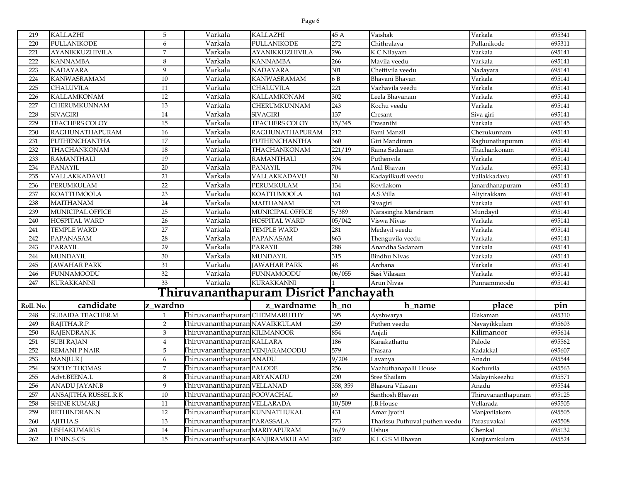| 219       | <b>KALLAZHI</b>        | 5              | Varkala                          | <b>KALLAZHI</b>                       | 45A                 | Vaishak                        | Varkala            | 695341 |
|-----------|------------------------|----------------|----------------------------------|---------------------------------------|---------------------|--------------------------------|--------------------|--------|
| 220       | PULLANIKODE            | 6              | Varkala                          | PULLANIKODE                           | 272                 | Chithralava                    | Pullanikode        | 695311 |
| 221       | AYANIKKUZHIVILA        | $\overline{7}$ | Varkala                          | AYANIKKUZHIVILA                       | 296                 | K.C.Nilayam                    | Varkala            | 695141 |
| 222       | <b>KANNAMBA</b>        | 8              | Varkala                          | <b>KANNAMBA</b>                       | 266                 | Mavila veedu                   | Varkala            | 695141 |
| 223       | <b>NADAYARA</b>        | 9              | Varkala                          | NADAYARA                              | 301                 | Chettivila veedu               | Nadayara           | 695141 |
| 224       | <b>KANWASRAMAM</b>     | 10             | Varkala                          | <b>KANWASRAMAM</b>                    | 6B                  | Bhavani Bhavan                 | Varkala            | 695141 |
| 225       | <b>CHALUVILA</b>       | 11             | Varkala                          | <b>CHALUVILA</b>                      | 221                 | Vazhavila veedu                | Varkala            | 695141 |
| 226       | <b>KALLAMKONAM</b>     | 12             | Varkala                          | KALLAMKONAM                           | 302                 | Leela Bhavanam                 | Varkala            | 695141 |
| 227       | CHERUMKUNNAM           | 13             | Varkala                          | CHERUMKUNNAM                          | 243                 | Kochu veedu                    | Varkala            | 695141 |
| 228       | <b>SIVAGIRI</b>        | 14             | Varkala                          | <b>SIVAGIRI</b>                       | 137                 | Cresant                        | Siva giri          | 695141 |
| 229       | TEACHERS COLOY         | 15             | Varkala                          | <b>TEACHERS COLOY</b>                 | 15/345              | Prasanthi                      | Varkala            | 695145 |
| 230       | <b>RAGHUNATHAPURAM</b> | 16             | Varkala                          | <b>RAGHUNATHAPURAM</b>                | 212                 | Fami Manzil                    | Cherukunnam        | 695141 |
| 231       | PUTHENCHANTHA          | 17             | Varkala                          | PUTHENCHANTHA                         | 360                 | Giri Mandiram                  | Raghunathapuram    | 695141 |
| 232       | THACHANKONAM           | 18             | Varkala                          | THACHANKONAM                          | 221/19              | Rama Sadanam                   | Thachankonam       | 695141 |
| 233       | <b>RAMANTHALI</b>      | 19             | Varkala                          | <b>RAMANTHALI</b>                     | 394                 | Puthenvila                     | Varkala            | 695141 |
| 234       | <b>PANAYIL</b>         | 20             | Varkala                          | <b>PANAYIL</b>                        | 704                 | Anil Bhavan                    | Varkala            | 695141 |
| 235       | VALLAKKADAVU           | 21             | Varkala                          | VALLAKKADAVU                          | 30                  | Kadayilkudi veedu              | Vallakkadavu       | 695141 |
| 236       | PERUMKULAM             | 22             | Varkala                          | PERUMKULAM                            | 134                 | Kovilakom                      | Janardhanapuram    | 695141 |
| 237       | <b>KOATTUMOOLA</b>     | 23             | Varkala                          | <b>KOATTUMOOLA</b>                    | 161                 | A.S.Villa                      | Aliyirakkam        | 695141 |
| 238       | <b>MAITHANAM</b>       | 24             | Varkala                          | <b>MAITHANAM</b>                      | 321                 | Sivagiri                       | Varkala            | 695141 |
| 239       | MUNICIPAL OFFICE       | 25             | Varkala                          | <b>MUNICIPAL OFFICE</b>               | 5/389               | Narasingha Mandriam            | Mundavil           | 695141 |
| 240       | <b>HOSPITAL WARD</b>   | 26             | Varkala                          | HOSPITAL WARD                         | 05/042              | Viswa Nivas                    | Varkala            | 695141 |
| 241       | <b>TEMPLE WARD</b>     | 27             | Varkala                          | <b>TEMPLE WARD</b>                    | 281                 | Medayil veedu                  | Varkala            | 695141 |
| 242       | PAPANASAM              | 28             | Varkala                          | PAPANASAM                             | 863                 | Thenguvila veedu               | Varkala            | 695141 |
| 243       | PARAYIL                | 29             | Varkala                          | PARAYIL                               | 288                 | Anandha Sadanam                | Varkala            | 695141 |
| 244       | <b>MUNDAYIL</b>        | 30             | Varkala                          | <b>MUNDAYIL</b>                       | 315                 | <b>Bindhu Nivas</b>            | Varkala            | 695141 |
| 245       | <b>JAWAHAR PARK</b>    | 31             | Varkala                          | <b>JAWAHAR PARK</b>                   | 48                  | Archana                        | Varkala            | 695141 |
| 246       | PUNNAMOODU             | 32             | Varkala                          | PUNNAMOODU                            | 06/055              | Sasi Vilasam                   | Varkala            | 695141 |
| 247       | KURAKKANNI             | 33             | Varkala                          | <b>KURAKKANNI</b>                     |                     | Arun Nivas                     | Punnammoodu        | 695141 |
|           |                        |                |                                  | Thiruvananthapuram Disrict Panchayath |                     |                                |                    |        |
|           |                        |                |                                  |                                       |                     |                                |                    |        |
| Roll. No. | candidate              | z wardno       |                                  | z_wardname                            | h no                | h_name                         | place              | pin    |
| 248       | SUBAIDA TEACHER.M      | 1              | Thiruvananthapuran CHEMMARUTHY   |                                       | 395                 | Ayshwarya                      | Elakaman           | 695310 |
| 249       | RAJITHA.R.P            | $\overline{2}$ | hiruvananthapuran NAVAIKKULAM    |                                       | 259                 | Puthen veedu                   | Navayikkulam       | 695603 |
| 250       | RAJENDRAN.K            | 3              | Thiruvananthapuran KILIMANOOR    |                                       | 854                 | Anjali                         | Kilimanoor         | 695614 |
| 251       | <b>SUBI RAJAN</b>      | $\overline{4}$ | Thiruvananthapuran KALLARA       |                                       | 186                 | Kanakathattu                   | Palode             | 695562 |
| 252       | <b>REMANI P NAIR</b>   | 5              | Thiruvananthapuran VENJARAMOODU  |                                       | 579                 | Prasara                        | Kadakkal           | 695607 |
| 253       | MANJU.R.J              | 6              | Thiruvananthapuran ANADU         |                                       | 9/204               | Lavanya                        | Anadu              | 695544 |
| 254       | SOPHY THOMAS           | $\overline{7}$ | Thiruvananthapuran PALODE        |                                       | 256                 | Vazhuthanapalli House          | Kochuvila          | 695563 |
| 255       | Advt.BEENA.L           | 8              | Thiruvananthapuran ARYANADU      |                                       | 290                 | Sree Shailam                   | Malavinkeezhu      | 695571 |
| 256       | ANADU JAYAN.B          | 9              | Thiruvananthapuran VELLANAD      |                                       | 358, 359            | Bhasura Vilasam                | Anadu              | 695544 |
| 257       | ANSAJITHA RUSSEL.R.K   | 10             | Thiruvananthapuran POOVACHAL     |                                       | 69                  | Santhosh Bhavan                | Thiruvananthapuram | 695125 |
| $258\,$   | <b>SHINE KUMAR.J</b>   | 11             | Thiruvananthapuran VELLARADA     |                                       | $\frac{1}{10}$ /509 | J.B.House                      | Vellarada          | 695505 |
| 259       | RETHINDRAN.N           | $12\,$         | Thiruvananthapuran KUNNATHUKAL   |                                       | 431                 | Amar Jyothi                    | Manjavilakom       | 695505 |
| 260       | AJITHA.S               | 13             | Thiruvananthapuran PARASSALA     |                                       | 773                 | Tharissu Puthuval puthen veedu | Parasuvakal        | 695508 |
| 261       | <b>USHAKUMARI.S</b>    | 14             | hiruvananthapuran MARIYAPURAM    |                                       | 16/9                | Ushus                          | Chenkal            | 695132 |
| 262       | LENIN.S.CS             | 15             | Thiruvananthapuran KANJIRAMKULAM |                                       | 202                 | KLGSM Bhavan                   | Kanjiramkulam      | 695524 |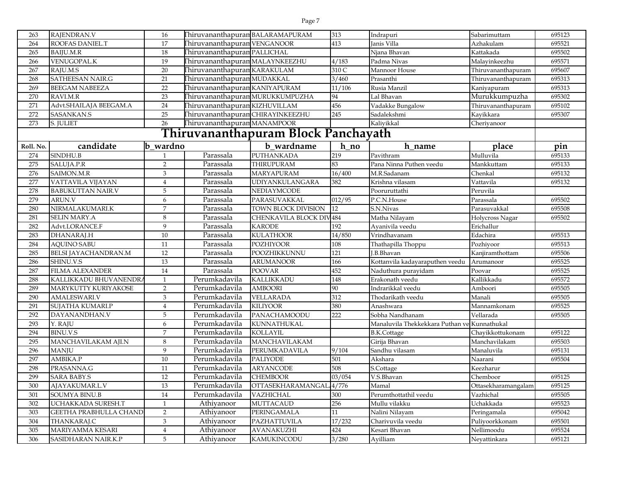| 263       | RAJENDRAN.V                    | 16             | Thiruvananthapuran BALARAMAPURAM  |                                     | 313    | Indrapuri                                    | Sabarimuttam        | 695123 |
|-----------|--------------------------------|----------------|-----------------------------------|-------------------------------------|--------|----------------------------------------------|---------------------|--------|
| 264       | ROOFAS DANIEL.T                | 17             | Thiruvananthapuran VENGANOOR      |                                     | 413    | Janis Villa                                  | Azhakulam           | 695521 |
| 265       | <b>BAIJU.M.R</b>               | 18             | Thiruvananthapuran PALLICHAL      |                                     |        | Njana Bhavan                                 | Kattakada           | 695502 |
| 266       | <b>VENUGOPAL.K</b>             | 19             | Thiruvananthapuran MALAYNKEEZHU   |                                     | 4/183  | Padma Nivas                                  | Malayinkeezhu       | 695571 |
| 267       | RAJU.M.S                       | 20             | Thiruvananthapuran KARAKULAM      |                                     | 310 C  | Mannoor House                                | Thiruvananthapuram  | 695607 |
| 268       | <b>SATHEESAN NAIR.G</b>        | 21             | Thiruvananthapuran MUDAKKAL       |                                     | 3/460  | Prasanthi                                    | Thiruvananthapuram  | 695313 |
| 269       | <b>BEEGAM NABEEZA</b>          | 22             | Thiruvananthapuran KANIYAPURAM    |                                     | 11/106 | Rusia Manzil                                 | Kaniyapuram         | 695313 |
| 270       | RAVI.M.R                       | 23             |                                   | Thiruvananthapuran MURUKKUMPUZHA    | 94     | Lal Bhavan                                   | Murukkumpuzha       | 695302 |
| 271       | Advt.SHAILAJA BEEGAM.A         | 24             | Thiruvananthapuran KIZHUVILLAM    |                                     | 456    | Vadakke Bungalow                             | Thiruvananthapuram  | 695102 |
| 272       | SASANKAN.S                     | 25             | Thiruvananthapuran CHIRAYINKEEZHU |                                     | 245    | Sadalekshmi                                  | Kayikkara           | 695307 |
| 273       | S. JULIET                      | 26             | Thiruvananthapuran MANAMPOOR      |                                     |        | Kaliyikkal                                   | Cheriyanoor         |        |
|           |                                |                |                                   | Thiruvananthapuram Block Panchayath |        |                                              |                     |        |
|           |                                |                |                                   |                                     |        |                                              |                     |        |
| Roll. No. | candidate                      | b_wardno       |                                   | b wardname                          | h no   | h_name                                       | place               | pin    |
| 274       | SINDHU.B                       | 1              | Parassala                         | PUTHANKADA                          | 219    | Pavithram                                    | Mulluvila           | 695133 |
| 275       | SALUJA.P.R                     | $\overline{2}$ | Parassala                         | THIRUPURAM                          | 83     | Pana Ninna Puthen veedu                      | Mankkuttam          | 695133 |
| 276       | SAIMON.M.R                     | 3              | Parassala                         | <b>MARYAPURAM</b>                   | 16/400 | M.R.Sadanam                                  | Chenkal             | 695132 |
| 277       | VATTAVILA VIJAYAN              | $\overline{4}$ | Parassala                         | UDIYANKULANGARA                     | 382    | Krishna vilasam                              | Vattavila           | 695132 |
| 278       | <b>BABUKUTTAN NAIR.V</b>       | 5              | Parassala                         | NEDIAYMCODE                         |        | Pooruruttathi                                | Peruvila            |        |
| 279       | <b>ARUN.V</b>                  | 6              | Parassala                         | PARASUVAKKAL                        | 012/95 | P.C.N.House                                  | Parassala           | 695502 |
| 280       | NIRMALAKUMARI.K                | $\overline{7}$ | Parassala                         | TOWN BLOCK DIVISION                 | 12     | S.N.Nivas                                    | Parasuvakkal        | 695508 |
| 281       | <b>SELIN MARY.A</b>            | 8              | $\overline{\mathrm{Par}}$ assala  | CHENKAVILA BLOCK DIV484             |        | Matha Nilayam                                | Holycross Nagar     | 695502 |
| 282       | Advt.LORANCE.F                 | 9              | Parassala                         | <b>KARODE</b>                       | 192    | Ayanivila veedu                              | Erichallur          |        |
| 283       | DHANARAJ.H                     | 10             | Parassala                         | <b>KULATHOOR</b>                    | 14/850 | Vrindhavanam                                 | Edachira            | 695513 |
| 284       | <b>AOUINO SABU</b>             | 11             | Parassala                         | <b>POZHIYOOR</b>                    | 108    | Thathapilla Thoppu                           | Pozhiyoor           | 695513 |
| 285       | <b>BELSI JAYACHANDRAN.M</b>    | 12             | Parassala                         | POOZHIKKUNNU                        | 121    | J.B.Bhavan                                   | Kanjiramthottam     | 695506 |
| 286       | SHINU.V.S                      | 13             | Parassala                         | <b>ARUMANOOR</b>                    | 166    | Kottanvila kadayaraputhen veedu              | Arumanoor           | 695525 |
| 287       | <b>FILMA ALEXANDER</b>         | 14             | $\overline{\text{Parassala}}$     | <b>POOVAR</b>                       | 452    | Naduthura purayidam                          | Poovar              | 695525 |
| 288       | KALLIKKADU BHUVANENDRA         | $\mathbf{1}$   | Perumkadavila                     | <b>KALLIKKADU</b>                   | 148    | Erakonath veedu                              | Kallikkadu          | 695572 |
| 289       | MARYKUTTY KURIYAKOSE           | 2              | Perumkadavila                     | <b>AMBOORI</b>                      | 90     | Indrarikkal veedu                            | Amboori             | 695505 |
| 290       | AMALESWARI.V                   | 3              | Perumkadavila                     | VELLARADA                           | 312    | Thodarikath veedu                            | Manali              | 695505 |
| 291       | SUJATHA KUMARI.P               | $\overline{4}$ | Perumkadavila                     | <b>KILIYOOR</b>                     | 380    | Anashwara                                    | Mannamkonam         | 695525 |
| 292       | DAYANANDHAN.V                  | 5              | Perumkadavila                     | <b>PANACHAMOODU</b>                 | 222    | Sobha Nandhanam                              | Vellarada           | 695505 |
| 293       | Y. RAJU                        | 6              | Perumkadavila                     | KUNNATHUKAL                         |        | Manaluvila Thekkekkara Puthan ve Kunnathukal |                     |        |
| 294       | <b>BINU.V.S</b>                | 7              | Perumkadavila                     | <b>KOLLAYIL</b>                     |        | <b>B.K.Cottage</b>                           | Chavikkottukonam    | 695122 |
| 295       | MANCHAVILAKAM AJI.N            | 8              | Perumkadavila                     | MANCHAVILAKAM                       |        | Girija Bhavan                                | Manchavilakam       | 695503 |
| 296       | <b>MANJU</b>                   | 9              | Perumkadavila                     | PERUMKADAVILA                       | 9/104  | Sandhu vilasam                               | Manaluvila          | 695131 |
| 297       | AMBIKA.P                       | 10             | Perumkadavila                     | <b>PALIYODE</b>                     | 501    | Akshara                                      | Naarani             | 695504 |
| 298       | PRASANNA.G                     | 11             | Perumkadavila                     | <b>ARY ANCODE</b>                   | 508    | S.Cottage                                    | Keezharur           |        |
| 299       | <b>SARA BABY.S</b>             | 12             | Perumkadavila                     | <b>CHEMBOOR</b>                     | 03/054 | V.S.Bhavan                                   | Chemboor            | 695125 |
| 300       | AJAYAKUMAR.L.V                 | 13             | Perumkadavila                     | OTTASEKHARAMANGAL 4/776             |        | Mamal                                        | Ottasekharamangalam | 695125 |
| 301       | SOUMYA BINU.B                  | 14             | Perumkadavila                     | VAZHICHAL                           | 300    | Perumthottathil veedu                        | Vazhichal           | 695505 |
| 302       | UCHAKKADA SURESH.T             | $\mathbf{1}$   | Athiyanoor                        | <b>MUTTACAUD</b>                    | 256    | Mullu vilakku                                | Uchakkada           | 695523 |
| 303       | <b>GEETHA PRABHULLA CHAND!</b> | $\overline{2}$ | Athiyanoor                        | PERINGAMALA                         | 11     | Nalini Nilayam                               | Peringamala         | 695042 |
| 304       | THANKARAJ.C                    | $\mathbf{3}$   | Athiyanoor                        | PAZHATTUVILA                        | 17/232 | Charivuvila veedu                            | Puliyoorkkonam      | 695501 |
| 305       | MARIYAMMA KESARI               | $\overline{4}$ | Athiyanoor                        | AVANAKUZHI                          | 424    | Kesari Bhavan                                | Nellimoodu          | 695524 |
| 306       | SASIDHARAN NAIR.K.P            | 5              | Athiyanoor                        | KAMUKINCODU                         | 3/280  | Ayilliam                                     | Nevattinkara        | 695121 |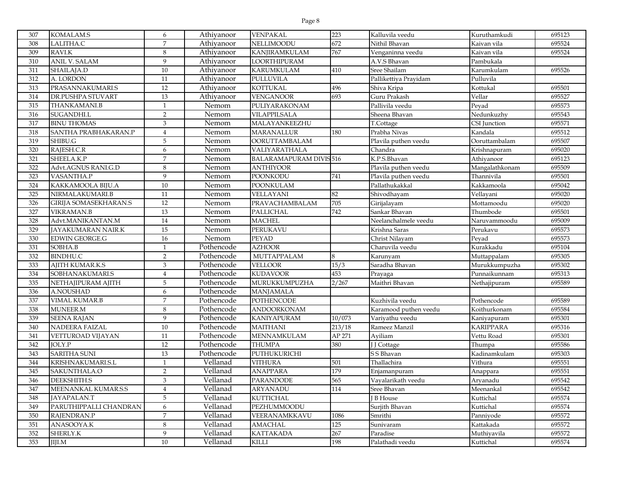| 307 | <b>KOMALAM.S</b>       | 6                         | Athiyanoor                 | <b>VENPAKAL</b>                | 223    | Kalluvila veedu       | Kuruthamkudi     | 695123 |
|-----|------------------------|---------------------------|----------------------------|--------------------------------|--------|-----------------------|------------------|--------|
| 308 | LALITHA.C              | 7                         | Athivanoor                 | NELLIMOODU                     | 672    | Nithil Bhavan         | Kaivan vila      | 695524 |
| 309 | RAVI.K                 | 8                         | Athivanoor                 | KANJIRAMKULAM                  | 767    | Venganinna veedu      | Kaivan vila      | 695524 |
| 310 | ANIL V. SALAM          | 9                         | Athiyanoor                 | <b>LOORTHIPURAM</b>            |        | A.V.S Bhavan          | Pambukala        |        |
| 311 | SHAILAJA.D             | 10                        | Athiyanoor                 | <b>KARUMKULAM</b>              | 410    | Sree Shailam          | Karumkulam       | 695526 |
| 312 | A. LORDON              | 11                        | Athiyanoor                 | <b>PULLUVILA</b>               |        | Pallikettiya Prayidam | Pulluvila        |        |
| 313 | PRASANNAKUMARI.S       | 12                        | Athiyanoor                 | <b>KOTTUKAL</b>                | 496    | Shiva Kripa           | Kottukal         | 695501 |
| 314 | DR.PUSHPA STUVART      | 13                        | Athivanoor                 | <b>VENGANOOR</b>               | 693    | Guru Prakash          | Vellar           | 695527 |
| 315 | THANKAMANI.B           | $\mathbf{1}$              | Nemom                      | PULIYARAKONAM                  |        | Pallivila veedu       | Peyad            | 695573 |
| 316 | SUGANDHI.L             | 2                         | Nemom                      | VILAPPILSALA                   |        | Sheena Bhavan         | Nedunkuzhy       | 695543 |
| 317 | <b>BINU THOMAS</b>     | 3                         | $\overline{\text{N}}$ emom | MALAYANKEEZHU                  |        | T.Cottage             | CSI Junction     | 695571 |
| 318 | SANTHA PRABHAKARAN.P   | $\overline{4}$            | Nemom                      | <b>MARANALLUR</b>              | 180    | Prabha Nivas          | Kandala          | 695512 |
| 319 | SHIBU.G                | 5                         | Nemom                      | OORUTTAMBALAM                  |        | Plavila puthen veedu  | Ooruttambalam    | 695507 |
| 320 | RAJESH.C.R             | 6                         | Nemom                      | VALIYARATHALA                  |        | Chandra               | Krishnapuram     | 695020 |
| 321 | SHEELA.K.P             | $\overline{7}$            | Nemom                      | <b>BALARAMAPURAM DIVIS 516</b> |        | K.P.S.Bhavan          | Athivanoor       | 695123 |
| 322 | Advt.AGNUS RANI.G.D    | 8                         | Nemom                      | <b>ANTHIYOOR</b>               |        | Plavila puthen veedu  | Mangalathkonam   | 695509 |
| 323 | VASANTHA.P             | 9                         | Nemom                      | POONKODU                       | 741    | Plavila puthen veedu  | Thannivila       | 695501 |
| 324 | KAKKAMOOLA BIJU.A      | 10                        | Nemom                      | <b>POONKULAM</b>               |        | Pallathukakkal        | Kakkamoola       | 695042 |
| 325 | NIRMALAKUMARI.B        | 11                        | Nemom                      | VELLAYANI                      | 82     | Shivodhayam           | Vellayani        | 695020 |
| 326 | GIRIJA SOMASEKHARAN.S  | 12                        | Nemom                      | PRAVACHAMBALAM                 | 705    | Girijalayam           | Mottamoodu       | 695020 |
| 327 | <b>VIKRAMAN.B</b>      | 13                        | Nemom                      | PALLICHAL                      | 742    | Sankar Bhavan         | Thumbode         | 695501 |
| 328 | Advt.MANIKANTAN.M      | 14                        | Nemom                      | <b>MACHEL</b>                  |        | Neelanchalmele veedu  | Naruvammoodu     | 695009 |
| 329 | JAYAKUMARAN NAIR.K     | 15                        | Nemom                      | <b>PERUKAVU</b>                |        | Krishna Saras         | Perukavu         | 695573 |
| 330 | <b>EDWIN GEORGE.G</b>  | 16                        | Nemom                      | <b>PEYAD</b>                   |        | Christ Nilayam        | Pevad            | 695573 |
| 331 | SOBHA.B                | $\mathbf{1}$              | Pothencode                 | <b>AZHOOR</b>                  |        | Charuvila veedu       | Kurakkadu        | 695104 |
| 332 | <b>BINDHU.C</b>        | $\overline{2}$            | Pothencode                 | <b>MUTTAPPALAM</b>             | 8      | Karunyam              | Muttappalam      | 695305 |
| 333 | AJITH KUMAR.K.S        | 3                         | Pothencode                 | <b>VELLOOR</b>                 | 15/3   | Saradha Bhavan        | Murukkumpuzha    | 695302 |
| 334 | SOBHANAKUMARI.S        | $\overline{4}$            | Pothencode                 | <b>KUDAVOOR</b>                | 453    | Prayaga               | Punnaikunnam     | 695313 |
| 335 | NETHAJIPURAM AJITH     | 5                         | Pothencode                 | MURUKKUMPUZHA                  | 2/267  | Maithri Bhavan        | Nethajipuram     | 695589 |
| 336 | A.NOUSHAD              | 6                         | Pothencode                 | <b>MANJAMALA</b>               |        |                       |                  |        |
| 337 | <b>VIMAL KUMAR.B</b>   | $\overline{7}$            | Pothencode                 | <b>POTHENCODE</b>              |        | Kuzhivila veedu       | Pothencode       | 695589 |
| 338 | MUNEER.M               | 8                         | Pothencode                 | ANDOORKONAM                    |        | Karamood puthen veedu | Koithurkonam     | 695584 |
| 339 | <b>SEENA RAJAN</b>     | 9                         | Pothencode                 | <b>KANIYAPURAM</b>             | 10/073 | Variyathu veedu       | Kaniyapuram      | 695301 |
| 340 | <b>NADEERA FAIZAL</b>  | 10                        | Pothencode                 | <b>MAITHANI</b>                | 213/18 | Rameez Manzil         | <b>KARIPPARA</b> | 695316 |
| 341 | VETTUROAD VIJAYAN      | 11                        | Pothencode                 | MENNAMKULAM                    | AP 271 | Aviliam               | Vettu Road       | 695301 |
| 342 | JOLY.P                 | 12                        | Pothencode                 | <b>THUMPA</b>                  | 380    | J J Cottage           | Thumpa           | 695586 |
| 343 | <b>SARITHA SUNI</b>    | 13                        | Pothencode                 | PUTHUKURICHI                   |        | S S Bhavan            | Kadinamkulam     | 695303 |
| 344 | KRISHNAKUMARI.S.L      | $\mathbf{1}$              | Vellanad                   | <b>VITHURA</b>                 | 501    | Thallachira           | Vithura          | 695551 |
| 345 | SAKUNTHALA.O           | $\overline{2}$            | Vellanad                   | <b>ANAPPARA</b>                | 179    | Enjamanpuram          | Anappara         | 695551 |
| 346 | DEEKSHITH.S            | $\ensuremath{\mathbf{3}}$ | Vellanad                   | <b>PARANDODE</b>               | 565    | Vayalarikath veedu    | Aryanadu         | 695542 |
| 347 | MEENANKAL KUMAR.S.S    | $\overline{4}$            | Vellanad                   | ARYANADU                       | 114    | Sree Bhavan           | Meenankal        | 695542 |
| 348 | JAYAPALAN.T            | 5                         | Vellanad                   | <b>KUTTICHAL</b>               |        | J B House             | Kuttichal        | 695574 |
| 349 | PARUTHIPPALLI CHANDRAN | 6                         | Vellanad                   | <b>PEZHUMMOODU</b>             |        | Surjith Bhavan        | Kuttichal        | 695574 |
| 350 | RAJENDRAN.P            | $\overline{7}$            | Vellanad                   | VEERANAMKKAVU                  | 1086   | Smrithi               | Panniyode        | 695572 |
| 351 | ANASOOYA.K             | $\,8\,$                   | Vellanad                   | <b>AMACHAL</b>                 | 125    | Sunivaram             | Kattakada        | 695572 |
| 352 | SHERLY.K               | 9                         | Vellanad                   | <b>KATTAKADA</b>               | 267    | Paradise              | Muthiyavila      | 695572 |
| 353 | JIJI.M                 | 10                        | Vellanad                   | KILLI                          | 198    | Palathadi veedu       | Kuttichal        | 695574 |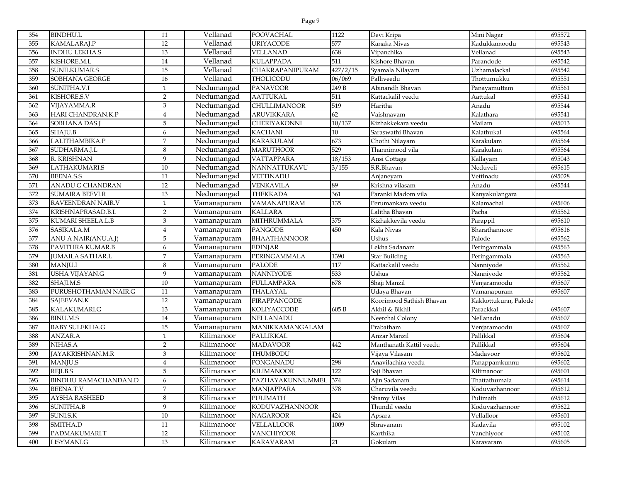| 354 | <b>BINDHU.L</b>             | 11             | Vellanad                        | <b>POOVACHAL</b>     | 1122     | Devi Kripa               | Mini Nagar           | 695572 |
|-----|-----------------------------|----------------|---------------------------------|----------------------|----------|--------------------------|----------------------|--------|
| 355 | KAMALARAJ.P                 | 12             | Vellanad                        | <b>URIYACODE</b>     | 577      | Kanaka Nivas             | Kadukkamoodu         | 695543 |
| 356 | <b>INDHU LEKHA.S</b>        | 13             | Vellanad                        | <b>VELLANAD</b>      | 638      | Vipanchika               | Vellanad             | 695543 |
| 357 | KISHORE.M.L                 | 14             | Vellanad                        | <b>KULAPPADA</b>     | 511      | Kishore Bhavan           | Parandode            | 695542 |
| 358 | SUNILKUMAR.S                | 15             | Vellanad                        | CHAKRAPANIPURAM      | 427/2/15 | Syamala Nilayam          | Uzhamalackal         | 695542 |
| 359 | SOBHANA GEORGE              | 16             | Vellanad                        | THOLICODU            | 06/069   | Palliveedu               | Thottumukku          | 695551 |
| 360 | SUNITHA.V.I                 | $\mathbf{1}$   | Nedumangad                      | <b>PANAVOOR</b>      | 249 B    | Abinandh Bhavan          | Panavamuttam         | 695561 |
| 361 | KISHORE.S.V                 | $\sqrt{2}$     | Nedumangad                      | <b>AATTUKAL</b>      | 511      | Kattackalil veedu        | Aattukal             | 695541 |
| 362 | VIJAYAMMA.R                 | $\mathfrak{Z}$ | $\overline{\text{N}}$ edumangad | <b>CHULLIMANOOR</b>  | 519      | Haritha                  | Anadu                | 695544 |
| 363 | HARI CHANDRAN.K.P           | $\overline{4}$ | Nedumangad                      | <b>ARUVIKKARA</b>    | 62       | Vaishnavam               | Kalathara            | 695541 |
| 364 | SOBHANA DAS.J               | 5              | Nedumangad                      | <b>CHERIYAKONNI</b>  | 10/137   | Kizhakkekara veedu       | Mailam               | 695013 |
| 365 | SHAJU.B                     | 6              | Nedumangad                      | <b>KACHANI</b>       | 10       | Saraswathi Bhavan        | Kalathukal           | 695564 |
| 366 | LALITHAMBIKA.P              | 7              | Nedumangad                      | <b>KARAKULAM</b>     | 673      | Chothi Nilayam           | Karakulam            | 695564 |
| 367 | SUDHARMA.J.L                | 8              | Nedumangad                      | <b>MARUTHOOR</b>     | 529      | Thannimood vila          | Karakulam            | 695564 |
| 368 | R. KRISHNAN                 | 9              | Nedumangad                      | VATTAPPARA           | 18/153   | Ansi Cottage             | Kallayam             | 695043 |
| 369 | LATHAKUMARI.S               | 10             | Nedumangad                      | NANNATTUKAVU         | 3/155    | S.R.Bhavan               | Neduveli             | 695615 |
| 370 | <b>BEENA.S.S</b>            | 11             | Nedumangad                      | VETTINADU            |          | Anjaneyam                | Vettinadu            | 695028 |
| 371 | ANADU G CHANDRAN            | 12             | Nedumangad                      | <b>VENKAVILA</b>     | 89       | Krishna vilasam          | Anadu                | 695544 |
| 372 | <b>SUMAIRA BEEVI.R</b>      | 13             | Nedumangad                      | <b>THEKKADA</b>      | 361      | Paranki Madom vila       | Kanyakulangara       |        |
| 373 | <b>RAVEENDRAN NAIR.V</b>    | $\mathbf{1}$   | Vamanapuram                     | <b>VAMANAPURAM</b>   | 135      | Perumankara veedu        | Kalamachal           | 695606 |
| 374 | KRISHNAPRASAD.B.L           | $\overline{2}$ | Vamanapuram                     | <b>KALLARA</b>       |          | Lalitha Bhavan           | Pacha                | 695562 |
| 375 | KUMARI SHEELA.L.B           | 3              | Vamanapuram                     | MITHRUMMALA          | 375      | Kizhakkevila veedu       | Parappil             | 695610 |
| 376 | SASIKALA.M                  | $\bf{4}$       | Vamanapuram                     | <b>PANGODE</b>       | 450      | Kala Nivas               | Bharathannoor        | 695616 |
| 377 | ANU A NAIR(ANU.A.J)         | 5              | Vamanapuram                     | <b>BHAATHANNOOR</b>  |          | Ushus                    | Palode               | 695562 |
| 378 | PAVITHRA KUMAR.B            | 6              | Vamanapuram                     | <b>EDINJAR</b>       |          | Lekha Sadanam            | Peringammala         | 695563 |
| 379 | <b>JUMAILA SATHAR.L</b>     | 7              | Vamanapuram                     | <b>PERINGAMMALA</b>  | 1390     | Star Building            | Peringammala         | 695563 |
| 380 | MANJU.I                     | 8              | Vamanapuram                     | <b>PALODE</b>        | 117      | Kattackalil veedu        | Nanniyode            | 695562 |
| 381 | USHA VIJAYAN.G              | 9              | Vamanapuram                     | <b>NANNIYODE</b>     | 533      | Ushus                    | Nannivode            | 695562 |
| 382 | SHAJI.M.S                   | 10             | Vamanapuram                     | PULLAMPARA           | 678      | Shaji Manzil             | Venjaramoodu         | 695607 |
| 383 | PURUSHOTHAMAN NAIR.G        | 11             | Vamanapuram                     | THALAYAL             |          | Udaya Bhavan             | Vamanapuram          | 695607 |
| 384 | SAJEEVAN.K                  | 12             | Vamanapuram                     | PIRAPPANCODE         |          | Koorimood Sathish Bhavan | Kakkottukunn, Palode |        |
| 385 | KALAKUMARI.G                | 13             | Vamanapuram                     | KOLIYACCODE          | 605 B    | Akhil & Bikhil           | Parackkal            | 695607 |
| 386 | <b>BINU.M.S</b>             | 14             | Vamanapuram                     | <b>NELLANADU</b>     |          | Neerchal Colony          | Nellanadu            | 695607 |
| 387 | <b>BABY SULEKHA.G</b>       | 15             | Vamanapuram                     | MANIKKAMANGALAM      |          | Prabatham                | Venjaramoodu         | 695607 |
| 388 | ANZAR.A                     | 1              | Kilimanoor                      | PALLIKKAL            |          | Anzar Manzil             | Pallikkal            | 695604 |
| 389 | NIHAS.A                     | $\overline{2}$ | Kilimanoor                      | <b>MADAVOOR</b>      | 442      | Manthanath Kattil veedu  | Pallikkal            | 695604 |
| 390 | JAYAKRISHNAN.M.R            | 3              | Kilimanoor                      | THUMBODU             |          | Vijaya Vilasam           | Madavoor             | 695602 |
| 391 | MANJU.S                     | $\overline{4}$ | Kilimanoor                      | PONGANADU            | 298      | Anavilachira veedu       | Panappamkunnu        | 695602 |
| 392 | REILB.S                     | 5              | Kilimanoor                      | <b>KILIMANOOR</b>    | 122      | Saji Bhavan              | Kilimanoor           | 695601 |
| 393 | <b>BINDHU RAMACHANDAN.D</b> | 6              | Kilimanoor                      | PAZHAYAKUNNUMMEL 374 |          | Ajin Sadanam             | Thattathumala        | 695614 |
| 394 | <b>BEENA.T.V</b>            | 7              | Kilimanoor                      | <b>MANJAPPARA</b>    | 378      | Charuvila veedu          | Koduvazhannoor       | 695612 |
| 395 | <b>AYSHA RASHEED</b>        | 8              | Kilimanoor                      | <b>PULIMATH</b>      |          | Shamy Vilas              | Pulimath             | 695612 |
| 396 | <b>SUNITHA.B</b>            | 9              | Kilimanoor                      | KODUVAZHANNOOR       |          | Thundil veedu            | Koduvazhannoor       | 695622 |
| 397 | SUNI.S.K                    | 10             | Kilimanoor                      | <b>NAGAROOR</b>      | 424      | Apsara                   | Vellalloor           | 695601 |
| 398 | SMITHA.D                    | 11             | Kilimanoor                      | VELLALLOOR           | 1009     | Shravanam                | Kadavila             | 695102 |
| 399 | PADMAKUMARI.T               | 12             | Kilimanoor                      | <b>VANCHIYOOR</b>    |          | Karthika                 | Vanchiyoor           | 695102 |
| 400 | LISYMANI.G                  | 13             | Kilimanoor                      | <b>KARAVARAM</b>     | 21       | Gokulam                  | Karavaram            | 695605 |
|     |                             |                |                                 |                      |          |                          |                      |        |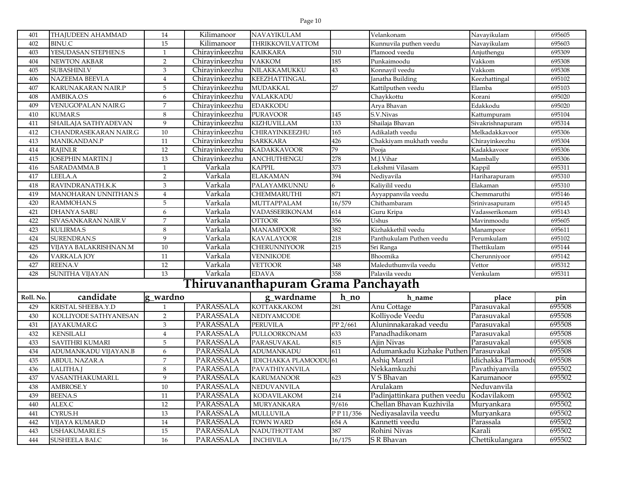| 401        | THAJUDEEN AHAMMAD                | 14             | Kilimanoor             | <b>NAVAYIKULAM</b>                  |               | Velankonam                               | Navayikulam               | 695605           |
|------------|----------------------------------|----------------|------------------------|-------------------------------------|---------------|------------------------------------------|---------------------------|------------------|
| 402        | <b>BINU.C</b>                    | 15             | Kilimanoor             | THRIKKOVILVATTOM                    |               | Kunnuvila puthen veedu                   | Navavikulam               | 695603           |
| 403        | YESUDASAN STEPHEN.S              | $\mathbf{1}$   | Chirayinkeezhu         | <b>KAIKKARA</b>                     | 510           | Plamood veedu                            | Anjuthengu                | 695309           |
| 404        | <b>NEWTON AKBAR</b>              | 2              | Chirayinkeezhu         | <b>VAKKOM</b>                       | 185           | Punkaimoodu                              | Vakkom                    | 695308           |
| 405        | SUBASHINI.V                      | 3              | Chirayinkeezhu         | NILAKKAMUKKU                        | 43            | Konnavil veedu                           | Vakkom                    | 695308           |
| 406        | <b>NAZEEMA BEEVI.A</b>           | $\overline{4}$ | Chirayinkeezhu         | <b>KEEZHATTINGAL</b>                |               | Janatha Building                         | Keezhattingal             | 695102           |
| 407        | <b>KARUNAKARAN NAIR.P</b>        | 5              | Chirayinkeezhu         | <b>MUDAKKAL</b>                     | 27            | Kattilputhen veedu                       | Elamba                    | 695103           |
| 408        | AMBIKA.O.S                       | 6              | Chirayinkeezhu         | VALAKKADU                           |               | Chaykkottu                               | Korani                    | 695020           |
| 409        | VENUGOPALAN NAIR.G               | $\overline{7}$ | Chirayinkeezhu         | <b>EDAKKODU</b>                     |               | Arva Bhavan                              | Edakkodu                  | 695020           |
| 410        | <b>KUMAR.S</b>                   | 8              | Chirayinkeezhu         | <b>PURAVOOR</b>                     | 145           | S.V.Nivas                                | Kattumpuram               | 695104           |
| 411        | SHAILAJA SATHYADEVAN             | 9              | Chirayinkeezhu         | <b>KIZHUVILLAM</b>                  | 133           | Shailaja Bhavan                          | Sivakrishnapuram          | 695314           |
| 412        | <b>CHANDRASEKARAN NAIR.G</b>     | 10             | Chirayinkeezhu         | CHIRAYINKEEZHU                      | 165           | Adikalath veedu                          | Melkadakkavoor            | 695306           |
| 413        | MANIKANDAN.P                     | 11             | Chirayinkeezhu         | <b>SARKKARA</b>                     | 426           | Chakkiyam mukhath veedu                  | Chiravinkeezhu            | 695304           |
| 414        | RAJINI.R                         | 12             | Chirayinkeezhu         | <b>KADAKKAVOOR</b>                  | 79            | Pooja                                    | Kadakkavoor               | 695306           |
| 415        | <b>JOSEPHIN MARTIN.J</b>         | 13             | Chirayinkeezhu         | ANCHUTHENGU                         | 278           | M.J.Vihar                                | Mambally                  | 695306           |
| 416        | SARADAMMA.B                      | 1              | Varkala                | <b>KAPPIL</b>                       | 373           | Lekshmi Vilasam                          | Kappil                    | 695311           |
| 417        | LEELA.A                          | 2              | Varkala                | <b>ELAKAMAN</b>                     | 394           | Nedivavila                               | Hariharapuram             | 695310           |
| 418        | RAVINDRANATH.K.K                 | 3              | Varkala                | PALAYAMKUNNU                        | 6             | Kaliyilil veedu                          | Elakaman                  | 695310           |
| 419        | MANOHARAN UNNITHAN.S             | $\overline{4}$ | Varkala                | <b>CHEMMARUTHI</b>                  | 871           | Ayyappanvila veedu                       | Chemmaruthi               | 695146           |
| 420        | RAMMOHAN.S                       | 5              | Varkala                | MUTTAPPALAM                         | 16/579        | Chithambaram                             | Srinivasapuram            | 695145           |
| 421        | <b>DHANYA SABU</b>               | 6              | Varkala                | VADASSERIKONAM                      | 614           | Guru Kripa                               | Vadasserikonam            | 695143           |
| 422        | SIVASANKARAN NAIR.V              | $\overline{7}$ | Varkala                | <b>OTTOOR</b>                       | 356           | Ushus                                    | Mavinmoodu                | 695605           |
| 423        | <b>KULIRMA.S</b>                 | 8              | Varkala                | <b>MANAMPOOR</b>                    | 382           | Kizhakkethil veedu                       | Manampoor                 | 695611           |
| 424        | SURENDRAN.S                      | 9              | Varkala                | <b>KAVALAYOOR</b>                   | 218           | Panthukulam Puthen veedu                 | Perumkulam                | 695102           |
| 425        | VIJAYA BALAKRISHNAN.M            | 10             | Varkala                | <b>CHERUNNIYOOR</b>                 | 215           | Sri Ranga                                | Thettikulam               | 695144           |
| 426        | <b>VARKALA JOY</b>               | 11             | Varkala                | <b>VENNIKODE</b>                    |               | Bhoomika                                 | Cherunniyoor              | 695142           |
| 427        | <b>REENA.V</b>                   | 12             | Varkala                | <b>VETTOOR</b>                      | 348           | Maleduthumvila veedu                     | Vettor                    | 695312           |
| 428        | SUNITHA VIJAYAN                  | 13             | Varkala                | <b>EDAVA</b>                        | 358           | Palavila veedu                           | Venkulam                  | 695311           |
|            |                                  |                |                        | Thiruvananthapuram Grama Panchayath |               |                                          |                           |                  |
| Roll. No.  | candidate                        | g_wardno       |                        | g_wardname                          | h no          | h name                                   | place                     | pin              |
| 429        | KRISTAL SHEEBA.Y.D               | $\mathbf{1}$   | PARASSALA              | <b>KOTTAKKAKOM</b>                  | 281           | Anu Cottage                              | Parasuvakal               | 695508           |
| 430        | KOLLIYODE SATHYANESAN            | $\sqrt{2}$     | PARASSALA              | <b>NEDIYAMCODE</b>                  |               | Kolliyode Veedu                          | Parasuvakal               | 695508           |
| 431        | JAYAKUMAR.G                      | 3              | PARASSALA              | <b>PERUVILA</b>                     | PP 2/661      | Aluninnakarakad veedu                    | Parasuvakal               | 695508           |
| 432        | <b>KENSILALI</b>                 | $\overline{4}$ | PARASSALA              | PULLOORKONAM                        | 633           | Panadhadikonam                           | Parasuvakal               | 695508           |
| 433        | <b>SAVITHRI KUMARI</b>           | 5              | PARASSALA              | PARASUVAKAL                         | 815           | Ajin Nivas                               | Parasuvakal               | 695508           |
| 434        | ADUMANKADU VIJAYAN.B             | 6              | PARASSALA              | <b>ADUMANKADU</b>                   | 611           | Adumankadu Kizhake Puthen                | Parasuvakal               | 695508           |
| 435        | <b>ABDUL NAZAR.A</b>             | 7              | PARASSALA              | IDICHAKKA PLAMOODU 61               |               | Ashiq Manzil                             | Idichakka Plamoodı        | 695508           |
| 436        | LALITHA.J                        | 8              | PARASSALA              | PAVATHIYANVILA                      |               | Nekkamkuzhi                              | Pavathiyanvila            | 695502           |
| 437        | VASANTHAKUMARI.L                 | 9              | PARASSALA              | <b>KARUMANOOR</b>                   | 623           | V S Bhavan                               | Karumanoor                | 695502           |
| 438        | AMBROSE.Y                        | 10             | PARASSALA              | NEDUVANVILA                         |               | Arulakam                                 | Neduvanvila               |                  |
| 439        | <b>BEENA.S</b>                   | 11             | PARASSALA              | KODAVILAKOM                         | 214           | Padinjattinkara puthen veedu Kodavilakom |                           | 695502           |
| 440        |                                  |                | PARASSALA              | MURYANKARA                          | 9/616         | Chellan Bhavan Kuzhivila                 | Muryankara                | 695502           |
| 441        |                                  |                |                        |                                     |               |                                          |                           |                  |
|            | ALEX.C                           | 12             |                        |                                     |               |                                          |                           |                  |
|            | CYRUS.H                          | $13\,$         | PARASSALA              | <b>MULLUVILA</b>                    | PP 11/356     | Nediyasalavila veedu                     | Muryankara                | 695502           |
| 442        | <b>VIJAYA KUMAR.D</b>            | 14             | PARASSALA              | TOWN WARD                           | 654 A         | Kannetti veedu                           | Parassala                 | 695502           |
| 443<br>444 | USHAKUMARI.E.S<br>SUSHEELA BAI.C | $15\,$<br>16   | PARASSALA<br>PARASSALA | NADUTHOTTAM<br><b>INCHIVILA</b>     | 387<br>16/175 | Rohini Nivas<br><b>S</b> R Bhavan        | Karali<br>Chettikulangara | 695502<br>695502 |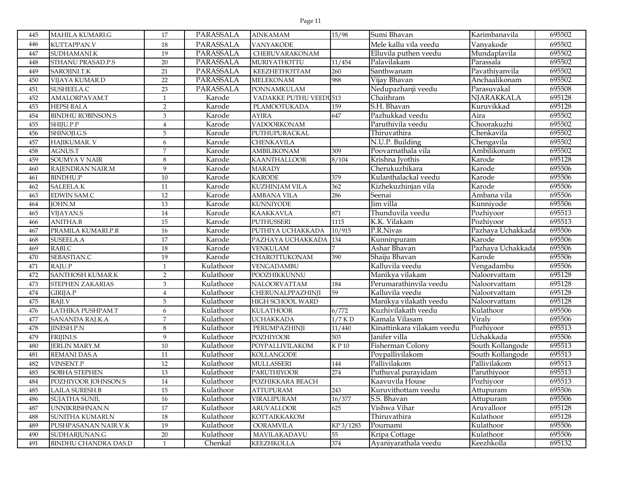| 445       | <b>MAHILA KUMARI.G</b>      | 17              | PARASSALA | <b>AINKAMAM</b>         | 15/98            | Sumi Bhavan                | Karimbanavila     | 695502 |
|-----------|-----------------------------|-----------------|-----------|-------------------------|------------------|----------------------------|-------------------|--------|
| 446       | KUTTAPPAN.V                 | 18              | PARASSALA | <b>VANYAKODE</b>        |                  | Mele kallu vila veedu      | Vanyakode         | 695502 |
| 447       | SUDHAMANI.K                 | 19              | PARASSALA | CHERUVARAKONAM          |                  | Elluvila puthen veedu      | Mundaplavila      | 695502 |
| 448       | STHANU PRASAD.P.S           | 20              | PARASSALA | <b>MURIYATHOTTU</b>     | 11/454           | Palavilakam                | Parassala         | 695502 |
| 449       | SAROJINI.T.K                | 21              | PARASSALA | KEEZHETHOTTAM           | 260              | Santhwanam                 | Pavathiyanvila    | 695502 |
| 450       | VIJAYA KUMAR.D              | 22              | PARASSALA | <b>MELEKONAM</b>        | 988              | Vijay Bhavan               | Anchaalikonam     | 695502 |
| 451       | SUSHEELA.C                  | 23              | PARASSALA | <b>PONNAMKULAM</b>      |                  | Nedupazhanji veedu         | Parasuvakal       | 695508 |
| 452       | AMALORPAVAM.T               | $\mathbf{1}$    | Karode    | VADAKKE PUTHU VEEDU 513 |                  | Chaithram                  | NJARAKKALA        | 695128 |
| 453       | <b>HEPSI BALA</b>           | $\overline{2}$  | Karode    | PLAMOOTUKADA            | 159              | S.H. Bhavan                | Kuruvikkad        | 695128 |
| 454       | <b>BINDHU ROBINSON.S</b>    | 3               | Karode    | <b>AYIRA</b>            | 647              | Pazhukkad veedu            | Aira              | 695502 |
| 455       | SHIJU.P.P                   | 4               | Karode    | VADOORKONAM             |                  | Paruthivila veedu          | Choorakuzhi       | 695502 |
| 456       | SHINOJI.G.S                 | 5               | Karode    | PUTHUPURACKAL           |                  | Thiruvathira               | Chenkavila        | 695502 |
| 457       | HAJIKUMAR. V                | 6               | Karode    | <b>CHENKAVILA</b>       |                  | N.U.P. Building            | Chengavila        | 695502 |
| 458       | AGNUS.T                     | $\overline{7}$  | Karode    | <b>AMBILIKONAM</b>      | 309              | Poovarnathala vila         | Ambilikonam       | 695502 |
| 459       | SOUMYA V NAIR               | 8               | Karode    | <b>KAANTHALLOOR</b>     | 8/104            | Krishna Jyothis            | Karode            | 695128 |
| 460       | RAJENDRAN NAIR.M            | 9               | Karode    | <b>MARADY</b>           |                  | Cherukuzhikara             | Karode            | 695506 |
| 461       | <b>BINDHU.P</b>             | 10              | Karode    | <b>KARODE</b>           | 379              | Kulanthalackal veedu       | Karode            | 695506 |
| 462       | SALEELA.K                   | 11              | Karode    | <b>KUZHINJAM VILA</b>   | $\overline{362}$ | Kizhekuzhinjan vila        | Karode            | 695506 |
| 463       | EDWIN SAM.C                 | 12              | Karode    | <b>AMBANA VILA</b>      | 286              | Seenai                     | Ambana vila       | 695506 |
| 464       | JOHN.M                      | $13\,$          | Karode    | <b>KUNNIYODE</b>        |                  | Jim villa                  | Kunniyode         | 695506 |
| 465       | VIJAYAN.S                   | 14              | Karode    | <b>KAAKKAVLA</b>        | 871              | Thunduvila veedu           | Pozhiyoor         | 695513 |
| 466       | <b>ANITHA.B</b>             | $\overline{15}$ | Karode    | <b>PUTHUSSERI</b>       | 1115             | K.K. Vilakam               | Pozhiyoor         | 695513 |
| 467       | PRAMILA KUMARI.P.R          | 16              | Karode    | PUTHIYA UCHAKKADA       | 10/915           | P.R.Nivas                  | Pazhaya Uchakkada | 695506 |
| 468       | SUSEELA.A                   | 17              | Karode    | PAZHAYA UCHAKKADA       | 134              | Kunninpuram                | Karode            | 695506 |
| 469       | RABI.C                      | 18              | Karode    | <b>VENKULAM</b>         |                  | Ashar Bhavan               | Pazhaya Uchakkada | 695506 |
| 470       | SEBASTIAN.C                 | 19              | Karode    | CHAROTTUKONAM           | 390              | Shaiju Bhavan              | Karode            | 695506 |
| 471       | RAJU.P                      | 1               | Kulathoor | VENGADAMBU              |                  | Kalluvila veedu            | Vengadambu        | 695506 |
| 472       | SANTHOSH KUMAR.K            | 2               | Kulathoor | POOZHIKKUNNU            |                  | Manikya vilakam            | Naloorvattam      | 695128 |
| 473       | STEPHEN ZAKARIAS            | 3               | Kulathoor | NALOORVATTAM            | 184              | Perumarathinvila veedu     | Naloorvattam      | 695128 |
| 474       | GIRIJA.P                    | $\overline{4}$  | Kulathoor | CHERUNALPPAZHINJI       | 59               | Kalluvila veedu            | Naloorvattam      | 695128 |
| 475       | RAJI.V                      | 5               | Kulathoor | HIGH SCHOOL WARD        |                  | Manikya vilakath veedu     | Naloorvattam      | 695128 |
| 476       | LATHIKA PUSHPAM.T           | 6               | Kulathoor | <b>KULATHOOR</b>        | 6/772            | Kuzhivilakath veedu        | Kulathoor         | 695506 |
| 477       | SANANDA RAJ.K.A             | $\overline{7}$  | Kulathoor | <b>UCHAKKADA</b>        | $1/7$ KD         | Kamala Vilasam             | Viraly            | 695506 |
| 478       | JINESH.P.N                  | 8               | Kulathoor | PERUMPAZHINJI           | 11/440           | Kinattinkara vilakam veedu | Pozhiyoor         | 695513 |
| 479       | <b>FRIJINI.S</b>            | 9               | Kulathoor | <b>POZHIYOOR</b>        | 503              | Janifer villa              | Uchakkada         | 695506 |
| 480       | <b>JERLIN MARY.M</b>        | 10              | Kulathoor | POYPALLIVILAKOM         | KP10             | <b>Fisherman Colony</b>    | South Kollangode  | 695513 |
| 481       | REMANI DAS.A                | 11              | Kulathoor | <b>KOLLANGODE</b>       |                  | Poypallivilakom            | South Kollangode  | 695513 |
| 482       | VINSENT.P                   | 12              | Kulathoor | <b>MULLASSERI</b>       | 144              | Pallivilakom               | Pallivilakom      | 695513 |
| 483       | SOBHA STEPHEN               | 13              | Kulathoor | <b>PARUTHIYOOR</b>      | 274              | Puthuval purayidam         | Paruthiyoor       | 695513 |
| $\bf 484$ | POZHIYOOR JOHNSON.S         | $14\,$          | Kulathoor | POZHIKKARA BEACH        |                  | Kaavuvila House            | Pozhiyoor         | 695513 |
| 485       | <b>LAILA SURESH.B</b>       | 15              | Kulathoor | <b>ATTUPURAM</b>        | 243              | Kuruvithottam veedu        | Attupuram         | 695506 |
| 486       | <b>SUJATHA SUNIL</b>        | 16              | Kulathoor | VIRALIPURAM             | 16/377           | S.S. Bhavan                | Attupuram         | 695506 |
| 487       | UNNIKRISHNAN.N              | $17\,$          | Kulathoor | <b>ARUVALLOOR</b>       | 625              | Vishwa Vihar               | Aruvalloor        | 695128 |
| 488       | SUNITHA KUMARI.N            | 18              | Kulathoor | KOTTAIKKAKOM            |                  | Thiruvathira               | Kulathoor         | 695128 |
| 489       | PUSHPASANAN NAIR.V.K        | 19              | Kulathoor | <b>OORAMVILA</b>        | KP 3/1283        | Pournami                   | Kulathoor         | 695506 |
| 490       | SUDHARJUNAN.G               | $20\,$          | Kulathoor | MAVILAKADAVU            | 55               | Kripa Cottage              | Kulathoor         | 695506 |
| 491       | <b>BINDHU CHANDRA DAS.D</b> | $\mathbf{1}$    | Chenkal   | <b>KEEZHKOLLA</b>       | 374              | Ayaniyarathala veedu       | Keezhkolla        | 695132 |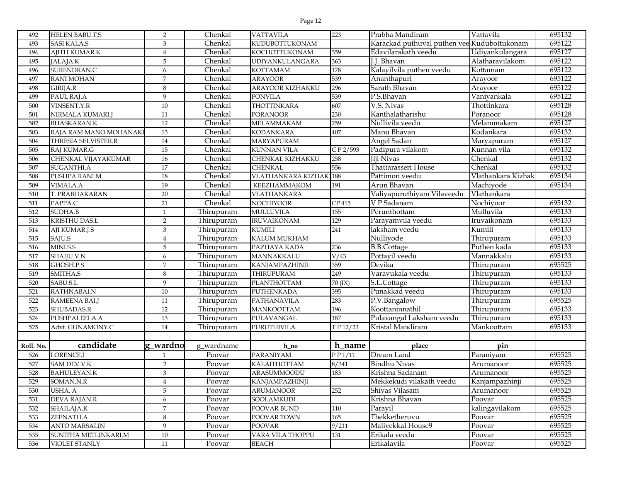| 492       | <b>HELEN BABU.T.S</b>  | 2                | Chenkal    | <b>VATTAVILA</b>              | 223      | Prabha Mandiram                             | Vattavila          | 695132 |
|-----------|------------------------|------------------|------------|-------------------------------|----------|---------------------------------------------|--------------------|--------|
| 493       | <b>SASI KALA.S</b>     | 3                | Chenkal    | KUDUBOTTUKONAM                |          | Karackad puthuval puthen vee Kudubottukonam |                    | 695122 |
| 494       | <b>AJITH KUMAR.K</b>   | $\overline{4}$   | Chenkal    | KOCHOTTUKONAM                 | 359      | Edavilarakath veedu                         | Udiyankulangara    | 695127 |
| 495       | JALAJA.K               | 5                | Chenkal    | <b>UDIYANKULANGARA</b>        | 363      | <b>J.J.</b> Bhavan                          | Alatharavilakom    | 695122 |
| 496       | SURENDRAN.C            | 6                | Chenkal    | <b>KOTTAMAM</b>               | 178      | Kalayilvila puthen veedu                    | Kottamam           | 695122 |
| 497       | <b>RANI MOHAN</b>      | 7                | Chenkal    | <b>ARAYOOR</b>                | 539      | Ananthapuri                                 | Arayoor            | 695122 |
| 498       | GIRIJA.R               | 8                | Chenkal    | ARAYOOR KIZHAKKU              | 296      | Sarath Bhavan                               | Aravoor            | 695122 |
| 499       | PAUL RAJ.A             | 9                | Chenkal    | <b>PONVILA</b>                | 539      | P.S.Bhavan                                  | Vaniyankala        | 695122 |
| 500       | VINSENT.Y.R            | 10               | Chenkal    | THOTTINKARA                   | 607      | V.S. Nivas                                  | Thottinkara        | 695128 |
| 501       | NIRMALA KUMARI.J       | 11               | Chenkal    | <b>PORANOOR</b>               | 230      | Kanthalatharishu                            | Poranoor           | 695128 |
| 502       | <b>BHASKARAN.K</b>     | 12               | Chenkal    | MELAMMAKAM                    | 259      | Nullivila veedu                             | Melammakam         | 695127 |
| 503       | RAJA RAM MANO MOHANAKI | 13               | Chenkal    | <b>KODANKARA</b>              | 407      | Manu Bhavan                                 | Kodankara          | 695132 |
| 504       | THRESIA SELVISTER.R    | 14               | Chenkal    | <b>MARYAPURAM</b>             |          | Angel Sadan                                 | Maryapuram         | 695127 |
| 505       | RAJ KUMAR.G            | 15               | Chenkal    | <b>KUNNAN VILA</b>            | CP 2/593 | Padipura vilakom                            | Kunnan vila        | 695132 |
| 506       | CHENKAL VIJAYAKUMAR    | 16               | Chenkal    | CHENKAL KIZHAKKU              | 258      | <b>Jiji Nivas</b>                           | Chenkal            | 695132 |
| 507       | SUGANTHI.A             | 17               | Chenkal    | <b>CHENKAL</b>                | 556      | Thattarasseri House                         | Chenkal            | 695132 |
| 508       | PUSHPA RANI.M          | 18               | Chenkal    | <b>VLATHANKARA KIZHAK 188</b> |          | Pattimon veedu                              | Vlathankara Kizhak | 695134 |
| 509       | <b>VIMALA.A</b>        | 19               | Chenkal    | KEEZHAMMAKOM                  | 191      | Arun Bhavan                                 | Machiyode          | 695134 |
| 510       | T. PRABHAKARAN         | 20               | Chenkal    | VLATHANKARA                   |          | Valiyapuruthiyam Vilaveedu                  | Vlathankara        |        |
| 511       | PAPPA.C                | 21               | Chenkal    | <b>NOCHIYOOR</b>              | CP 415   | V P Sadanam                                 | Nochiyoor          | 695132 |
| 512       | SUDHA.B                | $\mathbf{1}$     | Thirupuram | <b>MULLUVILA</b>              | 155      | Perunthottam                                | Mulluvila          | 695133 |
| 513       | <b>KRISTHU DAS.L</b>   | $\overline{2}$   | Thirupuram | <b>IRUVAIKONAM</b>            | 129      | Parayamvila veedu                           | Iruvaikonam        | 695133 |
| 514       | <b>AJI KUMARJ.S</b>    | 3                | Thirupuram | <b>KUMILI</b>                 | 241      | laksham veedu                               | Kumili             | 695133 |
| 515       | SAJU.S                 | $\bf{4}$         | Thirupuram | <b>KALUM MUKHAM</b>           |          | Nulliyode                                   | Thirupuram         | 695133 |
| 516       | MINI.S.S               | 5                | Thirupuram | PAZHAYA KADA                  | 236      | <b>B.B.Cottage</b>                          | Puthen kada        | 695133 |
| 517       | SHAIJU.V.N             | 6                | Thirupuram | MANNAKKALU                    | V/43     | Pottayil veedu                              | Mannakkalu         | 695133 |
| 518       | GHOSH.P.S              | 7                | Thirupuram | KANJAMPAZHINJI                | 359      | Devika                                      | Thirupuram         | 695525 |
| 519       | SMITHA.S               | 8                | Thirupuram | THIRUPURAM                    | 249      | Varavukala veedu                            | Thirupuram         | 695133 |
| 520       | SABU.S.L               | 9                | Thirupuram | PLANTHOTTAM                   | 70 (IX)  | S.L.Cottage                                 | Thirupuram         | 695133 |
| 521       | RATHNABAI.N            | 10               | Thirupuram | PUTHENKADA                    | 395      | Punakkad veedu                              | Thirupuram         | 695133 |
| 522       | <b>RAMEENA BALJ</b>    | 11               | Thirupuram | PATHANAVILA                   | 283      | P.V.Bangalow                                | Thirupuram         | 695525 |
| 523       | SHUBADAS.R             | 12               | Thirupuram | MANKOOTTAM                    | 196      | Koottaninnathil                             | Thirupuram         | 695133 |
| 524       | PUSHPALEELA.A          | 13               | Thirupuram | PULAVANGAL                    | 187      | Pulavangal Laksham veedu                    | Thirupuram         | 695133 |
| 525       | Advt. GUNAMONY.C       | 14               | Thirupuram | PURUTHIVILA                   | TP 12/23 | Kristal Mandiram                            | Mankoottam         | 695133 |
|           |                        |                  |            |                               |          |                                             |                    |        |
| Roll. No. | candidate              | g_wardno         | g_wardname | h_no                          | h_name   | place                                       | pin                |        |
| 526       | <b>LORENCE.</b>        | 1                | Poovar     | <b>PARANIYAM</b>              | PP 1/11  | Dream Land                                  | Paraniyam          | 695525 |
| 527       | <b>SAM DEV.V.K</b>     | $\overline{2}$   | Poovar     | KALAITHOTTAM                  | 8/341    | <b>Bindhu Nivas</b>                         | Arumanoor          | 695525 |
| 528       | <b>BAHULEYAN.K</b>     | $\mathfrak{Z}$   | Poovar     | <b>ARASUMMOODU</b>            | 183      | Krishna Sadanam                             | Arumanoor          | 695525 |
| 529       | SOMAN.N.R              | $\overline{4}$   | Poovar     | <b>KANJAMPAZHINJI</b>         |          | Mekkekudi vilakath veedu                    | Kanjampazhinji     | 695525 |
| 530       | USHA. A                | 5                | Poovar     | ARUMANOOR                     | 252      | Shivas Vilasam                              | Arumanoor          | 695525 |
| 531       | <b>DEVA RAJAN.R</b>    | $\boldsymbol{6}$ | Poovar     | SOOLAMKUDI                    |          | Krishna Bhavan                              | Poovar             | 695525 |
| 532       | SHAILAJA.K             | $\overline{7}$   | Poovar     | POOVAR BUND                   | 110      | Paravil                                     | kalingavilakom     | 695525 |
| 533       | ZEENATH.A              | $\,8\,$          | Poovar     | POOVAR TOWN                   | 165      | Thekketheruvu                               | Poovar             | 695525 |
| 534       | <b>ANTO MARSALIN</b>   | 9                | Poovar     | <b>POOVAR</b>                 | 9/211    | Maliyekkal House9                           | Poovar             | 695525 |
| 535       | SUNITHA METLINKARI.M   | $10\,$           | Poovar     | VARA VILA THOPPU              | 131      | Erikala veedu                               | Poovar             | 695525 |
| 536       | <b>VIOLET STANLY</b>   | 11               | Poovar     | <b>BEACH</b>                  |          | Erikalavila                                 | Poovar             | 695525 |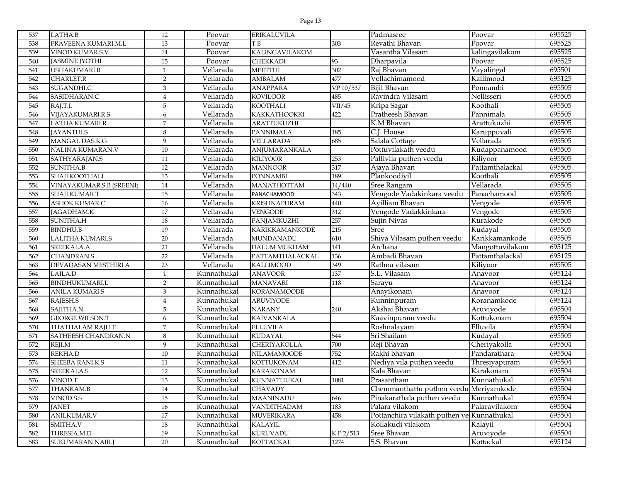| 537 | LATHA.B                         | 12                        | Poovar      | <b>ERIKALUVILA</b>    |           | Padmasree                                  | Poovar          | 695525 |
|-----|---------------------------------|---------------------------|-------------|-----------------------|-----------|--------------------------------------------|-----------------|--------|
| 538 | PRAVEENA KUMARI.M.L             | 13                        | Poovar      | T B                   | 303       | Revathi Bhavan                             | Poovar          | 695525 |
| 539 | VINOD KUMAR.S.V                 | 14                        | Poovar      | <b>KALINGAVILAKOM</b> |           | Vasantha Vilasam                           | kalingavilakom  | 695525 |
| 540 | <b>JASMINE JYOTHI</b>           | $\overline{15}$           | Poovar      | <b>CHEKKADI</b>       | 93        | Dharpavila                                 | Poovar          | 695525 |
| 541 | USHAKUMARI.B                    | $\mathbf{1}$              | Vellarada   | <b>MEETTHI</b>        | 302       | Raj Bhavan                                 | Vayalingal      | 695501 |
| 542 | <b>CHARLET.R</b>                | $\overline{2}$            | Vellarada   | <b>AMBALAM</b>        | 477       | Vellachimamood                             | Kallimood       | 695125 |
| 543 | SUGANDHI.C                      | $\ensuremath{\mathsf{3}}$ | Vellarada   | <b>ANAPPARA</b>       | VP 10/537 | <b>Bijil Bhavan</b>                        | Ponnambi        | 695505 |
| 544 | SASIDHARAN.C                    | $\overline{4}$            | Vellarada   | <b>KOVILOOR</b>       | 485       | Ravindra Vilasam                           | Nellisseri      | 695505 |
| 545 | RAJ.T.L                         | 5                         | Vellarada   | <b>KOOTHALI</b>       | VII/45    | Kripa Sagar                                | Koothali        | 695505 |
| 546 | VIJAYAKUMARI.R.S                | 6                         | Vellarada   | KAKKATHOOKKI          | 422       | Pratheesh Bhavan                           | Pannimala       | 695505 |
| 547 | LATHA KUMARI.R                  | 7                         | Vellarada   | <b>ARATTUKUZHI</b>    |           | K.M Bhavan                                 | Arattukuzhi     | 695505 |
| 548 | <b>JAYANTHI.S</b>               | 8                         | Vellarada   | <b>PANNIMALA</b>      | 185       | C.J. House                                 | Karuppuvali     | 695505 |
| 549 | MANGAL DAS.K.G                  | 9                         | Vellarada   | <b>VELLARADA</b>      | 685       | Salala Cottage                             | Vellarada       | 695505 |
| 550 | NALINA KUMARAN.V                | 10                        | Vellarada   | ANJUMARANKALA         |           | Pottuvilakath veedu                        | Kudappanamood   | 695505 |
| 551 | SATHYARAJAN.S                   | 11                        | Vellarada   | <b>KILIYOOR</b>       | 253       | Pallivila puthen veedu                     | Kiliyoor        | 695505 |
| 552 | <b>SUNITHA.B</b>                | 12                        | Vellarada   | <b>MANNOOR</b>        | 317       | Ajaya Bhavan                               | Pattamthalackal | 695505 |
| 553 | SHAJI KOOTHALI                  | 13                        | Vellarada   | <b>PONNAMBI</b>       | 189       | Plankoodivil                               | Koothali        | 695505 |
| 554 | <b>VINAYAKUMAR.S.B (SREENI)</b> | 14                        | Vellarada   | MANATHOTTAM           | 14/440    | Sree Rangam                                | Vellarada       | 695505 |
| 555 | SHAJI KUMAR.T                   | 15                        | Vellarada   | <b>PANACHAMOOD</b>    | 343       | Vengode Vadakinkara veedu                  | Panachamood     | 695505 |
| 556 | ASHOK KUMAR.C                   | 16                        | Vellarada   | <b>KRISHNAPURAM</b>   | 440       | Avilliam Bhavan                            | Vengode         | 695505 |
| 557 | JAGADHAM.K                      | 17                        | Vellarada   | <b>VENGODE</b>        | 312       | Vengode Vadakkinkara                       | Vengode         | 695505 |
| 558 | SUNITHA.H                       | 18                        | Vellarada   | PANJAMKUZHI           | 257       | Sujin Nivas                                | Kurakode        | 695505 |
| 559 | <b>BINDHU.B</b>                 | 19                        | Vellarada   | <b>KARIKKAMANKODE</b> | 215       | <b>Sree</b>                                | Kudayal         | 695505 |
| 560 | <b>LALITHA KUMARI.S</b>         | 20                        | Vellarada   | <b>MUNDANADU</b>      | 610       | Shiva Vilasam puthen veedu                 | Karikkamankode  | 695505 |
| 561 | SREEKALA.A                      | 21                        | Vellarada   | DALUM MUKHAM          | 141       | Archana                                    | Mangottuvilakom | 695125 |
| 562 | <b>CHANDRAN.S</b>               | 22                        | Vellarada   | PATTAMTHALACKAL       | 136       | Ambadi Bhavan                              | Pattamthalackal | 695125 |
| 563 | DEVADASAN MESTHIRI.A            | 23                        | Vellarada   | <b>KALLIMOOD</b>      | 349       | Rathna vilasam                             | Kiliyoor        | 695505 |
| 564 | LAILA.D                         | $\mathbf{1}$              | Kunnathukal | <b>ANAVOOR</b>        | 137       | S.L. Vilasam                               | Anavoor         | 695124 |
| 565 | <b>BINDHUKUMARI.L</b>           | $\overline{2}$            | Kunnathukal | <b>MANAVARI</b>       | 118       | Sarayu                                     | Anavoor         | 695124 |
| 566 | <b>ANILA KUMARI.S</b>           | 3                         | Kunnathukal | <b>KORANAMOODE</b>    |           | Anayikonam                                 | Anavoor         | 695124 |
| 567 | RAJESH.S                        | $\overline{4}$            | Kunnathukal | <b>ARUVIYODE</b>      |           | Kunninpuram                                | Koranamkode     | 695124 |
| 568 | SAJITHA.N                       | 5                         | Kunnathukal | <b>NARANY</b>         | 240       | Akshai Bhavan                              | Aruviyode       | 695504 |
| 569 | <b>GEORGE WILSON.T</b>          | 6                         | Kunnathukal | <b>KAIVANKALA</b>     |           | Kaavinpuram veedu                          | Kottukonam      | 695504 |
| 570 | THATHALAM RAJU.T                | $\overline{7}$            | Kunnathukal | <b>ELLUVILA</b>       |           | Roshnalayam                                | Elluvila        | 695504 |
| 571 | SATHEESH CHANDRAN.N             | 8                         | Kunnathukal | <b>KUDAYAL</b>        | 544       | Sri Shailam                                | Kudayal         | 695505 |
| 572 | REJI.M                          | 9                         | Kunnathukal | CHERIYAKOLLA          | 700       | Reji Bhavan                                | Cheriyakolla    | 695504 |
| 573 | <b>REKHA.D</b>                  | 10                        | Kunnathukal | <b>NILAMAMOODE</b>    | 752       | Rakhi bhavan                               | Pandarathara    | 695504 |
| 574 | <b>SHEEBA RANI.K.S</b>          | 11                        | Kunnathukal | <b>KOTTUKONAM</b>     | 412       | Nediya vila puthen veedu                   | Thresiyapuram   | 695504 |
| 575 | SREEKALA.S                      | 12                        | Kunnathukal | <b>KARAKONAM</b>      |           | Kala Bhavan                                | Karakonam       | 695504 |
| 576 | VINOD.T                         | $13\,$                    | Kunnathukal | KUNNATHUKAL           | $1081\,$  | Prasantham                                 | Kunnathukal     | 695504 |
| 577 | THANKAM.B                       | 14                        | Kunnathukal | <b>CHAVADY</b>        |           | Chemmanthattu puthen veedu Meriyamkode     |                 | 695504 |
| 578 | VINOD.S.S                       | 15                        | Kunnathukal | <b>MAANINADU</b>      | 646       | Pinakarathala puthen veedu                 | Kunnathukal     | 695504 |
| 579 | <b>JANET</b>                    | 16                        | Kunnathukal | VANDITHADAM           | 183       | Palara vilakom                             | Palaravilakom   | 695504 |
| 580 | <b>ANILKUMAR.V</b>              | 17                        | Kunnathukal | <b>MUVERIKARA</b>     | 458       | Pottanchira vilakath puthen ve Kunnathukal |                 | 695504 |
| 581 | SMITHA.V                        | 18                        | Kunnathukal | KALAYIL               |           | Kollakudi vilakom                          | Kalayil         | 695504 |
| 582 | THRESIA.M.D                     | 19                        | Kunnathukal | <b>KURUVADU</b>       | KP 2/513  | Sree Bhavan                                | Aruviyode       | 695504 |
| 583 | SUKUMARAN NAIR.J                | 20                        | Kunnathukal | KOTTACKAL             | 1274      | S.S. Bhavan                                | Kottackal       | 695124 |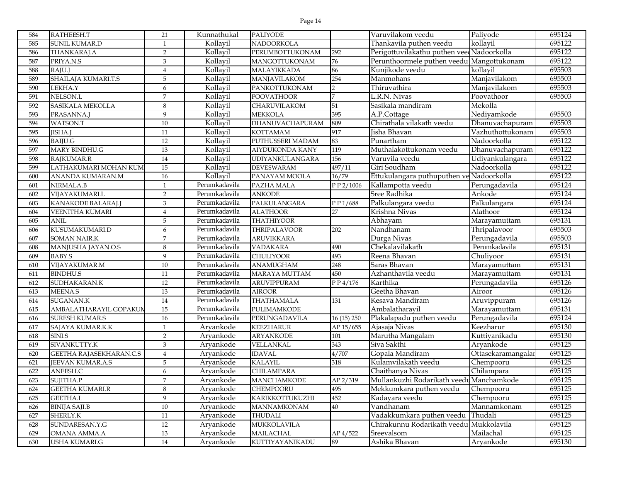| 584 | RATHEESH.T                     | 21               | Kunnathukal   | <b>PALIYODE</b>      |                      | Varuvilakom veedu                          | Paliyode           | 695124 |
|-----|--------------------------------|------------------|---------------|----------------------|----------------------|--------------------------------------------|--------------------|--------|
| 585 | <b>SUNIL KUMAR.D</b>           | $\mathbf{1}$     | Kollavil      | NADOORKOLA           |                      | Thankavila puthen veedu                    | kollayil           | 695122 |
| 586 | THANKARAJ.A                    | $\overline{2}$   | Kollavil      | PERUMBOTTUKONAM      | 292                  | Perigottuvilakathu puthen veed Nadoorkolla |                    | 695122 |
| 587 | PRIYA.N.S                      | 3                | Kollayil      | MANGOTTUKONAM        | 76                   | Perunthoormele puthen veedu Mangottukonam  |                    | 695122 |
| 588 | RAJU.J                         | $\overline{4}$   | Kollayil      | MALAYIKKADA          | 86                   | Kunjikode veedu                            | kollavil           | 695503 |
| 589 | SHAILAJA KUMARI.T.S            | 5                | Kollavil      | MANJAVILAKOM         | 254                  | Manmohans                                  | Manjavilakom       | 695503 |
| 590 | LEKHA.Y                        | 6                | Kollavil      | PANKOTTUKONAM        | $\overline{2}$       | Thiruvathira                               | Manjavilakom       | 695503 |
| 591 | NELSON.L                       | $\overline{7}$   | Kollayil      | <b>POOVATHOOR</b>    |                      | L.R.N. Nivas                               | Poovathoor         | 695503 |
| 592 | SASIKALA MEKOLLA               | 8                | Kollayil      | CHARUVILAKOM         | 51                   | Sasikala mandiram                          | Mekolla            |        |
| 593 | PRASANNA.J                     | 9                | Kollayil      | <b>MEKKOLA</b>       | 395                  | A.P.Cottage                                | Nediyamkode        | 695503 |
| 594 | <b>WATSON.T</b>                | 10               | Kollayil      | DHANUVACHAPURAM      | 809                  | Chirathala vilakath veedu                  | Dhanuvachapuram    | 695503 |
| 595 | <b>JISHA.J</b>                 | 11               | Kollayil      | <b>KOTTAMAM</b>      | 917                  | Jisha Bhavan                               | Vazhuthottukonam   | 695503 |
| 596 | <b>BAIJU.G</b>                 | 12               | Kollayil      | PUTHUSSERI MADAM     | 83                   | Punartham                                  | Nadoorkolla        | 695122 |
| 597 | <b>MARY BINDHU.G</b>           | 13               | Kollavil      | AIYDUKONDA KANY      | 119                  | Muthalakottukonam veedu                    | Dhanuvachapuram    | 695122 |
| 598 | RAJKUMAR.R                     | 14               | Kollavil      | UDIYANKULANGARA      | 156                  | Varuvila veedu                             | Udiyankulangara    | 695122 |
| 599 | LATHAKUMARI MOHAN KUM          | 15               | Kollayil      | <b>DEVESWARAM</b>    | 497/11               | Giri Soudham                               | Nadoorkolla        | 695122 |
| 600 | ANANDA KUMARAN.M               | 16               | Kollayil      | PANAYAM MOOLA        | 16/79                | Ettukulangara puthuputhen ve Nadoorkolla   |                    | 695122 |
| 601 | NIRMALA.B                      | $\mathbf{1}$     | Perumkadavila | PAZHA MALA           | PP 2/1006            | Kallampotta veedu                          | Perungadavila      | 695124 |
| 602 | VIJAYAKUMARI.L                 | $\overline{2}$   | Perumkadavila | <b>ANKODE</b>        |                      | <b>Sree Radhika</b>                        | Ankode             | 695124 |
| 603 | KANAKODE BALARAJ.J             | 3                | Perumkadavila | PALKULANGARA         | $\overline{P}P1/688$ | Palkulangara veedu                         | Palkulangara       | 695124 |
| 604 | <b>VEENITHA KUMARI</b>         | $\overline{4}$   | Perumkadavila | <b>ALATHOOR</b>      | 27                   | Krishna Nivas                              | Alathoor           | 695124 |
| 605 | <b>ANIL</b>                    | 5                | Perumkadavila | <b>THATHIYOOR</b>    |                      | Abhayam                                    | Marayamuttam       | 695131 |
| 606 | KUSUMAKUMARI.D                 | 6                | Perumkadavila | <b>THRIPALAVOOR</b>  | 202                  | Nandhanam                                  | Thripalavoor       | 695503 |
| 607 | <b>SOMAN NAIR.K</b>            | 7                | Perumkadavila | <b>ARUVIKKARA</b>    |                      | Durga Nivas                                | Perungadavila      | 695503 |
| 608 | MANJUSHA JAYAN.O.S             | 8                | Perumkadavila | <b>VADAKARA</b>      | 490                  | Chekalavilakath                            | Perumkadavila      | 695131 |
| 609 | <b>BABY.S</b>                  | 9                | Perumkadavila | <b>CHULIYOOR</b>     | 493                  | Reena Bhavan                               | Chuliyoor          | 695131 |
| 610 | VIJAYAKUMAR.M                  | 10               | Perumkadavila | ANAMUGHAM            | 248                  | Saras Bhavan                               | Marayamuttam       | 695131 |
| 611 | <b>BINDHU.S</b>                | 11               | Perumkadavila | <b>MARAYA MUTTAM</b> | 450                  | Azhanthavila veedu                         | Marayamuttam       | 695131 |
| 612 | SUDHAKARAN.K                   | 12               | Perumkadavila | <b>ARUVIPPURAM</b>   | $\overline{P}P4/176$ | Karthika                                   | Perungadavila      | 695126 |
| 613 | <b>MEENA.S</b>                 | 13               | Perumkadavila | <b>AIROOR</b>        |                      | Geetha Bhavan                              | Airoor             | 695126 |
| 614 | SUGANAN.K                      | 14               | Perumkadavila | THATHAMALA           | 131                  | Kesava Mandiram                            | Aruvippuram        | 695126 |
| 615 | AMBALATHARAYIL GOPAKUN         | 15               | Perumkadavila | PULIMAMKODE          |                      | Ambalatharayil                             | Marayamuttam       | 695131 |
| 616 | <b>SURESH KUMAR.S</b>          | 16               | Perumkadavila | PERUNGADAVILA        | 16 (15) 250          | Plakalapadu puthen veedu                   | Perungadavila      | 695124 |
| 617 | SAJAYA KUMAR.K.K               | $\mathbf{1}$     | Aryankode     | <b>KEEZHARUR</b>     | AP 15/655            | Ajasaja Nivas                              | Keezharur          | 695130 |
| 618 | SINI.S                         | $\overline{2}$   | Aryankode     | ARYANKODE            | 101                  | Marutha Mangalam                           | Kuttiyanikadu      | 695130 |
| 619 | SIVANKUTTY.K                   | 3                | Aryankode     | <b>VELLANKAL</b>     | 343                  | Siva Sakthi                                | Aryankode          | 695125 |
| 620 | <b>GEETHA RAJASEKHARAN.C.S</b> | $\sqrt{4}$       | Aryankode     | <b>IDAVAL</b>        | 4/707                | Gopala Mandiram                            | Ottasekaramangalar | 695125 |
| 621 | JEEVAN KUMAR.A.S               | 5                | Aryankode     | <b>KALAYIL</b>       | 318                  | Kulamvilakath veedu                        | Chempooru          | 695125 |
| 622 | ANEESH.C                       | $\boldsymbol{6}$ | Arvankode     | <b>CHILAMPARA</b>    |                      | Chaithanya Nivas                           | Chilampara         | 695125 |
| 623 | SUJITHA.P                      | 7                | Aryankode     | MANCHAMKODE          | AP 2/319             | Mullankuzhi Rodarikath veedu Manchamkode   |                    | 695125 |
| 624 | <b>GEETHA KUMARI.R</b>         | 8                | Aryankode     | <b>CHEMPOORU</b>     | 495                  | Mekkumkara puthen veedu                    | Chempooru          | 695125 |
| 625 | <b>GEETHA.L</b>                | 9                | Arvankode     | KARIKKOTTUKUZHI      | 452                  | Kadayara veedu                             | Chempooru          | 695125 |
| 626 | <b>BINIJA SAJI.B</b>           | 10               | Aryankode     | <b>MANNAMKONAM</b>   | 40                   | Vandhanam                                  | Mannamkonam        | 695125 |
| 627 | SHERLY.K                       | 11               | Aryankode     | THUDALI              |                      | Vadakkumkara puthen veedu Thudali          |                    | 695125 |
| 628 | SUNDARESAN.Y.G                 | 12               | Aryankode     | <b>MUKKOLAVILA</b>   |                      | Chirakunnu Rodarikath veedu Mukkolavila    |                    | 695125 |
| 629 | OMANA AMMA.A                   | $13\,$           | Aryankode     | MAILACHAL            | AP 4/522             | Sreevalsom                                 | Mailachal          | 695125 |
| 630 | <b>USHA KUMARI.G</b>           | 14               | Aryankode     | KUTTIYAYANIKADU      | 89                   | Ashika Bhavan                              | Aryankode          | 695130 |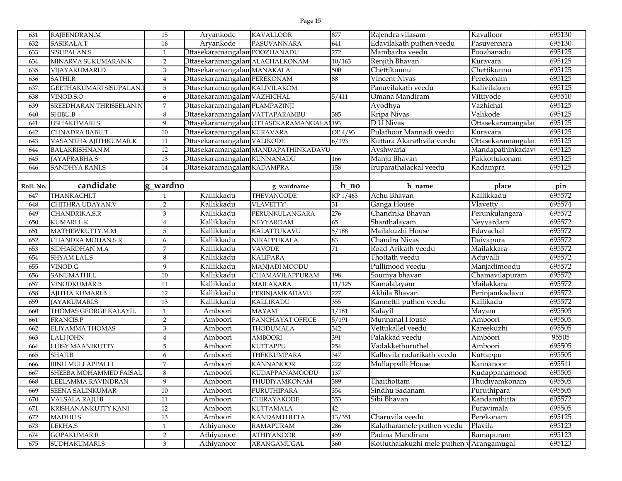| 631       | RAJEENDRAN.M             | 15             | Aryankode                       | <b>KAVALLOOR</b>                          | 877      | Rajendra vilasam                          | Kavalloor          | 695130 |
|-----------|--------------------------|----------------|---------------------------------|-------------------------------------------|----------|-------------------------------------------|--------------------|--------|
| 632       | SASIKALA.T               | 16             | Aryankode                       | PASUVANNARA                               | 641      | Edavilakath puthen veedu                  | Pasuvennara        | 695130 |
| 633       | SISUPALAN.S              | $\mathbf{1}$   | Ottasekaramangalam POOZHANADU   |                                           | 272      | Mambazha veedu                            | Poozhanadu         | 695125 |
| 634       | MINARVA SUKUMARAN.K      | 2              | Ottasekaramangalam ALACHALKONAM |                                           | 10/163   | Renjith Bhavan                            | Kuravara           | 695125 |
| 635       | VIJAYAKUMARI.D           | 3              | Ottasekaramangalan MANAKALA     |                                           | 500      | Chettikunnu                               | Chettikunnu        | 695125 |
| 636       | SATHI.R                  | $\overline{4}$ | Ottasekaramangalam PEREKONAM    |                                           | 88       | <b>Vincent Nivas</b>                      | Perekonam          | 695125 |
| 637       | GEETHAKUMARI SISUPALAN.I | 5              | Ottasekaramangalan KALIVILAKOM  |                                           |          | Panavilakath veedu                        | Kalivilakom        | 695125 |
| 638       | VINOD.S.O                | 6              | Ottasekaramangalam VAZHICHAL    |                                           | 5/411    | Omana Mandiram                            | Vittiyode          | 695510 |
| 639       | SREEDHARAN THRISEELAN.N  | $\overline{7}$ | Ottasekaramangalam PLAMPAZINJI  |                                           |          | Ayodhya                                   | Vazhichal          | 695125 |
| 640       | SHIBU.B                  | 8              | Ottasekaramangalam VATTAPARAMBU |                                           | 385      | Kripa Nivas                               | Valikode           | 695125 |
| 641       | <b>USHAKUMARI.S</b>      | 9              |                                 | Ottasekaramangalan OTTASEKARAMANGALAI 193 |          | D U Nivas                                 | Ottasekaramangalaı | 695125 |
| 642       | <b>CHNADRA BABU.T</b>    | 10             | Ottasekaramangalam KURAVARA     |                                           | OP 4/93  | Pulathoor Mannadi veedu                   | Kuravara           | 695125 |
| 643       | VASANTHA AJITHKUMAR.K    | 11             | Ottasekaramangalan VALIKODE     |                                           | 6/193    | Kuttara Akarathvila veedu                 | Ottasekaramangalar | 695125 |
| 644       | <b>BALAKRISHNAN.M</b>    | 12             |                                 | Ottasekaramangalam MANDAPATHINKADAVU      |          | Ayshwaria                                 | Mandapathinkadav   | 695125 |
| 645       | JAYAPRABHA.S             | 13             | Ottasekaramangalam KUNNANADU    |                                           | 166      | Manju Bhavan                              | Pakkottukonam      | 695125 |
| 646       | <b>SANDHYA RANI.S</b>    | 14             | Ottasekaramangalan KADAMPRA     |                                           | 158      | Iruparathalackal veedu                    | Kadampra           | 695125 |
|           |                          |                |                                 |                                           |          |                                           |                    |        |
| Roll. No. | candidate                | g_wardno       |                                 | g_wardname                                | h no     | h name                                    | place              | pin    |
| 647       | THANKACHI.T              | $\mathbf{1}$   | Kallikkadu                      | THEVANCODE`                               | KP 1/463 | Achu Bhavan                               | Kallikkadu         | 695572 |
| 648       | CHITHRA UDAYAN.V         | 2              | Kallikkadu                      | <b>VLAVETTY</b>                           | 31       | Ganga House                               | Vlavetty           | 695574 |
| 649       | <b>CHANDRIKA.S.R</b>     | 3              | Kallikkadu                      | PERUNKULANGARA                            | 276      | Chandrika Bhavan                          | Perunkulangara     | 695572 |
| 650       | KUMARI.L.K               | $\overline{4}$ | Kallikkadu                      | NEYYARDAM                                 | 65       | Shanthalayam                              | Neyyardam          | 695572 |
| 651       | MATHEWKUTTY.M.M          | 5              | Kallikkadu                      | KALATTUKAVU                               | 5/188    | Mailakuzhi House                          | Edavachal          | 695572 |
| 652       | <b>CHANDRA MOHAN.S.R</b> | 6              | Kallikkadu                      | NIRAPPUKALA                               | 83       | Chandra Nivas                             | Daivapura          | 695572 |
| 653       | SIDHARDHAN M.A           | $\overline{7}$ | Kallikkadu                      | <b>VAVODE</b>                             | 71       | Road Arikath veedu                        | Mailakkara         | 695572 |
| 654       | SHYAM LAL.S              | 8              | Kallikkadu                      | <b>KALIPARA</b>                           |          | Thottath veedu                            | Aduvalli           | 695572 |
| 655       | VINOD.G                  | 9              | Kallikkadu                      | MANJADI MOODU                             |          | Pullimood veedu                           | Manjadimoodu       | 695572 |
| 656       | SANUMATHI.L              | 10             | Kallikkadu                      | CHAMAVILAPPURAM                           | 198      | Soumya bhavan                             | Chamavilapuram     | 695572 |
| 657       | VINODKUMAR.B             | 11             | Kallikkadu                      | MAILAKARA                                 | 11/125   | Kamalalayam                               | Mailakkara         | 695572 |
| 658       | AJITHA KUMARI.B          | 12             | Kallikkadu                      | PERINJAMKADAVU                            | 227      | Akhila Bhavan                             | Perinjamkadavu     | 695572 |
| 659       | <b>JAYAKUMARI.S</b>      | 13             | Kallikkadu                      | <b>KALLIKADU</b>                          | 355      | Kannettil puthen veedu                    | Kallikadu          | 695572 |
| 660       | THOMAS GEORGE KALAYIL    | $\mathbf{1}$   | Amboori                         | <b>MAYAM</b>                              | 1/181    | Kalayil                                   | Mayam              | 695505 |
| 661       | FRANCIS.P                | 2              | Amboori                         | PANCHAYAT OFFICE                          | 5/191    | Munnanal House                            | Amboori            | 695505 |
| 662       | ELIYAMMA THOMAS          | 3              | Amboori                         | THODUMALA                                 | 342      | Vettukallel veedu                         | Kareekuzhi         | 695505 |
| 663       | <b>LALI JOHN</b>         | $\overline{4}$ | Amboori                         | AMBOORI                                   | 391      | Palakkad veedu                            | Amboori            | 95505  |
| 664       | <b>LUISY MAANIKUTTY</b>  | 5              | Amboori                         | <b>KUTTAPPU</b>                           | 254      | Vadakkethuruthel                          | Amboori            | 695505 |
| 665       | SHAJI.B                  | 6              | Amboori                         | THEKKUMPARA                               | 347      | Kalluvila rodarikath veedu                | Kuttappu           | 695505 |
| 666       | <b>BINU MULLAPPALLI</b>  | 7              | Amboori                         | <b>KANNANOOR</b>                          | 222      | Mullappalli House                         | Kannanoor          | 695511 |
| 667       | SHEEBA MOHAMMED FAISAL   | 8              | Amboori                         | KUDAPPANAMOODU                            | 137      |                                           | Kudappanamood      | 695505 |
| 668       | LEELAMMA RAVINDRAN       | 9              | Amboori                         | THUDIYAMKONAM                             | 389      | Thaithottam                               | Thudiyamkonam      | 695505 |
| 669       | <b>SEENA SALINKUMAR</b>  | 10             | Amboori                         | PURUTHIPARA                               | 354      | Sindhu Sadanam                            | Puruthipara        | 695505 |
| 670       | <b>VALSALA RAJU.B</b>    | 11             | Amboori                         | CHIRAYAKODE                               | 353      | Sibi Bhavan                               | Kandamthitta       | 695572 |
| 671       | KRISHANANKUTTY KANI      | 12             | Amboori                         | <b>KUTTAMALA</b>                          | 42       |                                           | Puravimala         | 695505 |
| 672       | <b>MADHU.S</b>           | 13             | Amboori                         | KANDAMTHITTA                              | 13/351   | Charuvila veedu                           | Perekonam          | 695125 |
| 673       | LEKHA.S                  | 1              | Athiyanoor                      | <b>RAMAPURAM</b>                          | 286      | Kalatharamele puthen veedu                | Plavila            | 695123 |
| 674       | GOPAKUMAR.R              | $\overline{2}$ | Athiyanoor                      | <b>ATHIYANOOR</b>                         | 459      | Padma Mandiram                            | Ramapuram          | 695123 |
| 675       | SUDHAKUMARI.S            | 3              | Athiyanoor                      | ARANGAMUGAL                               | 360      | Kottuthalakuzhi mele puthen y Arangamugal |                    | 695123 |
|           |                          |                |                                 |                                           |          |                                           |                    |        |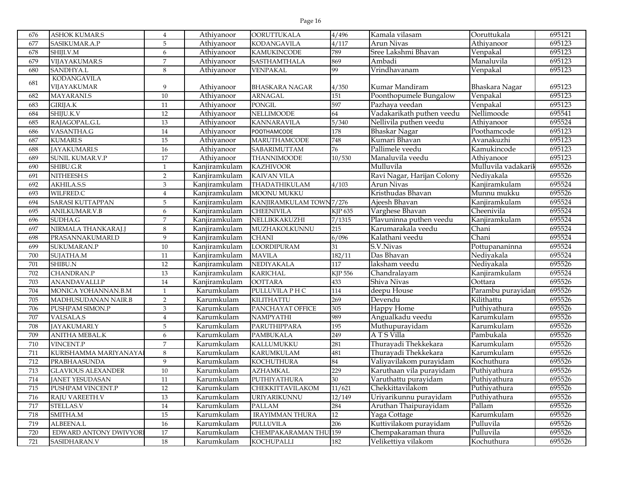| 676     | <b>ASHOK KUMAR.S</b>      | $\overline{4}$ | Athiyanoor    | OORUTTUKALA              | 4/496           | Kamala vilasam             | Ooruttukala         | 695121 |
|---------|---------------------------|----------------|---------------|--------------------------|-----------------|----------------------------|---------------------|--------|
| 677     | SASIKUMAR.A.P             | 5              | Athiyanoor    | KODANGAVILA              | 4/117           | Arun Nivas                 | Athiyanoor          | 695123 |
| 678     | SHIJI.V.M                 | 6              | Athiyanoor    | <b>KAMUKINCODE</b>       | 789             | Sree Lakshmi Bhavan        | Venpakal            | 695123 |
| 679     | VIJAYAKUMAR.S             | $\overline{7}$ | Athiyanoor    | <b>SASTHAMTHALA</b>      | 869             | Ambadi                     | Manaluvila          | 695123 |
| 680     | SANDHYA.L                 | 8              | Athiyanoor    | VENPAKAL                 | 99              | Vrindhavanam               | Venpakal            | 695123 |
| 681     | <b>KODANGAVILA</b>        |                |               |                          |                 |                            |                     |        |
|         | VIJAYAKUMAR               | 9              | Athiyanoor    | <b>BHASKARA NAGAR</b>    | 4/350           | Kumar Mandiram             | Bhaskara Nagar      | 695123 |
| 682     | <b>MAYARANI.S</b>         | 10             | Athiyanoor    | <b>ARNAGAL</b>           | 151             | Poonthopumele Bungalow     | Venpakal            | 695123 |
| 683     | <b>GIRIJA.K</b>           | 11             | Athiyanoor    | <b>PONGIL</b>            | 597             | Pazhaya veedan             | Venpakal            | 695123 |
| 684     | SHIJU.K.V                 | 12             | Athiyanoor    | NELLIMOODE               | 64              | Vadakarikath puthen veedu  | Nellimoode          | 695541 |
| 685     | RAJAGOPAL.G.L             | 13             | Athiyanoor    | <b>KANNARAVILA</b>       | 5/340           | Nellivila puthen veedu     | Athiyanoor          | 695524 |
| 686     | VASANTHA.G                | 14             | Athiyanoor    | POOTHAMCODE              | 178             | <b>Bhaskar Nagar</b>       | Poothamcode         | 695123 |
| 687     | <b>KUMARI.S</b>           | $15\,$         | Athiyanoor    | <b>MARUTHAMCODE</b>      | 748             | Kumari Bhavan              | Avanakuzhi          | 695123 |
| 688     | <b>JAYAKUMARI.S</b>       | 16             | Athiyanoor    | SABARIMUTTAM             | 76              | Pallimele veedu            | Kamukincode         | 695123 |
| 689     | SUNIL KUMAR.V.P           | 17             | Athiyanoor    | <b>THANNIMOODE</b>       | 10/530          | Manaluvila veedu           | Athiyanoor          | 695123 |
| 690     | SHIBU.G.R                 | $\mathbf{1}$   | Kanjiramkulam | <b>KAZHIVOOR</b>         |                 | Mulluvila                  | Mulluvila vadakarik | 695526 |
| 691     | NITHEESH.S                | 2              | Kanjiramkulam | <b>KAIVAN VILA</b>       |                 | Ravi Nagar, Harijan Colony | Nediyakala          | 695526 |
| 692     | AKHILA.S.S                | 3              | Kanjiramkulam | THADATHIKULAM            | 4/103           | Arun Nivas                 | Kanjiramkulam       | 695524 |
| 693     | WILFRED.C                 | $\overline{4}$ | Kanjiramkulam | MOONU MUKKU              |                 | Kristhudas Bhavan          | Munnu mukku         | 695526 |
| 694     | <b>SARASI KUTTAPPAN</b>   | 5              | Kanjiramkulam | KANJIRAMKULAM TOWN 7/276 |                 | Ajeesh Bhavan              | Kanjiramkulam       | 695524 |
| 695     | ANILKUMAR.V.B             | 6              | Kanjiramkulam | <b>CHEENIVILA</b>        | <b>KJP 635</b>  | Varghese Bhavan            | Cheenivila          | 695524 |
| 696     | SUDHA.G                   | 7              | Kanjiramkulam | NELLIKKAKUZHI            | 7/1315          | Plavuninna puthen veedu    | Kanjiramkulam       | 695524 |
| 697     | NIRMALA THANKARAJ.J       | 8              | Kanjiramkulam | MUZHAKOLKUNNU            | 215             | Karumarakala veedu         | Chani               | 695524 |
| 698     | PRASANNAKUMARI.D          | 9              | Kanjiramkulam | <b>CHANI</b>             | 6/096           | Kalathani veedu            | Chani               | 695524 |
| 699     | SUKUMARAN.P               | 10             | Kanjiramkulam | <b>LOORDIPURAM</b>       | 31              | S.V.Nivas                  | Pottupananinna      | 695524 |
| 700     | SUJATHA.M                 | 11             | Kanjiramkulam | <b>MAVILA</b>            | 182/11          | Das Bhavan                 | Nediyakala          | 695524 |
| 701     | SHIBU.N                   | 12             | Kanjiramkulam | NEDIYAKALA               | 117             | laksham veedu              | Nediyakala          | 695526 |
| 702     | CHANDRAN.P                | 13             | Kanjiramkulam | <b>KARICHAL</b>          | KJP 556         | Chandralayam               | Kanjiramkulam       | 695524 |
| 703     | ANANDAVALLI.P             | 14             | Kanjiramkulam | <b>OOTTARA</b>           | 433             | Shiva Nivas                | Oottara             | 695526 |
| 704     | MONICA YOHANNAN.B.M       | $\mathbf{1}$   | Karumkulam    | PULLUVILA PHC            | 114             | deepu House                | Parambu purayidan   | 695526 |
| 705     | MADHUSUDANAN NAIR.B       | 2              | Karumkulam    | <b>KILITHATTU</b>        | 269             | Devendu                    | Kilithattu          | 695526 |
| 706     | PUSHPAM SIMON.P           | 3              | Karumkulam    | PANCHAYAT OFFICE         | 305             | Happy Home                 | Puthiyathura        | 695526 |
| 707     | <b>VALSALA.S</b>          | $\overline{4}$ | Karumkulam    | NAMPYATHI                | 989             | Angualkadu veedu           | Karumkulam          | 695526 |
| 708     | JAYAKUMARI.Y              | 5              | Karumkulam    | PARUTHIPPARA             | 195             | Muthupurayidam             | Karumkulam          | 695526 |
| 709     | ANITHA MEBAL.K            | 6              | Karumkulam    | PAMBUKALA                | 249             | A T S Villa                | Pambukala           | 695526 |
| 710     | VINCENT.P                 | $\overline{7}$ | Karumkulam    | KALLUMUKKU               | 281             | Thurayadi Thekkekara       | Karumkulam          | 695526 |
| 711     | KURISHAMMA MARIYANAYAI    | 8              | Karumkulam    | <b>KARUMKULAM</b>        | 481             | Thurayadi Thekkekara       | Karumkulam          | 695526 |
| 712     | PRABHAASUNDA              | 9              | Karumkulam    | <b>KOCHUTHURA</b>        | 84              | Valiyavilakom purayidam    | Kochuthura          | 695526 |
| 713     | <b>GLAVIOUS ALEXANDER</b> | 10             | Karumkulam    | <b>AZHAMKAL</b>          | 229             | Karuthaan vila purayidam   | Puthiyathura        | 695526 |
| 714     | <b>JANET YESUDASAN</b>    | 11             | Karumkulam    | PUTHIYATHURA             | 30 <sup>°</sup> | Varuthattu purayidam       | Puthiyathura        | 695526 |
| 715     | PUSHPAM VINCENT.P         | 12             | Karumkulam    | CHEKKITTAVILAKOM         | 11/621          | Chekkittavilakom           | Puthiyathura        | 695526 |
| 716     | <b>RAJU VAREETH.V</b>     | 13             | Karumkulam    | URIYARIKUNNU             | 12/149          | Uriyarikunnu purayidam     | Puthiyathura        | 695526 |
| $717\,$ | STELLAS.V                 | $14\,$         | Karumkulam    | <b>PALLAM</b>            | 284             | Aruthan Thaipurayidam      | Pallam              | 695526 |
| 718     | SMITHA.M                  | 15             | Karumkulam    | <b>IRAYIMMAN THURA</b>   | 12              | Yaga Cottage               | Karumkulam          | 695526 |
| 719     | ALBEENA.L                 | 16             | Karumkulam    | <b>PULLUVILA</b>         | 206             | Kuttivilakom purayidam     | Pulluvila           | 695526 |
| 720     | EDWARD ANTONY DWIVYORI    | 17             | Karumkulam    | CHEMPAKARAMAN THU 159    |                 | Chempakaraman thura        | Pulluvila           | 695526 |
| 721     | SASIDHARAN.V              | 18             | Karumkulam    | <b>KOCHUPALLI</b>        | 182             | Velikettiya vilakom        | Kochuthura          | 695526 |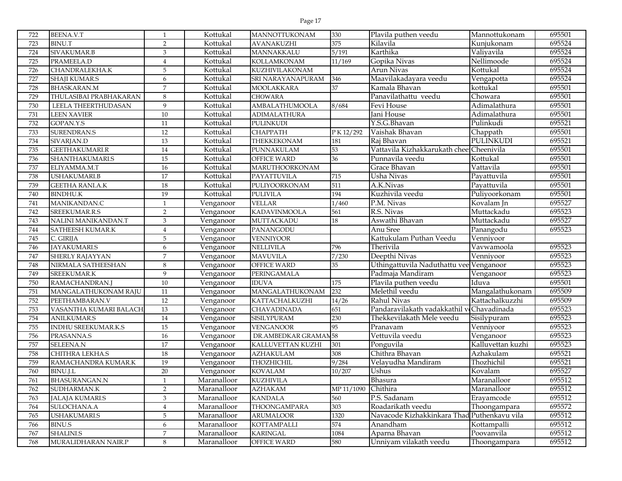| 722     | <b>BEENA.V.T</b>           | $\mathbf{1}$   | Kottukal    | MANNOTTUKONAM         | 330        | Plavila puthen veedu                        | Mannottukonam     | 695501 |
|---------|----------------------------|----------------|-------------|-----------------------|------------|---------------------------------------------|-------------------|--------|
| 723     | <b>BINU.T</b>              | $\overline{2}$ | Kottukal    | AVANAKUZHI            | 375        | Kilavila                                    | Kunjukonam        | 695524 |
| 724     | SIVAKUMAR.B                | 3              | Kottukal    | MANNAKKALU            | 5/191      | Karthika                                    | Valiyavila        | 695524 |
| 725     | PRAMEELA.D                 | $\sqrt{4}$     | Kottukal    | KOLLAMKONAM           | 11/169     | Gopika Nivas                                | Nellimoode        | 695524 |
| 726     | CHANDRALEKHA.K             | 5              | Kottukal    | KUZHIVILAKONAM        |            | <b>Arun Nivas</b>                           | Kottukal          | 695524 |
| 727     | SHAJI KUMAR.S              | 6              | Kottukal    | SRI NARAYANAPURAM     | 346        | Maavilakadayara veedu                       | Vengapotta        | 695524 |
| 728     | <b>BHASKARAN.M</b>         | $\overline{7}$ | Kottukal    | <b>MOOLAKKARA</b>     | 37         | Kamala Bhavan                               | kottukal          | 695501 |
| 729     | THULASIBAI PRABHAKARAN     | $\,8\,$        | Kottukal    | <b>CHOWARA</b>        |            | Panavilathattu veedu                        | Chowara           | 695501 |
| 730     | <b>LEELA THEERTHUDASAN</b> | 9              | Kottukal    | AMBALATHUMOOLA        | 8/684      | Fevi House                                  | Adimalathura      | 695501 |
| 731     | <b>LEEN XAVIER</b>         | 10             | Kottukal    | <b>ADIMALATHURA</b>   |            | Jani House                                  | Adimalathura      | 695501 |
| 732     | GOPAN.Y.S                  | 11             | Kottukal    | <b>PULINKUDI</b>      |            | Y.S.G.Bhavan                                | Pulinkudi         | 695521 |
| 733     | SURENDRAN.S                | 12             | Kottukal    | <b>CHAPPATH</b>       | PK 12/292  | Vaishak Bhavan                              | Chappath          | 695501 |
| 734     | SIVARJAN.D                 | 13             | Kottukal    | THEKKEKONAM           | 181        | Raj Bhavan                                  | <b>PULINKUDI</b>  | 695521 |
| 735     | GEETHAKUMARI.R             | 14             | Kottukal    | PUNNAKULAM            | 53         | Vattavila Kizhakkarukath chee Cheenivila    |                   | 695501 |
| 736     | SHANTHAKUMARI.S            | 15             | Kottukal    | OFFICE WARD           | 36         | Punnavila veedu                             | Kottukal          | 695501 |
| 737     | ELIYAMMA.M.T               | 16             | Kottukal    | MARUTHOORKONAM        |            | Grace Bhavan                                | Vattavila         | 695501 |
| 738     | USHAKUMARI.B               | 17             | Kottukal    | PAYATTUVILA           | 715        | Usha Nivas                                  | Payattuvila       | 695501 |
| 739     | <b>GEETHA RANI.A.K</b>     | 18             | Kottukal    | PULIYOORKONAM         | 511        | A.K.Nivas                                   | Pavattuvila       | 695501 |
| 740     | <b>BINDHU.K</b>            | 19             | Kottukal    | <b>PULIVILA</b>       | 194        | Kuzhivila veedu                             | Puliyoorkonam     | 695501 |
| 741     | MANIKANDAN.C               | $\mathbf{1}$   | Venganoor   | <b>VELLAR</b>         | 1/460      | P.M. Nivas                                  | Kovalam Jn        | 695527 |
| 742     | SREEKUMAR.R.S              | $\overline{2}$ | Venganoor   | <b>KADAVINMOOLA</b>   | 561        | R.S. Nivas                                  | Muttackadu        | 695523 |
| 743     | NALINI MANIKANDAN.T        | 3              | Venganoor   | MUTTACKADU            | 18         | Aswathi Bhavan                              | Muttackadu        | 695527 |
| 744     | <b>SATHEESH KUMAR.K</b>    | $\bf{4}$       | Venganoor   | PANANGODU             |            | Anu Sree                                    | Panangodu         | 695523 |
| 745     | C. GIRIJA                  | 5              | Venganoor   | <b>VENNIYOOR</b>      |            | Kattukulam Puthan Veedu                     | Vennivoor         |        |
| 746     | <b>JAYAKUMARI.S</b>        | 6              | Venganoor   | <b>NELLIVILA</b>      | 796        | Therivila                                   | Vavwamoola        | 695523 |
| 747     | SHERLY RAJAYYAN            | 7              | Venganoor   | <b>MAVUVILA</b>       | 7/230      | Deepthi Nivas                               | Vennivoor         | 695523 |
| 748     | NIRMALA SATHEESHAN         | 8              | Venganoor   | OFFICE WARD           | 35         | Uthingattuvila Naduthattu vee Venganoor     |                   | 695523 |
| 749     | <b>SREEKUMAR.K</b>         | 9              | Venganoor   | PERINGAMALA           |            | Padmaja Mandiram                            | Venganoor         | 695523 |
| 750     | RAMACHANDRAN.J             | 10             | Venganoor   | <b>IDUVA</b>          | 175        | Plavila puthen veedu                        | Iduva             | 695501 |
| 751     | MANGALATHUKONAM RAJU       | 11             | Venganoor   | MANGALATHUKONAM       | 232        | Melethil veedu                              | Mangalathukonam   | 695509 |
| 752     | PEETHAMBARAN.V             | 12             | Venganoor   | KATTACHALKUZHI        | 14/26      | Rahul Nivas                                 | Kattachalkuzzhi   | 695509 |
| 753     | VASANTHA KUMARI BALACH     | 13             | Venganoor   | CHAVADINADA           | 651        | Pandaravilakath vadakkathil v               | Chavadinada       | 695523 |
| 754     | <b>ANILKUMAR.S</b>         | 14             | Venganoor   | <b>SISILYPURAM</b>    | 230        | Thekkevilakath Mele veedu                   | Sisilypuram       | 695523 |
| 755     | INDHU SREEKUMAR.K.S        | 15             | Venganoor   | <b>VENGANOOR</b>      | 95         | $\overline{\mathrm{Pr}}$ anavam             | Venniyoor         | 695523 |
| 756     | PRASANNA.S                 | 16             | Venganoor   | DR.AMBEDKAR GRAMAN 58 |            | Vettuvila veedu                             | Venganoor         | 695523 |
| 757     | <b>SELEENA.N</b>           | 17             | Venganoor   | KALLUVETTAN KUZHI     | 301        | Ponguvila                                   | Kalluvettan kuzhi | 695523 |
| 758     | CHITHRA LEKHA.S            | 18             | Venganoor   | <b>AZHAKULAM</b>      | 308        | Chithra Bhavan                              | Azhakulam         | 695521 |
| 759     | RAMACHANDRA KUMAR.K        | 19             | Venganoor   | THOZHICHIL            | 9/284      | Velayudha Mandiram                          | Thozhichil        | 695521 |
| 760     | <b>BINU.J.L</b>            | 20             | Venganoor   | <b>KOVALAM</b>        | 10/207     | Ushus                                       | Kovalam           | 695527 |
| $761\,$ | <b>BHASURANGAN.N</b>       | $\mathbf{1}$   | Maranalloor | <b>KUZHIVILA</b>      |            | Bhasura                                     | Maranalloor       | 695512 |
| 762     | SUDHARMAN.K                | $\overline{2}$ | Maranalloor | <b>AZHAKAM</b>        | MP 11/1090 | Chithira                                    | Maranalloor       | 695512 |
| 763     | <b>JALAJA KUMARI.S</b>     | 3              | Maranalloor | <b>KANDALA</b>        | 560        | P.S. Sadanam                                | Erayamcode        | 695512 |
| 764     | SULOCHANA.A                | $\overline{4}$ | Maranalloor | THOONGAMPARA          | 303        | Roadarikath veedu                           | Thoongampara      | 695572 |
| 765     | <b>USHAKUMARI.S</b>        | 5              | Maranalloor | <b>ARUMALOOR</b>      | 1320       | Navacode Kizhakkinkara Thad Puthenkavu vila |                   | 695512 |
| 766     | <b>BINU.S</b>              | 6              | Maranalloor | <b>KOTTAMPALLI</b>    | 574        | Anandham                                    | Kottampalli       | 695512 |
| 767     | SHALINI.S                  | $\overline{7}$ | Maranalloor | <b>KARINGAL</b>       | 1084       | Aparna Bhavan                               | Poovanvila        | 695512 |
| 768     | MURALIDHARAN NAIR.P        | 8              | Maranalloor | OFFICE WARD           | 580        | Unniyam vilakath veedu                      | Thoongampara      | 695512 |
|         |                            |                |             |                       |            |                                             |                   |        |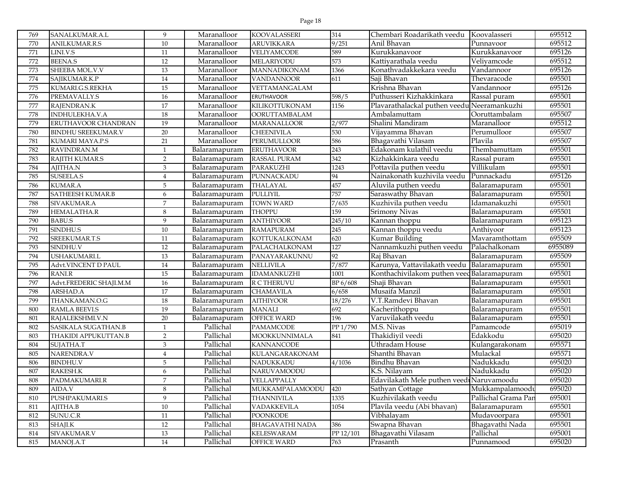| 769 | SANALKUMAR.A.L            | 9              | Maranalloor   | <b>KOOVALASSERI</b>    | 314                   | Chembari Roadarikath veedu Koovalasseri     |                     | 695512  |
|-----|---------------------------|----------------|---------------|------------------------|-----------------------|---------------------------------------------|---------------------|---------|
| 770 | ANILKUMAR.R.S             | 10             | Maranalloor   | <b>ARUVIKKARA</b>      | 9/251                 | Anil Bhavan                                 | Punnavoor           | 695512  |
| 771 | LINI.V.S                  | 11             | Maranalloor   | VELIYAMCODE            | 589                   | Kurukkanavoor                               | Kurukkanavoor       | 695126  |
| 772 | <b>BEENA.S</b>            | 12             | Maranalloor   | MELARIYODU             | 573                   | Kattiyarathala veedu                        | Veliyamcode         | 695512  |
| 773 | SHEEBA MOL.V.V            | 13             | Maranalloor   | MANNADIKONAM           | 1366                  | Konathvadakkekara veedu                     | Vandannoor          | 695126  |
| 774 | SAJIKUMAR.K.P             | 14             | Maranalloor   | <b>VANDANNOOR</b>      | 611                   | Saji Bhavan                                 | Thevaracode         | 695501  |
| 775 | KUMARI.G.S.REKHA          | 15             | Maranalloor   | VETTAMANGALAM          |                       | Krishna Bhavan                              | Vandannoor          | 695126  |
| 776 | PREMAVALLY.S              | 16             | Maranalloor   | <b>ERUTHAVOOR</b>      | 598/5                 | Puthusseri Kizhakkinkara                    | Rassal puram        | 695501  |
| 777 | RAJENDRAN.K               | 17             | Maranalloor   | KILIKOTTUKONAM         | 1156                  | Plavarathalackal puthen veedu Neeramankuzhi |                     | 695501  |
| 778 | INDHULEKHA.V.A            | 18             | Maranalloor   | OORUTTAMBALAM          |                       | Ambalamuttam                                | Ooruttambalam       | 695507  |
| 779 | ERUTHAVOOR CHANDRAN       | 19             | Maranalloor   | MARANALLOOR            | 2/977                 | Shalini Mandiram                            | Maranalloor         | 695512  |
| 780 | <b>BINDHU SREEKUMAR.V</b> | 20             | Maranalloor   | <b>CHEENIVILA</b>      | 530                   | Vijayamma Bhavan                            | Perumulloor         | 695507  |
| 781 | KUMARI MAYA.P.S           | 21             | Maranalloor   | <b>PERUMULLOOR</b>     | 586                   | Bhagavathi Vilasam                          | Plavila             | 695507  |
| 782 | RAVINDRAN.M               | $\mathbf{1}$   | Balaramapuram | <b>ERUTHAVOOR</b>      | 243                   | Edakonam kulathil veedu                     | Thembamuttam        | 695501  |
| 783 | RAJITH KUMAR.S            | $\overline{2}$ | Balaramapuram | <b>RASSAL PURAM</b>    | 342                   | Kizhakkinkara veedu                         | Rassal puram        | 695501  |
| 784 | AJITHA.N                  | $\mathfrak{B}$ | Balaramapuram | <b>PARAKUZHI</b>       | 1243                  | Pottavila puthen veedu                      | Villikulam          | 695501  |
| 785 | SUSEELA.S                 | $\overline{4}$ | Balaramapuram | PUNNACKADU             | 94                    | Nainakonath kuzhivila veedu                 | Punnackadu          | 695126  |
| 786 | <b>KUMAR.A</b>            | 5              | Balaramapuram | THALAYAL               | 457                   | Aluvila puthen veedu                        | Balaramapuram       | 695501  |
| 787 | SATHEESH KUMAR.B          | 6              | Balaramapuram | <b>PULLIYIL</b>        | 757                   | Saraswathy Bhavan                           | Balaramapuram       | 695501  |
| 788 | SIVAKUMAR.A               | $\overline{7}$ | Balaramapuram | <b>TOWN WARD</b>       | 7/635                 | Kuzhivila puthen veedu                      | Idamanakuzhi        | 695501  |
| 789 | HEMALATHA.R               | 8              | Balaramapuram | <b>THOPPU</b>          | 159                   | <b>Srimony Nivas</b>                        | Balaramapuram       | 695501  |
| 790 | <b>BABU.S</b>             | 9              | Balaramapuram | <b>ANTHIYOOR</b>       | 245/10                | Kannan thoppu                               | Balaramapuram       | 695123  |
| 791 | SINDHU.S                  | 10             | Balaramapuram | <b>RAMAPURAM</b>       | 245                   | Kannan thoppu veedu                         | Anthiyoor           | 695123  |
| 792 | SREEKUMAR.T.S             | 11             | Balaramapuram | KOTTUKALKONAM          | 620                   | Kumar Building                              | Mavaramthottam      | 695509  |
| 793 | SINDHU.V                  | 12             | Balaramapuram | PALACHALKONAM          | 127                   | Nannamkuzhi puthen veedu                    | Palachalkonam       | 6955089 |
| 794 | USHAKUMARI.L              | 13             | Balaramapuram | PANAYARAKUNNU          | 92                    | Raj Bhavan                                  | Balaramapuram       | 695509  |
| 795 | Advt.VINCENT D PAUL       | 14             | Balaramapuram | <b>NELLIVILA</b>       | 7/877                 | Karunya, Vattavilakath veedu Balaramapuram  |                     | 695501  |
| 796 | RANI.R                    | 15             | Balaramapuram | <b>IDAMANKUZHI</b>     | 1001                  | Konthachivilakom puthen veedBalaramapuram   |                     | 695501  |
| 797 | Advt.FREDERIC SHAJI.M.M   | 16             | Balaramapuram | R C THERUVU            | $\overline{BP}$ 6/608 | Shaji Bhavan                                | Balaramapuram       | 695501  |
| 798 | ARSHAD.A                  | 17             | Balaramapuram | <b>CHAMAVILA</b>       | 6/658                 | Musaifa Manzil                              | Balaramapuram       | 695501  |
| 799 | THANKAMAN.O.G             | 18             | Balaramapuram | <b>AITHIYOOR</b>       | 18/276                | V.T.Ramdevi Bhavan                          | Balaramapuram       | 695501  |
| 800 | <b>RAMLA BEEVI.S</b>      | 19             | Balaramapuram | <b>MANALI</b>          | 692                   | Kacherithoppu                               | Balaramapuram       | 695501  |
| 801 | RAJALEKSHMI.V.N           | 20             | Balaramapuram | OFFICE WARD            | 196                   | Varuvilakath veedu                          | Balaramapuram       | 695501  |
| 802 | SASIKALA SUGATHAN.B       | $\mathbf{1}$   | Pallichal     | PAMAMCODE              | PP 1/790              | M.S. Nivas                                  | Pamamcode           | 695019  |
| 803 | THAKIDI APPUKUTTAN.B      | $\overline{2}$ | Pallichal     | MOOKKUNNIMALA          | 841                   | Thakidivil veedi                            | Edakkodu            | 695020  |
| 804 | SUJATHA.T                 | 3              | Pallichal     | <b>KANNANCODE</b>      |                       | Uthradam House                              | Kulangarakonam      | 695571  |
| 805 | NARENDRA.V                | $\overline{4}$ | Pallichal     | KULANGARAKONAM         |                       | Shanthi Bhavan                              | Mulackal            | 695571  |
| 806 | <b>BINDHU.V</b>           | 5              | Pallichal     | NADUKKADU              | 4/1036                | Bindhu Bhavan                               | Nadukkadu           | 695020  |
| 807 | RAKESH.K                  | 6              | Pallichal     | <b>NARUVAMOODU</b>     |                       | K.S. Nilayam                                | Nadukkadu           | 695020  |
| 808 | PADMAKUMARI.R             | 7              | Pallichal     | VELLAPPALLY            |                       | Edavilakath Mele puthen veed: Naruvamoodu   |                     | 695020  |
| 809 | AIDA.V                    | $\,8\,$        | Pallichal     | MUKKAMPALAMOODU        | 420                   | Sathyan Cottage                             | Mukkampalamoodu     | 695020  |
| 810 | PUSHPAKUMARI.S            | 9              | Pallichal     | THANNIVILA             | 1335                  | Kuzhivilakath veedu                         | Pallichal Grama Par | 695001  |
| 811 | AJITHA.B                  | $10\,$         | Pallichal     | VADAKKEVILA            | 1054                  | Plavila veedu (Abi bhavan)                  | Balaramapuram       | 695501  |
| 812 | SUNU.C.R                  | 11             | Pallichal     | <b>POONKODE</b>        |                       | Vibhalayam                                  | Mudavoorpara        | 695501  |
| 813 | SHAJI.K                   | $12\,$         | Pallichal     | <b>BHAGAVATHI NADA</b> | 386                   | Swapna Bhavan                               | Bhagavathi Nada     | 695501  |
| 814 | SIVAKUMAR.V               | $13\,$         | Pallichal     | <b>KELESWARAM</b>      | PP 12/101             | Bhagavathi Vilasam                          | Pallichal           | 695001  |
| 815 | MANOJ.A.T                 | $14\,$         | Pallichal     | OFFICE WARD            | 763                   | Prasanth                                    | Punnamood           | 695020  |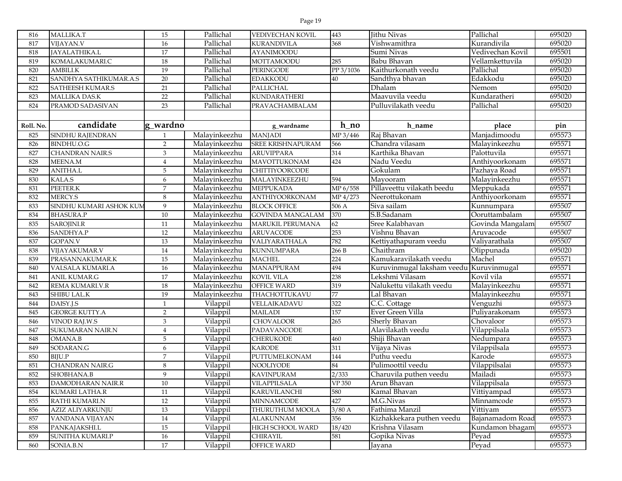| 816       | <b>MALLIKA.T</b>        | 15             | Pallichal     | <b>VEDIVECHAN KOVIL</b>  | 443                    | <b>Jithu Nivas</b>                      | Pallichal        | 695020 |
|-----------|-------------------------|----------------|---------------|--------------------------|------------------------|-----------------------------------------|------------------|--------|
| 817       | VIJAYAN.V               | 16             | Pallichal     | <b>KURANDIVILA</b>       | 368                    | Vishwamithra                            | Kurandivila      | 695020 |
| 818       | JAYALATHIKA.L           | 17             | Pallichal     | <b>AYANIMOODU</b>        |                        | Sumi Nivas                              | Vedivechan Kovil | 695501 |
| 819       | KOMALAKUMARI.C          | $18\,$         | Pallichal     | <b>MOTTAMOODU</b>        | 285                    | <b>Babu Bhavan</b>                      | Vellamkettuvila  | 695020 |
| 820       | <b>AMBILI.K</b>         | 19             | Pallichal     | <b>PERINGODE</b>         | $\overline{PP}$ 3/1036 | Kaithurkonath veedu                     | Pallichal        | 695020 |
| 821       | SANDHYA SATHIKUMAR.A.S  | 20             | Pallichal     | <b>EDAKKODU</b>          | 40                     | Sandthya bhavan                         | Edakkodu         | 695020 |
| 822       | SATHEESH KUMAR.S        | 21             | Pallichal     | <b>PALLICHAL</b>         |                        | Dhalam                                  | Nemom            | 695020 |
| 823       | <b>MALLIKA DAS.K</b>    | 22             | Pallichal     | KUNDARATHERI             |                        | Maavuvila veedu                         | Kundaratheri     | 695020 |
| 824       | PRAMOD SADASIVAN        | 23             | Pallichal     | PRAVACHAMBALAM           |                        | Pulluvilakath veedu                     | Pallichal        | 695020 |
|           |                         |                |               |                          |                        |                                         |                  |        |
| Roll. No. | candidate               | g_wardno       |               | g_wardname               | $h$ no                 | h_name                                  | place            | pin    |
| 825       | SINDHU RAJENDRAN        | $\mathbf{1}$   | Malayinkeezhu | <b>MANJADI</b>           | MP 3/446               | Raj Bhavan                              | Manjadimoodu     | 695573 |
| 826       | <b>BINDHU.O.G</b>       | 2              | Malayinkeezhu | <b>SREE KRISHNAPURAM</b> | 566                    | Chandra vilasam                         | Malayinkeezhu    | 695571 |
| 827       | <b>CHANDRAN NAIR.S</b>  | 3              | Malayinkeezhu | <b>ARUVIPPARA</b>        | 314                    | Karthika Bhavan                         | Palottuvila      | 695571 |
| 828       | MEENA.M                 | $\overline{4}$ | Malayinkeezhu | <b>MAVOTTUKONAM</b>      | 424                    | Nadu Veedu                              | Anthiyoorkonam   | 695571 |
| 829       | ANITHA.L                | 5              | Malayinkeezhu | <b>CHITTIYOORCODE</b>    |                        | Gokulam                                 | Pazhaya Road     | 695571 |
| 830       | KALA.S                  | 6              | Malayinkeezhu | MALAYINKEEZHU            | 594                    | $\overline{\text{M}}$ ayooram           | Malayinkeezhu    | 695571 |
| 831       | PEETER.K                | $\overline{7}$ | Malayinkeezhu | <b>MEPPUKADA</b>         | MP 6/558               | Pillaveettu vilakath beedu              | Meppukada        | 695571 |
| 832       | MERCY.S                 | 8              | Malayinkeezhu | ANTHIYOORKONAM           | MP 4/273               | Neerottukonam                           | Anthiyoorkonam   | 695571 |
| 833       | SINDHU KUMARI ASHOK KUM | 9              | Malayinkeezhu | <b>BLOCK OFFICE</b>      | 506 A                  | Siva sailam                             | Kunnumpara       | 695507 |
| 834       | <b>BHASURA.P</b>        | 10             | Malayinkeezhu | <b>GOVINDA MANGALAM</b>  | 370                    | S.B.Sadanam                             | Ooruttambalam    | 695507 |
| 835       | SAROJINI.R              | 11             | Malayinkeezhu | MARUKIL PERUMANA         | 62                     | Sree Kalabhavan                         | Govinda Mangalam | 695507 |
| 836       | SANDHYA.P               | 12             | Malayinkeezhu | <b>ARUVACODE</b>         | 253                    | Vishnu Bhavan                           | Aruvacode        | 695507 |
| 837       | GOPAN.V                 | 13             | Malayinkeezhu | VALIYARATHALA            | 782                    | Kettiyathapuram veedu                   | Valiyarathala    | 695507 |
| 838       | VIJAYAKUMAR.V           | $14\,$         | Malayinkeezhu | <b>KUNNUMPARA</b>        | 266 B                  | Chaithram                               | Olippunada       | 695020 |
| 839       | PRASANNAKUMAR.K         | 15             | Malayinkeezhu | <b>MACHEL</b>            | 224                    | Kamukaravilakath veedu                  | Machel           | 695571 |
| 840       | VALSALA KUMARI.A        | 16             | Malayinkeezhu | <b>MANAPPURAM</b>        | 494                    | Kuruvinmugal laksham veedu Kuruvinmugal |                  | 695571 |
| 841       | <b>ANIL KUMAR.G</b>     | 17             | Malayinkeezhu | <b>KOVIL VILA</b>        | 238                    | Lekshmi Vilasam                         | Kovil vila       | 695571 |
| 842       | REMA KUMARI.V.R         | 18             | Malavinkeezhu | <b>OFFICE WARD</b>       | 319                    | Nalukettu vilakath veedu                | Malayinkeezhu    | 695571 |
| 843       | SHIBU LAL.K             | 19             | Malayinkeezhu | THACHOTTUKAVU            | 77                     | Lal Bhavan                              | Malayinkeezhu    | 695571 |
| 844       | DAISY.J.S               | $\mathbf{1}$   | Vilappil      | VELLAIKADAVU             | 322                    | C.C. Cottage                            | Venguzhi         | 695573 |
| 845       | <b>GEORGE KUTTY.A</b>   | $\overline{2}$ | Vilappil      | <b>MAILADI</b>           | 157                    | <b>Ever Green Villa</b>                 | Puliyarakonam    | 695573 |
| 846       | VINOD RAJ.W.S           | 3              | Vilappil      | CHOVALOOR                | 265                    | Sherly Bhavan                           | Chovaloor        | 695573 |
| 847       | SUKUMARAN NAIR.N        | $\bf{4}$       | Vilappil      | PADAVANCODE              |                        | Alavilakath veedu                       | Vilappilsala     | 695573 |
| 848       | OMANA.B                 | 5              | Vilappil      | <b>CHERUKODE</b>         | 460                    | Shiji Bhavan                            | Nedumpara        | 695573 |
| 849       | SODARAN.G               | 6              | Vilappil      | <b>KARODE</b>            | 311                    | Vijaya Nivas                            | Vilappilsala     | 695573 |
| 850       | BIJU.P                  | $\overline{7}$ | Vilappil      | PUTTUMELKONAM            | 144                    | Puthu veedu                             | Karode           | 695573 |
| 851       | <b>CHANDRAN NAIR.G</b>  | 8              | Vilappil      | <b>NOOLIYODE</b>         | 84                     | Pulimoottil veedu                       | Vilappilsalai    | 695573 |
| 852       | SHOBHANA.B              | 9              | Vilappil      | <b>KAVINPURAM</b>        | 2/333                  | Charuvila puthen veedu                  | Mailadi          | 695573 |
| 853       | DAMODHARAN NAIR.R       | 10             | Vilappil      | VILAPPILSALA             | VP 350                 | Arun Bhavan                             | Vilappilsala     | 695573 |
| 854       | KUMARI LATHA.R          | 11             | Vilappil      | <b>KARUVILANCHI</b>      | 580                    | Kamal Bhavan                            | Vittiyampad      | 695573 |
| 855       | RATHI KUMARI.N          | 12             | Vilappil      | MINNAMCODE               | 427                    | M.G.Nivas                               | Minnamcode       | 695573 |
| 856       | <b>AZIZ ALIYARKUNJU</b> | $13\,$         | Vilappil      | THURUTHUM MOOLA          | $3/80$ A               | Fathima Manzil                          | Vittiyam         | 695573 |
| 857       | VANDANA VIJAYAN         | $14\,$         | Vilappil      | <b>ALAKUNNAM</b>         | 356                    | Kizhakkekara puthen veedu               | Bajanamadom Road | 695573 |
| 858       | PANKAJAKSHI.L           | 15             | Vilappil      | HIGH SCHOOL WARD         | 18/420                 | Krishna Vilasam                         | Kundamon bhagam  | 695573 |
| 859       | SUNITHA KUMARI.P        | $16\,$         | Vilappil      | <b>CHIRAYIL</b>          | 581                    | Gopika Nivas                            | Pevad            | 695573 |
| 860       | SONIA.B.N               | $17\,$         | Vilappil      | OFFICE WARD              |                        | Jayana                                  | Peyad            | 695573 |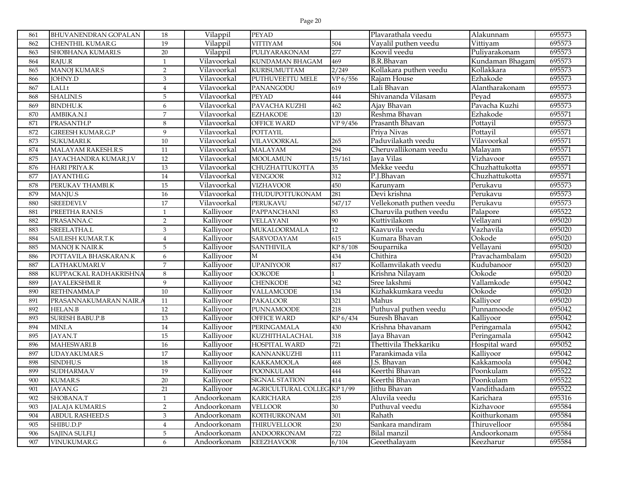| 861 | <b>BHUVANENDRAN GOPALAN</b> | 18              | Vilappil    | <b>PEYAD</b>                |          | Plavarathala veedu       | Alakunnam       | 695573 |
|-----|-----------------------------|-----------------|-------------|-----------------------------|----------|--------------------------|-----------------|--------|
| 862 | <b>CHENTHIL KUMAR.G</b>     | $\overline{19}$ | Vilappil    | <b>VITTIYAM</b>             | 504      | Vayalil puthen veedu     | Vittiyam        | 695573 |
| 863 | SHOBHANA KUMARI.S           | 20              | Vilappil    | PULIYARAKONAM               | 277      | Koovil veedu             | Puliyarakonam   | 695573 |
| 864 | RAJU.R                      | $\mathbf{1}$    | Vilavoorkal | <b>KUNDAMAN BHAGAM</b>      | 469      | <b>B.R.Bhavan</b>        | Kundaman Bhagam | 695573 |
| 865 | <b>MANOJ KUMAR.S</b>        | $\overline{2}$  | Vilavoorkal | <b>KURISUMUTTAM</b>         | 2/249    | Kollakara puthen veedu   | Kollakkara      | 695573 |
| 866 | <b>JOHNY.D</b>              | 3               | Vilavoorkal | PUTHUVEETTU MELE            | VP 6/556 | Rajam House              | Ezhakode        | 695573 |
| 867 | LALI.t                      | 4               | Vilavoorkal | PANANGODU                   | 619      | Lali Bhavan              | Alantharakonam  | 695573 |
| 868 | SHALINI.S                   | 5               | Vilavoorkal | <b>PEYAD</b>                | 444      | Shivananda Vilasam       | Peyad           | 695573 |
| 869 | <b>BINDHU.K</b>             | 6               | Vilavoorkal | PAVACHA KUZHI               | 462      | Ajay Bhavan              | Pavacha Kuzhi   | 695573 |
| 870 | AMBIKA.N.I                  | $\overline{7}$  | Vilavoorkal | <b>EZHAKODE</b>             | 120      | Reshma Bhavan            | Ezhakode        | 695571 |
| 871 | PRASANTH.P                  | 8               | Vilavoorkal | <b>OFFICE WARD</b>          | VP 9/456 | Prasanth Bhavan          | Pottavil        | 695573 |
| 872 | <b>GIREESH KUMAR.G.P</b>    | 9               | Vilavoorkal | <b>POTTAYIL</b>             |          | Priva Nivas              | Pottayil        | 695571 |
| 873 | SUKUMARI.K                  | 10              | Vilavoorkal | VILAVOORKAL                 | 265      | Paduvilakath veedu       | Vilavoorkal     | 695571 |
| 874 | MALAYAM RAKESH.R.S          | 11              | Vilavoorkal | <b>MALAYAM</b>              | 294      | Cheruvallikonam veedu    | Malayam         | 695571 |
| 875 | JAYACHANDRA KUMAR.J.V       | 12              | Vilavoorkal | <b>MOOLAMUN</b>             | 15/161   | Jaya Vilas               | Vizhavoor       | 695571 |
| 876 | <b>HARI PRIYA.K</b>         | 13              | Vilavoorkal | <b>CHUZHATTUKOTTA</b>       | 35       | Mekke veedu              | Chuzhattukotta  | 695571 |
| 877 | JAYANTHI.G                  | 14              | Vilavoorkal | <b>VENGOOR</b>              | 312      | P.J.Bhavan               | Chuzhattukotta  | 695571 |
| 878 | PERUKAV THAMBI.K            | 15              | Vilavoorkal | <b>VIZHAVOOR</b>            | 450      | Karunyam                 | Perukavu        | 695573 |
| 879 | <b>MANJU.S</b>              | 16              | Vilavoorkal | THUDUPOTTUKONAM             | 281      | Devi krishna             | Perukavu        | 695573 |
| 880 | SREEDEVI.V                  | 17              | Vilavoorkal | <b>PERUKAVU</b>             | 547/17   | Vellekonath puthen veedu | Perukavu        | 695573 |
| 881 | PREETHA RANI.S              | $\mathbf{1}$    | Kalliyoor   | PAPPANCHANI                 | 83       | Charuvila puthen veedu   | Palapore        | 695522 |
| 882 | PRASANNA.C                  | $\overline{2}$  | Kalliyoor   | VELLAYANI                   | 90       | Kuttivilakom             | Vellayani       | 695020 |
| 883 | SREELATHA.L                 | 3               | Kalliyoor   | MUKALOORMALA                | 12       | Kaavuvila veedu          | Vazhavila       | 695020 |
| 884 | SAILESH KUMAR.T.K           | $\overline{4}$  | Kalliyoor   | SARVODAYAM                  | 615      | Kumara Bhavan            | Ookode          | 695020 |
| 885 | <b>MANOJ K NAIR.K</b>       | 5               | Kalliyoor   | <b>SANTHIVILA</b>           | KP 8/108 | Souparnika               | Vellayani       | 695020 |
| 886 | POTTAVILA BHASKARAN.K       | 6               | Kalliyoor   | M                           | 434      | Chithira                 | Pravachambalam  | 695020 |
| 887 | LATHAKUMARI.V               | $\overline{7}$  | Kalliyoor   | <b>UPANIYOOR</b>            | 817      | Kollamvilakath veedu     | Kudubanoor      | 695020 |
| 888 | KUPPACKAL RADHAKRISHNA      | 8               | Kalliyoor   | <b>OOKODE</b>               |          | Krishna Nilayam          | Ookode          | 695020 |
| 889 | <b>JAYALEKSHMI.R</b>        | 9               | Kalliyoor   | <b>CHENKODE</b>             | 342      | Sree lakshmi             | Vallamkode      | 695042 |
| 890 | RETHNAMMA.P                 | 10              | Kalliyoor   | VALLAMCODE                  | 134      | Kizhakkumkara veedu      | Ookode          | 695020 |
| 891 | PRASANNAKUMARAN NAIR.A      | 11              | Kalliyoor   | <b>PAKALOOR</b>             | 321      | Mahus                    | Kalliyoor       | 695020 |
| 892 | <b>HELAN.B</b>              | 12              | Kalliyoor   | <b>PUNNAMOODE</b>           | 218      | Puthuval puthen veedu    | Punnamoode      | 695042 |
| 893 | SURESH BABU.P.B             | $13\,$          | Kalliyoor   | OFFICE WARD                 | KP 6/434 | Suresh Bhavan            | Kalliyoor       | 695042 |
| 894 | MINI.A                      | $14\,$          | Kalliyoor   | PERINGAMALA                 | 430      | Krishna bhavanam         | Peringamala     | 695042 |
| 895 | JAYAN.T                     | $\overline{15}$ | Kalliyoor   | KUZHITHALACHAL              | 318      | Jaya Bhavan              | Peringamala     | 695042 |
| 896 | MAHESWARI.B                 | 16              | Kalliyoor   | HOSPITAL WARD               | 721      | Thettivila Thekkariku    | Hospital ward   | 695052 |
| 897 | UDAYAKUMAR.S                | 17              | Kalliyoor   | KANNANKUZHI                 | 111      | Parankimada vila         | Kalliyoor       | 695042 |
| 898 | SINDHU.S                    | $18\,$          | Kallivoor   | <b>KAKKAMOOLA</b>           | 468      | [.S. Bhavan]             | Kakkamoola      | 695042 |
| 899 | SUDHARMA.V                  | 19              | Kalliyoor   | <b>POONKULAM</b>            | 444      | Keerthi Bhavan           | Poonkulam       | 695522 |
| 900 | <b>KUMAR.S</b>              | 20              | Kalliyoor   | SIGNAL STATION              | 414      | Keerthi Bhavan           | Poonkulam       | 695522 |
| 901 | JAYAN.G                     | 21              | Kalliyoor   | AGRICULTURAL COLLEGIKP 1/99 |          | Jithu Bhavan             | Vandithadam     | 695522 |
| 902 | SHOBANA.T                   | $\mathbf{1}$    | Andoorkonam | <b>KARICHARA</b>            | 235      | Aluvila veedu            | Karichara       | 695316 |
| 903 | <b>JALAJA KUMARI.S</b>      | $\overline{2}$  | Andoorkonam | <b>VELLOOR</b>              | 30       | Puthuval veedu           | Kizhavoor       | 695584 |
| 904 | <b>ABDUL RASHEED.S</b>      | $\mathfrak{Z}$  | Andoorkonam | KOITHURKONAM                | 301      | Rahath                   | Koithurkonam    | 695584 |
| 905 | SHIBU.D.P                   | $\overline{4}$  | Andoorkonam | <b>THIRUVELLOOR</b>         | 230      | Sankara mandiram         | Thiruvelloor    | 695584 |
| 906 | SAJINA SULFI.J              | 5               | Andoorkonam | ANDOORKONAM                 | 722      | Bilal manzil             | Andoorkonam     | 695584 |
| 907 | VINUKUMAR.G                 | 6               | Andoorkonam | <b>KEEZHAVOOR</b>           | 6/104    | Geeethalayam             | Keezharur       | 695584 |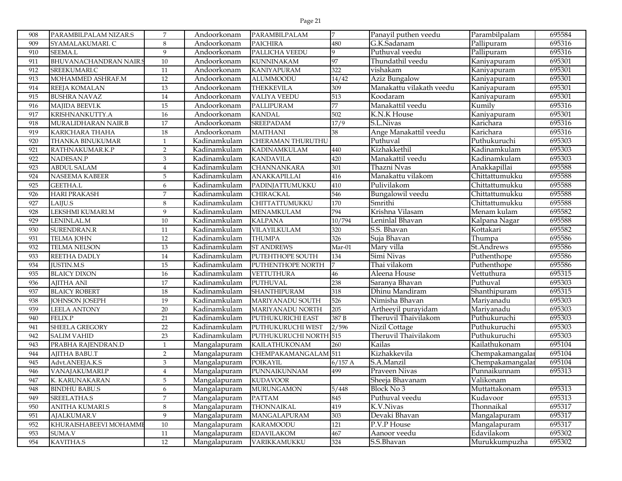| 908 | PARAMBILPALAM NIZAR.S  | 7              | Andoorkonam  | PARAMBILPALAM            | 7                | Panayil puthen veedu     | Parambilpalam    | 695584 |
|-----|------------------------|----------------|--------------|--------------------------|------------------|--------------------------|------------------|--------|
| 909 | SYAMALAKUMARI. C       | 8              | Andoorkonam  | <b>PAICHIRA</b>          | 480              | G.K.Sadanam              | Pallipuram       | 695316 |
| 910 | <b>SEEMA.L</b>         | 9              | Andoorkonam  | PALLICHA VEEDU           | 9                | Puthuval veedu           | Pallipuram       | 695316 |
| 911 | BHUVANACHANDRAN NAIR.9 | 10             | Andoorkonam  | <b>KUNNINAKAM</b>        | 97               | Thundathil veedu         | Kaniyapuram      | 695301 |
| 912 | SREEKUMARI.C           | 11             | Andoorkonam  | <b>KANIYAPURAM</b>       | 322              | vishakam                 | Kaniyapuram      | 695301 |
| 913 | MOHAMMED ASHRAF.M      | 12             | Andoorkonam  | <b>ALUMMOODU</b>         | 14/42            | Aziz Bungalow            | Kaniyapuram      | 695301 |
| 914 | REEJA KOMALAN          | 13             | Andoorkonam  | <b>THEKKEVILA</b>        | 309              | Manakattu vilakath veedu | Kaniyapuram      | 695301 |
| 915 | <b>BUSHRA NAVAZ</b>    | 14             | Andoorkonam  | <b>VALIYA VEEDU</b>      | 513              | Koodaram                 | Kaniyapuram      | 695301 |
| 916 | MAJIDA BEEVI.K         | 15             | Andoorkonam  | PALLIPURAM               | 77               | Manakattil veedu         | Kumily           | 695316 |
| 917 | KRISHNANKUTTY.A        | 16             | Andoorkonam  | <b>KANDAL</b>            | 502              | K.N.K House              | Kaniyapuram      | 695301 |
| 918 | MURALIDHARAN NAIR.B    | 17             | Andoorkonam  | <b>SREEPADAM</b>         | 17/9             | S.L.Nivas                | Karichara        | 695316 |
| 919 | KARICHARA THAHA        | 18             | Andoorkonam  | <b>MAITHANI</b>          | 38               | Ange Manakattil veedu    | Karichara        | 695316 |
| 920 | THANKA BINUKUMAR       | $\mathbf{1}$   | Kadinamkulam | <b>CHERAMAN THURUTHU</b> |                  | Puthuval                 | Puthukuruchi     | 695303 |
| 921 | RATHNAKUMAR.K.P        | 2              | Kadinamkulam | KADINAMKULAM             | 440              | Kizhakkethil             | Kadinamkulam     | 695303 |
| 922 | NADESAN.P              | 3              | Kadinamkulam | <b>KANDAVILA</b>         | 420              | Manakattil veedu         | Kadinamkulam     | 695303 |
| 923 | ABDUL SALAM            | $\overline{4}$ | Kadinamkulam | CHANNANKARA              | 301              | Thazni Nvas              | Anakkapillai     | 695588 |
| 924 | NASEEMA KABEER         | 5              | Kadinamkulam | ANAKKAPILLAI             | 416              | Manakattu vilakom        | Chittattumukku   | 695588 |
| 925 | <b>GEETHA.L</b>        | 6              | Kadinamkulam | PADINJATTUMUKKU          | 410              | Pulivilakom              | Chittattumukku   | 695588 |
| 926 | <b>HARI PRAKASH</b>    | $\overline{7}$ | Kadinamkulam | CHIRACKAL                | 546              | Bungalowil veedu         | Chittattumukku   | 695588 |
| 927 | LAIIU.S                | 8              | Kadinamkulam | CHITTATTUMUKKU           | 170              | Smrithi                  | Chittattumukku   | 695588 |
| 928 | LEKSHMI KUMARI.M       | 9              | Kadinamkulam | MENAMKULAM               | 794              | Krishna Vilasam          | Menam kulam      | 695582 |
| 929 | LENINLAL.M             | 10             | Kadinamkulam | <b>KALPANA</b>           | 10/794           | Leninlal Bhavan          | Kalpana Nagar    | 695588 |
| 930 | SURENDRAN.R            | 11             | Kadinamkulam | VILAYILKULAM             | 320              | S.S. Bhavan              | Kottakari        | 695582 |
| 931 | <b>TELMA JOHN</b>      | 12             | Kadinamkulam | <b>THUMPA</b>            | $\overline{326}$ | Suja Bhavan              | Thumpa           | 695586 |
| 932 | <b>TELMA NELSON</b>    | 13             | Kadinamkulam | <b>ST ANDREWS</b>        | $Mar-01$         | Mary villa               | St.Andrews       | 695586 |
| 933 | REETHA DADLY           | 14             | Kadinamkulam | PUTEHTHOPE SOUTH         | 134              | Simi Nivas               | Puthenthope      | 695586 |
| 934 | <b>JUSTIN.M.S</b>      | 15             | Kadinamkulam | PUTHENTHOPE NORTH        |                  | Thai vilakom             | Puthenthope      | 695586 |
| 935 | <b>BLAICY DIXON</b>    | 16             | Kadinamkulam | <b>VETTUTHURA</b>        | 46               | Aleena House             | Vettuthura       | 695315 |
| 936 | <b>AJITHA ANI</b>      | 17             | Kadinamkulam | <b>PUTHUVAL</b>          | 238              | Saranya Bhavan           | Puthuval         | 695303 |
| 937 | <b>BLAICY ROBERT</b>   | 18             | Kadinamkulam | SHANTHIPURAM             | 318              | Dhinu Mandiram           | Shanthipuram     | 695315 |
| 938 | <b>JOHNSON JOSEPH</b>  | 19             | Kadinamkulam | MARIYANADU SOUTH         | 526              | Nimisha Bhavan           | Mariyanadu       | 695303 |
| 939 | <b>LEELA ANTONY</b>    | 20             | Kadinamkulam | MARIYANADU NORTH         | 205              | Artheeyil purayidam      | Mariyanadu       | 695303 |
| 940 | FELIX.P                | 21             | Kadinamkulam | PUTHUKURICHI EAST        | 387 B            | Theruvil Thaivilakom     | Puthukuruchi     | 695303 |
| 941 | SHEELA GREGORY         | 22             | Kadinamkulam | PUTHUKURUCHI WEST        | 2/596            | Nizil Cottage            | Puthukuruchi     | 695303 |
| 942 | <b>SALIM VAHID</b>     | 23             | Kadinamkulam | PUTHUKURUCHI NORTH 515   |                  | Theruvil Thaivilakom     | Puthukuruchi     | 695303 |
| 943 | PRABHA RAJENDRAN.D     | $\mathbf{1}$   | Mangalapuram | KAILATHUKONAM            | 260              | Kailas                   | Kailathukonam    | 695104 |
| 944 | AJITHA BABU.T          | 2              | Mangalapuram | CHEMPAKAMANGALAM 511     |                  | Kizhakkevila             | Chempakamangalar | 695104 |
| 945 | Advt.ANEEJA.K.S        | 3              | Mangalapuram | <b>POIKAYIL</b>          | $6/157$ A        | S.A.Manzil               | Chempakamangalar | 695104 |
| 946 | VANAJAKUMARI.P         | $\bf 4$        | Mangalapuram | PUNNAIKUNNAM             | 499              | Praveen Nivas            | Punnaikunnam     | 695313 |
| 947 | K. KARUNAKARAN         | 5              | Mangalapuram | <b>KUDAVOOR</b>          |                  | Sheeja Bhavanam          | Valikonam        |        |
| 948 | <b>BINDHU BABU.S</b>   | 6              | Mangalapuram | <b>MURUNGAMON</b>        | 5/448            | <b>Block</b> No 3        | Muttattakonam    | 695313 |
| 949 | SREELATHA.S            | 7              | Mangalapuram | PATTAM                   | 845              | Puthuval veedu           | Kudavoor         | 695313 |
| 950 | ANITHA KUMARI.S        | $8\,$          | Mangalapuram | THONNAIKAL               | 419              | K.V.Nivas                | Thonnaikal       | 695317 |
| 951 | AJALKUMAR.V            | 9              | Mangalapuram | MANGALAPURAM             | 303              | Devaki Bhavan            | Mangalapuram     | 695317 |
| 952 | KHURAISHABEEVI MOHAMMI | 10             | Mangalapuram | <b>KARAMOODU</b>         | 121              | P.V.P House              | Mangalapuram     | 695317 |
| 953 | SUMA.V                 | 11             | Mangalapuram | <b>EDAVILAKOM</b>        | 467              | Aanoor veedu             | Edavilakom       | 695302 |
| 954 | <b>KAVITHA.S</b>       | 12             | Mangalapuram | VARIKKAMUKKU             | 324              | S.S.Bhavan               | Murukkumpuzha    | 695302 |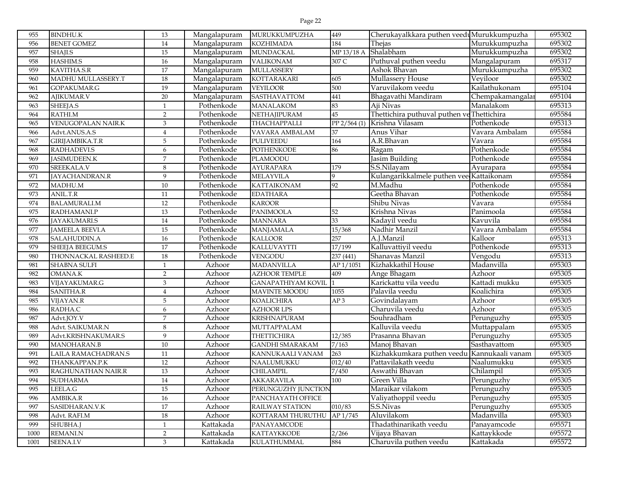| 955  | <b>BINDHU.K</b>        | 13             | Mangalapuram | MURUKKUMPUZHA             | 449                  | Cherukayalkkara puthen veeduMurukkumpuzha   |                  | 695302 |
|------|------------------------|----------------|--------------|---------------------------|----------------------|---------------------------------------------|------------------|--------|
| 956  | <b>BENET GOMEZ</b>     | 14             | Mangalapuram | <b>KOZHIMADA</b>          | 184                  | Thejas                                      | Murukkumpuzha    | 695302 |
| 957  | SHAJI.S                | 15             | Mangalapuram | <b>MUNDACKAL</b>          | MP 13/18 A Shalabham |                                             | Murukkumpuzha    | 695302 |
| 958  | HASHIM.S               | 16             | Mangalapuram | <b>VALIKONAM</b>          | 307 C                | Puthuval puthen veedu                       | Mangalapuram     | 695317 |
| 959  | KAVITHA.S.R            | 17             | Mangalapuram | <b>MULLASSERY</b>         |                      | Ashok Bhavan                                | Murukkumpuzha    | 695302 |
| 960  | MADHU MULLASSERY.T     | 18             | Mangalapuram | KOTTARAKARI               | 605                  | <b>Mullassery House</b>                     | Veyiloor         | 695302 |
| 961  | GOPAKUMAR.G            | 19             | Mangalapuram | <b>VEYILOOR</b>           | 500                  | Varuvilakom veedu                           | Kailathukonam    | 695104 |
| 962  | <b>AJIKUMAR.V</b>      | $20\,$         | Mangalapuram | SASTHAVATTOM              | 441                  | Bhagavathi Mandiram                         | Chempakamangalar | 695104 |
| 963  | SHEEJA.S               | $\mathbf{1}$   | Pothenkode   | <b>MANALAKOM</b>          | 83                   | Aji Nivas                                   | Manalakom        | 695313 |
| 964  | RATHI.M                | 2              | Pothenkode   | NETHAJIPURAM              | 45                   | Thettichira puthuval puthen ve Thettichira  |                  | 695584 |
| 965  | VENUGOPALAN NAIR.K     | 3              | Pothenkode   | THACHAPPALLI              | $PP$ 2/564 (1)       | Krishna Vilasam                             | Pothenkode       | 695313 |
| 966  | Advt.ANUS.A.S          | $\overline{4}$ | Pothenkode   | VAVARA AMBALAM            | 37                   | Anus Vihar                                  | Vavara Ambalam   | 695584 |
| 967  | GIRIJAMBIKA.T.R        | 5              | Pothenkode   | <b>PULIVEEDU</b>          | 164                  | A.R.Bhavan                                  | Vavara           | 695584 |
| 968  | RADHADEVI.S            | 6              | Pothenkode   | <b>POTHENKODE</b>         | 86                   | Ragam                                       | Pothenkode       | 695584 |
| 969  | JASIMUDEEN.K           | 7              | Pothenkode   | <b>PLAMOODU</b>           |                      | Jasim Building                              | Pothenkode       | 695584 |
| 970  | <b>SREEKALA.V</b>      | 8              | Pothenkode   | <b>AYURAPARA</b>          | 179                  | S.S.Nilayam                                 | Ayurapara        | 695584 |
| 971  | JAYACHANDRAN.R         | 9              | Pothenkode   | <b>MELAYVILA</b>          | 9                    | Kulangarikkalmele puthen vee Kattaikonam    |                  | 695584 |
| 972  | MADHU.M                | 10             | Pothenkode   | <b>KATTAIKONAM</b>        | 92                   | M.Madhu                                     | Pothenkode       | 695584 |
| 973  | ANIL.T.R               | 11             | Pothenkode   | <b>EDATHARA</b>           |                      | Geetha Bhavan                               | Pothenkode       | 695584 |
| 974  | <b>BALAMURALI.M</b>    | 12             | Pothenkode   | <b>KAROOR</b>             |                      | Shibu Nivas                                 | Vavara           | 695584 |
| 975  | RADHAMANI.P            | 13             | Pothenkode   | <b>PANIMOOLA</b>          | 52                   | Krishna Nivas                               | Panimoola        | 695584 |
| 976  | <b>JAYAKUMARI.S</b>    | 14             | Pothenkode   | <b>MANNARA</b>            | 33                   | Kadayil veedu                               | Kavuvila         | 695584 |
| 977  | <b>JAMEELA BEEVI.A</b> | 15             | Pothenkode   | <b>MANJAMALA</b>          | 15/368               | Nadhir Manzil                               | Vavara Ambalam   | 695584 |
| 978  | SALAHUDDIN.A           | 16             | Pothenkode   | <b>KALLOOR</b>            | 257                  | A.J.Manzil                                  | Kalloor          | 695313 |
| 979  | SHEEJA BEEGUM.S        | 17             | Pothenkode   | KALLUVAYTTI               | 17/199               | Kalluvattiyil veedu                         | Pothenkode       | 695313 |
| 980  | THONNACKAL RASHEED.E   | 18             | Pothenkode   | VENGODU                   | 237 (441)            | Shanavas Manzil                             | Vengodu          | 695313 |
| 981  | <b>SHABNA SULFI</b>    | $\mathbf{1}$   | Azhoor       | <b>MADANVILLA</b>         | AP 1/1051            | Kizhakkathil House                          | Madanvilla       | 695303 |
| 982  | <b>OMANA.K</b>         | 2              | Azhoor       | <b>AZHOOR TEMPLE</b>      | 409                  | Ange Bhagam                                 | Azhoor           | 695305 |
| 983  | VIJAYAKUMAR.G          | 3              | Azhoor       | <b>GANAPATHIYAM KOVIL</b> |                      | Karickattu vila veedu                       | Kattadi mukku    | 695305 |
| 984  | SANITHA.R              | $\overline{4}$ | Azhoor       | <b>MAVINTE MOODU</b>      | 1055                 | Palavila veedu                              | Koalichira       | 695305 |
| 985  | VIJAYAN.R              | 5              | Azhoor       | <b>KOALICHIRA</b>         | AP3                  | Govindalayam                                | Azhoor           | 695305 |
| 986  | RADHA.C                | 6              | Azhoor       | <b>AZHOOR LPS</b>         |                      | Charuvila veedu                             | Azhoor           | 695305 |
| 987  | Advt.JOY.V             | 7              | Azhoor       | <b>KRISHNAPURAM</b>       |                      | Souhradham                                  | Perunguzhy       | 695305 |
| 988  | Advt. SAIKUMAR.N       | 8              | Azhoor       | MUTTAPPALAM               |                      | Kalluvila veedu                             | Muttappalam      | 695305 |
| 989  | Advt.KRISHNAKUMAR.S    | 9              | Azhoor       | <b>THETTICHIRA</b>        | 12/385               | Prasanna Bhavan                             | Perunguzhy       | 695305 |
| 990  | MANOHARAN.B            | 10             | Azhoor       | <b>GANDHI SMARAKAM</b>    | 7/163                | Manoj Bhavan                                | Sasthavattom     | 695305 |
| 991  | LAILA RAMACHADRAN.S    | 11             | Azhoor       | KANNUKAALI VANAM          | 263                  | Kizhakkumkara puthen veedu Kannukaali vanam |                  | 695305 |
| 992  | THANKAPPAN.P.K         | 12             | Azhoor       | NAALUMUKKU                | 012/40               | Pattavilakath veedu                         | Naalumukku       | 695305 |
| 993  | RAGHUNATHAN NAIR.R     | 13             | Azhoor       | <b>CHILAMPIL</b>          | 7/450                | Aswathi Bhavan                              | Chilampil        | 695305 |
| 994  | <b>SUDHARMA</b>        | $14\,$         | Azhoor       | AKKARAVILA                | 100                  | Green Villa                                 | Perunguzhy       | 695305 |
| 995  | LEELA.G                | 15             | Azhoor       | PERUNGUZHY JUNCTION       |                      | Maraikar vilakom                            | Perunguzhy       | 695305 |
| 996  | AMBIKA.R               | 16             | Azhoor       | PANCHAYATH OFFICE         |                      | Valiyathoppil veedu                         | Perunguzhy       | 695305 |
| 997  | SASIDHARAN.V.K         | 17             | Azhoor       | <b>RAILWAY STATION</b>    | 010/83               | S.S.Nivas                                   | Perunguzhy       | 695305 |
| 998  | Advt. RAFI.M           | $18\,$         | Azhoor       | KOTTARAM THURUTHU         | AP 1/745             | Aluvilakom                                  | Madanvilla       | 695303 |
| 999  | SHUBHA.J               | $\mathbf{1}$   | Kattakada    | PANAYAMCODE               |                      | Thadathinarikath veedu                      | Panayamcode      | 695571 |
| 1000 | <b>REMANI.N</b>        | $\overline{2}$ | Kattakada    | KATTAYKKODE               | 2/266                | Vijaya Bhavan                               | Kattaykkode      | 695572 |
| 1001 | <b>SEENA.I.V</b>       | 3              | Kattakada    | <b>KULATHUMMAL</b>        | 884                  | Charuvila puthen veedu                      | Kattakada        | 695572 |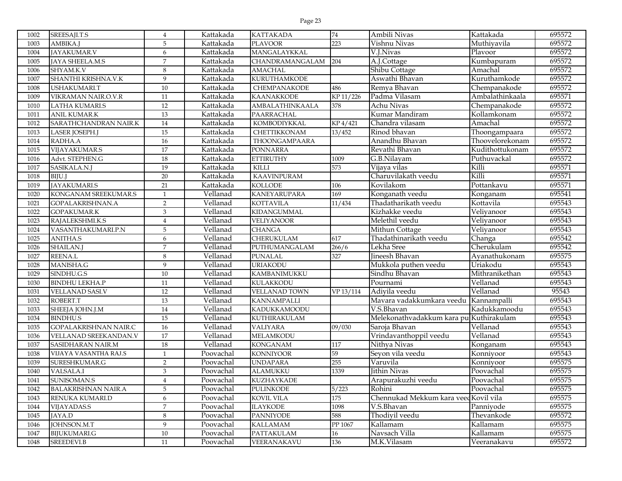| 1002 | SREESAJI.T.S               | $\overline{4}$  | Kattakada | <b>KATTAKADA</b>     | 74        | Ambili Nivas                            | Kattakada       | 695572 |
|------|----------------------------|-----------------|-----------|----------------------|-----------|-----------------------------------------|-----------------|--------|
| 1003 | AMBIKA.J                   | 5               | Kattakada | <b>PLAVOOR</b>       | 223       | Vishnu Nivas                            | Muthiyavila     | 695572 |
| 1004 | <b>JAYAKUMAR.V</b>         | 6               | Kattakada | MANGALAYKKAL         |           | V.J.Nivas                               | Plavoor         | 695572 |
| 1005 | JAYA SHEELA.M.S            | $\overline{7}$  | Kattakada | CHANDRAMANGALAM      | 204       | A.J.Cottage                             | Kumbapuram      | 695572 |
| 1006 | SHYAM.K.V                  | 8               | Kattakada | <b>AMACHAL</b>       |           | Shibu Cottage                           | Amachal         | 695572 |
| 1007 | SHANTHI KRISHNA.V.K        | 9               | Kattakada | <b>KURUTHAMKODE</b>  |           | Aswathi Bhavan                          | Kuruthamkode    | 695572 |
| 1008 | USHAKUMARI.T               | 10              | Kattakada | CHEMPANAKODE         | 486       | Remya Bhavan                            | Chempanakode    | 695572 |
| 1009 | VIKRAMAN NAIR.O.V.R        | 11              | Kattakada | <b>KAANAKKODE</b>    | KP 11/226 | Padma Vilasam                           | Ambalathinkaala | 695571 |
| 1010 | <b>LATHA KUMARI.S</b>      | 12              | Kattakada | AMBALATHINKAALA      | 378       | Achu Nivas                              | Chempanakode    | 695572 |
| 1011 | <b>ANIL KUMAR.K</b>        | 13              | Kattakada | PAARRACHAL           |           | Kumar Mandiram                          | Kollamkonam     | 695572 |
| 1012 | SARATHCHANDRAN NAIR.K      | $\overline{14}$ | Kattakada | KOMBODIYKKAL         | KP 4/421  | Chandra vilasam                         | Amachal         | 695572 |
| 1013 | LASER JOSEPH.J             | 15              | Kattakada | CHETTIKKONAM         | 13/452    | Rinod bhavan                            | Thoongampaara   | 695572 |
| 1014 | RADHA.A                    | 16              | Kattakada | THOONGAMPAARA        |           | Anandhu Bhavan                          | Thoovelorekonam | 695572 |
| 1015 | VIJAYAKUMAR.S              | 17              | Kattakada | <b>PONNARRA</b>      |           | Revathi Bhavan                          | Kudithottukonam | 695572 |
| 1016 | Advt. STEPHEN.G            | 18              | Kattakada | <b>ETTIRUTHY</b>     | 1009      | G.B.Nilayam                             | Puthuvackal     | 695572 |
| 1017 | SASIKALA.N.J               | 19              | Kattakada | <b>KILLI</b>         | 573       | Vijaya vilas                            | Killi           | 695571 |
| 1018 | BIJU.J                     | 20              | Kattakada | <b>KAAVINPURAM</b>   |           | Charuvilakath veedu                     | Killi           | 695571 |
| 1019 | <b>JAYAKUMARI.S</b>        | 21              | Kattakada | <b>KOLLODE</b>       | 106       | Kovilakom                               | Pottankavu      | 695571 |
| 1020 | KONGANAM SREEKUMAR.S       | $\mathbf{1}$    | Vellanad  | <b>KANEYARUPARA</b>  | 169       | Konganath veedu                         | Konganam        | 695541 |
| 1021 | GOPALAKRISHNAN.A           | $\overline{2}$  | Vellanad  | <b>KOTTAVILA</b>     | 11/434    | Thadatharikath veedu                    | Kottavila       | 695543 |
| 1022 | GOPAKUMAR.K                | 3               | Vellanad  | KIDANGUMMAL          |           | Kizhakke veedu                          | Veliyanoor      | 695543 |
| 1023 | RAJALEKSHMI.K.S            | $\bf{4}$        | Vellanad  | <b>VELIYANOOR</b>    |           | Melethil veedu                          | Veliyanoor      | 695543 |
| 1024 | VASANTHAKUMARI.P.N         | 5               | Vellanad  | <b>CHANGA</b>        |           | Mithun Cottage                          | Velivanoor      | 695543 |
| 1025 | <b>ANITHA.S</b>            | 6               | Vellanad  | <b>CHERUKULAM</b>    | 617       | Thadathinarikath veedu                  | Changa          | 695542 |
| 1026 | SHAILAN.J                  | $\overline{7}$  | Vellanad  | PUTHUMANGALAM        | 266/6     | Lekha Sree                              | Cherukulam      | 695542 |
| 1027 | <b>REENA.L</b>             | $\,8\,$         | Vellanad  | <b>PUNALAL</b>       | 327       | Jineesh Bhavan                          | Ayanathukonam   | 695575 |
| 1028 | <b>MANISHA.G</b>           | 9               | Vellanad  | URIAKODU             |           | Mukkola puthen veedu                    | Uriakodu        | 695543 |
| 1029 | SINDHU.G.S                 | 10              | Vellanad  | KAMBANIMUKKU         |           | Sindhu Bhavan                           | Mithranikethan  | 695543 |
| 1030 | <b>BINDHU LEKHA.P</b>      | 11              | Vellanad  | <b>KULAKKODU</b>     |           | Pournami                                | Vellanad        | 695543 |
| 1031 | <b>VELLANAD SASI.V</b>     | 12              | Vellanad  | <b>VELLANAD TOWN</b> | VP 13/114 | Adivila veedu                           | Vellanad        | 95543  |
| 1032 | ROBERT.T                   | 13              | Vellanad  | <b>KANNAMPALLI</b>   |           | Mavara vadakkumkara veedu Kannampalli   |                 | 695543 |
| 1033 | SHEEJA JOHN.J.M            | 14              | Vellanad  | <b>KADUKKAMOODU</b>  |           | V.S.Bhavan                              | Kadukkamoodu    | 695543 |
| 1034 | <b>BINDHU.S</b>            | 15              | Vellanad  | <b>KUTHIRAKULAM</b>  |           | Melekonathvadakkum kara pu Kuthirakulam |                 | 695543 |
| 1035 | GOPALAKRISHNAN NAIR.C      | 16              | Vellanad  | <b>VALIYARA</b>      | 09/030    | Saroja Bhavan                           | Vellanad        | 695543 |
| 1036 | VELLANAD SREEKANDAN.V      | 17              | Vellanad  | MELAMKODU            |           | Vrindavanthoppil veedu                  | Vellanad        | 695543 |
| 1037 | <b>SASIDHARAN NAIR.M</b>   | $\overline{18}$ | Vellanad  | <b>KONGANAM</b>      | 117       | Nithya Nivas                            | Konganam        | 695543 |
| 1038 | VIJAYA VASANTHA RAJ.S      | $\mathbf{1}$    | Poovachal | <b>KONNIYOOR</b>     | 59        | Seyon vila veedu                        | Konniyoor       | 695543 |
| 1039 | SURESHKUMAR.G              | $\overline{2}$  | Poovachal | <b>UNDAPARA</b>      | 255       | Varuvila                                | Konniyoor       | 695575 |
| 1040 | <b>VALSALA.I</b>           | $\,3$           | Poovachal | <b>ALAMUKKU</b>      | 1339      | <b>Jithin Nivas</b>                     | Poovachal       | 695575 |
| 1041 | SUNISOMAN.S                | $\overline{4}$  | Poovachal | KUZHAYKADE           |           | Arapurakuzhi veedu                      | Poovachal       | 695575 |
| 1042 | <b>BALAKRISHNAN NAIR.A</b> | 5               | Poovachal | <b>PULINKODE</b>     | 5/223     | Rohini                                  | Poovachal       | 695575 |
| 1043 | RENUKA KUMARI.D            | 6               | Poovachal | KOVIL VILA           | 175       | Chennukad Mekkum kara veed Kovil vila   |                 | 695575 |
| 1044 | <b>VIJAYADAS.S</b>         | 7               | Poovachal | <b>ILAYKODE</b>      | 1098      | $\overline{\text{V.S}}$ .Bhavan         | Panniyode       | 695575 |
| 1045 | JAYA.D                     | 8               | Poovachal | <b>PANNIYODE</b>     | 588       | Thodiyil veedu                          | Thevankode      | 695572 |
| 1046 | JOHNSON.M.T                | 9               | Poovachal | <b>KALLAMAM</b>      | PP 1067   | Kallamam                                | Kallamam        | 695575 |
| 1047 | <b>BIJUKUMARI.G</b>        | 10              | Poovachal | <b>PATTAKULAM</b>    | 16        | Navsach Villa                           | Kallamam        | 695575 |
| 1048 | SREEDEVI.B                 | 11              | Poovachal | VEERANAKAVU          | 136       | M.K.Vilasam                             | Veeranakavu     | 695572 |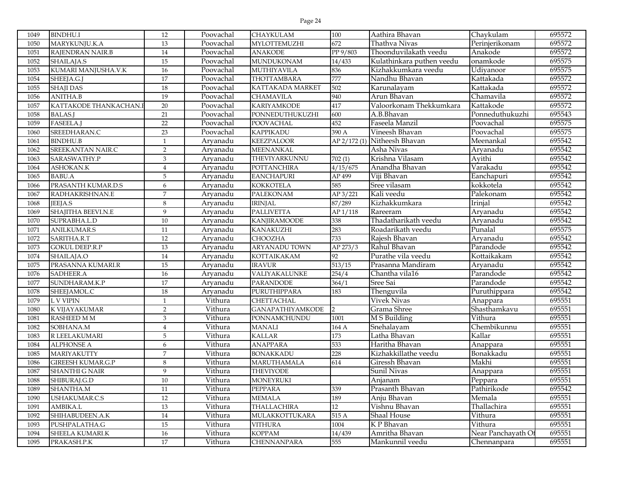| 1049     | <b>BINDHU.I</b>          | 12             | Poovachal | <b>CHAYKULAM</b>        | 100         | Aathira Bhavan            | Chaykulam          | 695572 |
|----------|--------------------------|----------------|-----------|-------------------------|-------------|---------------------------|--------------------|--------|
| 1050     | MARYKUNJU.K.A            | 13             | Poovachal | <b>MYLOTTEMUZHI</b>     | 672         | Thathva Nivas             | Perinjerikonam     | 695572 |
| 1051     | RAJENDRAN NAIR.B         | 14             | Poovachal | <b>ANAKODE</b>          | PP 9/803    | Thoonduvilakath veedu     | Anakode            | 695572 |
| 1052     | SHAILAJA.S               | 15             | Poovachal | <b>MUNDUKONAM</b>       | 14/433      | Kulathinkara puthen veedu | onamkode           | 695575 |
| 1053     | KUMARI MANJUSHA.V.K      | 16             | Poovachal | MUTHIYAVILA             | 836         | Kizhakkumkara veedu       | Udiyanoor          | 695575 |
| 1054     | SHEEJA.G.J               | 17             | Poovachal | THOTTAMBARA             | 777         | Nandhu Bhavan             | Kattakada          | 695572 |
| 1055     | <b>SHAJI DAS</b>         | 18             | Poovachal | <b>KATTAKADA MARKET</b> | 502         | Karunalayam               | Kattakada          | 695572 |
| 1056     | <b>ANITHA.B</b>          | 19             | Poovachal | <b>CHAMAVILA</b>        | 940         | Arun Bhavan               | Chamavila          | 695572 |
| 1057     | KATTAKODE THANKACHAN.I   | 20             | Poovachal | <b>KARIYAMKODE</b>      | 417         | Valoorkonam Thekkumkara   | Kattakode          | 695572 |
| 1058     | <b>BALAS.J</b>           | 21             | Poovachal | PONNEDUTHUKUZHI         | 600         | A.B.Bhavan                | Ponneduthukuzhi    | 695543 |
| 1059     | <b>FASEELA.J</b>         | 22             | Poovachal | <b>POOVACHAL</b>        | 452         | Faseela Manzil            | Poovachal          | 695575 |
| 1060     | SREEDHARAN.C             | 23             | Poovachal | <b>KAPPIKADU</b>        | 390 A       | Vineesh Bhavan            | Poovachal          | 695575 |
| 1061     | <b>BINDHU.B</b>          | $\mathbf{1}$   | Aryanadu  | <b>KEEZPALOOR</b>       | AP 2/172(1) | Nitheesh Bhavan           | Meenankal          | 695542 |
| 1062     | <b>SREEKANTAN NAIR.C</b> | $\overline{2}$ | Aryanadu  | <b>MEENANKAL</b>        |             | Asha Nivas                | Aryanadu           | 695542 |
| 1063     | SARASWATHY.P             | 3              | Aryanadu  | THEVIYARKUNNU           | 702(1)      | Krishna Vilasam           | Avithi             | 695542 |
| 1064     | ASHOKAN.K                | $\overline{4}$ | Aryanadu  | POTTANCHIRA             | 4/15/675    | Anandha Bhavan            | Varakadu           | 695542 |
| 1065     | <b>BABU.A</b>            | 5              | Aryanadu  | <b>EANCHAPURI</b>       | AP 499      | Viji Bhavan               | Eanchapuri         | 695542 |
| 1066     | PRASANTH KUMAR.D.S       | 6              | Aryanadu  | <b>KOKKOTELA</b>        | 585         | Sree vilasam              | kokkotela          | 695542 |
| 1067     | RADHAKRISHNAN.E          | $\overline{7}$ | Aryanadu  | <b>PALEKONAM</b>        | AP 3/221    | Kali veedu                | Palekonam          | 695542 |
| 1068     | <b>IEEIA.S</b>           | 8              | Aryanadu  | <b>IRINJAL</b>          | 87/289      | Kizhakkumkara             | Irinjal            | 695542 |
| 1069     | SHAJITHA BEEVI.N.E       | 9              | Aryanadu  | <b>PALLIVETTA</b>       | AP 1/118    | Rareeram                  | Aryanadu           | 695542 |
| 1070     | SUPRABHA.L.D             | 10             | Aryanadu  | <b>KANJIRAMOODE</b>     | 338         | Thadatharikath veedu      | Aryanadu           | 695542 |
| 1071     | <b>ANILKUMAR.S</b>       | 11             | Arvanadu  | <b>KANAKUZHI</b>        | 283         | Roadarikath veedu         | Punalal            | 695575 |
| 1072     | SARITHA.R.T              | 12             | Aryanadu  | <b>CHOOZHA</b>          | 733         | Rajesh Bhavan             | Aryanadu           | 695542 |
| 1073     | <b>GOKUL DEEP.R.P</b>    | 13             | Aryanadu  | <b>ARYANADU TOWN</b>    | AP 273/3    | Rahul Bhavan              | Parandode          | 695542 |
| 1074     | SHAILAJA.O               | 14             | Aryanadu  | <b>KOTTAIKAKAM</b>      | 92          | Purathe vila veedu        | Kottaikakam        | 695542 |
| 1075     | PRASANNA KUMARI.R        | 15             | Aryanadu  | <b>IRAVUR</b>           | 513/15      | Prasanna Mandiram         | Aryanadu           | 695542 |
| 1076     | SADHEER.A                | 16             | Aryanadu  | VALIYAKALUNKE           | 254/4       | Chantha vila16            | Parandode          | 695542 |
| 1077     | SUNDHARAM.K.P            | 17             | Aryanadu  | <b>PARANDODE</b>        | 364/1       | Sree Sai                  | Parandode          | 695542 |
| 1078     | SHEEJAMOL.C              | 18             | Aryanadu  | PURUTHIPPARA            | 183         | Thenguvila                | Puruthippara       | 695542 |
| 1079     | <b>LV VIPIN</b>          | $\mathbf{1}$   | Vithura   | CHETTACHAL              |             | <b>Vivek Nivas</b>        | Anappara           | 695551 |
| 1080     | K VIJAYAKUMAR            | $\overline{2}$ | Vithura   | <b>GANAPATHIYAMKODE</b> | 2           | Grama Shree               | Shasthamkavu       | 695551 |
| 1081     | RASHEED M M              | 3              | Vithura   | PONNAMCHUNDU            | 1001        | M S Building              | Vithura            | 695551 |
| 1082     | SOBHANA.M                | $\overline{4}$ | Vithura   | <b>MANALI</b>           | 164 A       | Snehalayam                | Chembikunnu        | 695551 |
| 1083     | R LEELAKUMARI            | 5              | Vithura   | <b>KALLAR</b>           | 173         | Latha Bhavan              | Kallar             | 695551 |
| 1084     | <b>ALPHONSE A</b>        | 6              | Vithura   | <b>ANAPPARA</b>         | 533         | Haritha Bhavan            | Anappara           | 695551 |
| 1085     | MARIYAKUTTY              | 7              | Vithura   | <b>BONAKKADU</b>        | 228         | Kizhakkillathe veedu      | Bonakkadu          | 695551 |
| 1086     | <b>GIREESH KUMAR.G.P</b> | 8              | Vithura   | MARUTHAMALA             | 614         | Giressh Bhavan            | Makhi              | 695551 |
| 1087     | <b>SHANTHI G NAIR</b>    | 9              | Vithura   | <b>THEVIYODE</b>        |             | Sunil Nivas               | Anappara           | 695551 |
| $1088\,$ | SHIBURAJ.G.D             | $10\,$         | Vithura   | <b>MONEYRUKI</b>        |             | Anjanam                   | Peppara            | 695551 |
| 1089     | SHANTHA.M                | 11             | Vithura   | PEPPARA                 | 339         | Prasanth Bhavan           | Pathirikode        | 695542 |
| 1090     | <b>USHAKUMAR.C.S</b>     | 12             | Vithura   | <b>MEMALA</b>           | 189         | Anju Bhavan               | Memala             | 695551 |
| 1091     | AMBIKA.L                 | 13             | Vithura   | THALLACHIRA             | 12          | Vishnu Bhavan             | Thallachira        | 695551 |
| 1092     | SHIHABUDEEN.A.K          | 14             | Vithura   | MULAKKOTTUKARA          | 515 A       | Shaal House               | Vithura            | 695551 |
| 1093     | PUSHPALATHA.G            | 15             | Vithura   | <b>VITHURA</b>          | 1004        | KP Bhavan                 | Vithura            | 695551 |
| 1094     | SHEELA KUMARI.K          | 16             | Vithura   | <b>KOPPAM</b>           | 14/439      | Amritha Bhavan            | Near Panchayath Of | 695551 |
| 1095     | PRAKASH.P.K              | 17             | Vithura   | <b>CHENNANPARA</b>      | 555         | Mankunnil veedu           | Chennanpara        | 695551 |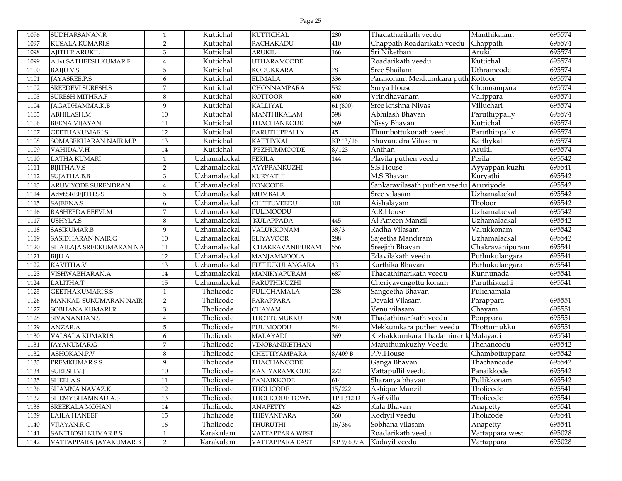| 1096 | SUDHARSANAN.R            | $\mathbf{1}$    | Kuttichal    | <b>KUTTICHAL</b>      | 280        | Thadatharikath veedu                   | Manthikalam         | 695574 |
|------|--------------------------|-----------------|--------------|-----------------------|------------|----------------------------------------|---------------------|--------|
| 1097 | <b>KUSALA KUMARI.S</b>   | $\overline{2}$  | Kuttichal    | PACHAKADU             | 410        | Chappath Roadarikath veedu             | Chappath            | 695574 |
| 1098 | <b>AJITH P ARUKIL</b>    | 3               | Kuttichal    | <b>ARUKIL</b>         | 166        | Sri Nikethan                           | Arukil              | 695574 |
| 1099 | Advt.SATHEESH KUMAR.F    | $\overline{4}$  | Kuttichal    | <b>UTHARAMCODE</b>    |            | Roadarikath veedu                      | Kuttichal           | 695574 |
| 1100 | <b>BAIJU.V.S</b>         | 5               | Kuttichal    | <b>KODUKKARA</b>      | 78         | <b>Sree Shailam</b>                    | Uthramcode          | 695574 |
| 1101 | JAYASREE.P.S             | 6               | Kuttichal    | <b>ELIMALA</b>        | 336        | Parakonam Mekkumkara puth Kottoor      |                     | 695574 |
| 1102 | <b>SREEDEVI SURESH.S</b> | 7               | Kuttichal    | <b>CHONNAMPARA</b>    | 532        | Surya House                            | Chonnampara         | 695574 |
| 1103 | <b>SURESH MITHRA.F</b>   | 8               | Kuttichal    | <b>KOTTOOR</b>        | 600        | Vrindhavanam                           | Valippara           | 695574 |
| 1104 | JAGADHAMMA.K.B           | 9               | Kuttichal    | <b>KALLIYAL</b>       | 61 (800)   | Sree krishna Nivas                     | Villuchari          | 695574 |
| 1105 | ABHILASH.M               | 10              | Kuttichal    | <b>MANTHIKALAM</b>    | 398        | Abhilash Bhavan                        | Paruthippally       | 695574 |
| 1106 | <b>BEENA VIJAYAN</b>     | 11              | Kuttichal    | THACHANKODE           | 569        | Nissy Bhavan                           | Kuttichal           | 695574 |
| 1107 | <b>GEETHAKUMARI.S</b>    | 12              | Kuttichal    | PARUTHIPPALLY         | 45         | Thumbottukonath veedu                  | Paruthippally       | 695574 |
| 1108 | SOMASEKHARAN NAIR.M.P    | 13              | Kuttichal    | <b>KAITHYKAL</b>      | KP 13/16   | Bhuvanedra Vilasam                     | Kaithykal           | 695574 |
| 1109 | VAHIDA.V.H               | 14              | Kuttichal    | <b>PEZHUMMOODE</b>    | 8/123      | Anthan                                 | Arukil              | 695574 |
| 1110 | <b>LATHA KUMARI</b>      | $\mathbf{1}$    | Uzhamalackal | <b>PERILA</b>         | 144        | Plavila puthen veedu                   | Perila              | 695542 |
| 1111 | <b>BIJITHA.V.S</b>       | $\overline{2}$  | Uzhamalackal | AYYPPANKUZHI          |            | S.S.House                              | Ayyappan kuzhi      | 695541 |
| 1112 | SUJATHA.B.B              | 3               | Uzhamalackal | <b>KURYATHI</b>       |            | M.S.Bhavan                             | Kuryathi            | 695542 |
| 1113 | ARUVIYODE SURENDRAN      | $\overline{4}$  | Uzhamalackal | <b>PONGODE</b>        |            | Sankaravilasath puthen veedu Aruviyode |                     | 695542 |
| 1114 | Advt.SREEJITH.S.S        | 5               | Uzhamalackal | <b>MUMBALA</b>        |            | Sree vilasam                           | Uzhamalackal        | 695542 |
| 1115 | SAJEENA.S                | 6               | Uzhamalackal | <b>CHITTUVEEDU</b>    | 101        | Aishalayam                             | Tholoor             | 695542 |
| 1116 | RASHEEDA BEEVI.M         | $\overline{7}$  | Uzhamalackal | PULIMOODU             |            | A.R.House                              | Uzhamalackal        | 695542 |
| 1117 | <b>USHYLA.S</b>          | 8               | Uzhamalackal | <b>KULAPPADA</b>      | 445        | Al Ameen Manzil                        | Uzhamalackal        | 695542 |
| 1118 | SASIKUMAR.B              | 9               | Uzhamalackal | VALUKKONAM            | 38/3       | Radha Vilasam                          | Valukkonam          | 695542 |
| 1119 | <b>SASIDHARAN NAIR.G</b> | 10              | Uzhamalackal | <b>ELIYAVOOR</b>      | 288        | Sajeetha Mandiram                      | <b>Uzhamalackal</b> | 695542 |
| 1120 | SHAILAJA SREEKUMARAN NA  | 11              | Uzhamalackal | CHAKRAVANIPURAM       | 556        | Sreejith Bhavan                        | Chakravanipuram     | 695541 |
| 1121 | <b>BIJU.A</b>            | 12              | Uzhamalackal | MANJAMMOOLA           |            | Edavilakath veedu                      | Puthukulangara      | 695541 |
| 1122 | <b>KAVITHA.V</b>         | 13              | Uzhamalackal | PUTHUKULANGARA        | 13         | Karthika Bhavan                        | Puthukulangara      | 695541 |
| 1123 | VISHWABHARAN.A           | 14              | Uzhamalackal | <b>MANIKYAPURAM</b>   | 687        | Thadathinarikath veedu                 | Kunnunada           | 695541 |
| 1124 | LALITHA.T                | 15              | Uzhamalackal | PARUTHIKUZHI          |            | Cheriyavengottu konam                  | Paruthikuzhi        | 695541 |
| 1125 | GEETHAKUMARI.S.S         | $\mathbf{1}$    | Tholicode    | PULICHAMALA           | 238        | Sangeetha Bhavan                       | Pulichamala         |        |
| 1126 | MANKAD SUKUMARAN NAIR.   | 2               | Tholicode    | PARAPPARA             |            | Devaki Vilasam                         | Parappara           | 695551 |
| 1127 | SOBHANA KUMARI.R         | 3               | Tholicode    | <b>CHAYAM</b>         |            | Venu vilasam                           | Chayam              | 695551 |
| 1128 | SIVANANDAN.S             | $\overline{4}$  | Tholicode    | THOTTUMUKKU           | 590        | Thadathinarikath veedu                 | Ponppara            | 695551 |
| 1129 | ANZAR.A                  | 5               | Tholicode    | PULIMOODU             | 544        | Mekkumkara puthen veedu                | Thottumukku         | 695551 |
| 1130 | <b>VALSALA KUMARI.S</b>  | 6               | Tholicode    | MALAYADI              | 369        | Kizhakkumkara Thadathinarik Malayadi   |                     | 695541 |
| 1131 | JAYAKUMAR.G              | $\overline{7}$  | Tholicode    | <b>VINOBANIKETHAN</b> |            | Maruthumkuzhy Veedu                    | Thchancodu          | 695542 |
| 1132 | ASHOKAN.P.V              | 8               | Tholicode    | CHETTIYAMPARA         | 8/409 B    | P.V.House                              | Chambottuppara      | 695542 |
| 1133 | PREMKUMAR.S.S            | 9               | Tholicode    | THACHANCODE           |            | Ganga Bhavan                           | Thachancode         | 695542 |
| 1134 | SURESH.V.J               | 10              | Tholicode    | <b>KANIYARAMCODE</b>  | 272        | Vattapullil veedu                      | Panaikkode          | 695542 |
| 1135 | SHEELA.S                 | 11              | Tholicode    | <b>PANAIKKODE</b>     | 614        | Sharanya bhavan                        | Pullikkonam         | 695542 |
| 1136 | SHAMNA NAVAZ.K           | 12              | Tholicode    | <b>THOLICODE</b>      | 15/222     | Ashique Manzil                         | Tholicode           | 695541 |
| 1137 | SHEMY SHAMNAD.A.S        | 13              | Tholicode    | THOLICODE TOWN        | TP I 312 D | Asif villa                             | Tholicode           | 695541 |
| 1138 | SREEKALA MOHAN           | 14              | Tholicode    | <b>ANAPETTY</b>       | 423        | Kala Bhavan                            | Anapetty            | 695541 |
| 1139 | <b>LAILA HANEEF</b>      | $\overline{15}$ | Tholicode    | <b>THEVANPARA</b>     | 360        | Kodiyil veedu                          | Tholicode           | 695541 |
| 1140 | VIJAYAN.R.C              | 16              | Tholicode    | <b>THURUTHI</b>       | 16/364     | Sobhana vilasam                        | Anapetty            | 695541 |
| 1141 | SANTHOSH KUMAR.B.S       | $\mathbf{1}$    | Karakulam    | VATTAPPARA WEST       |            | Roadarikath veedu                      | Vattappara west     | 695028 |
| 1142 | VATTAPPARA JAYAKUMAR.B   | $\overline{2}$  | Karakulam    | VATTAPPARA EAST       | KP 9/609 A | Kadayil veedu                          | Vattappara          | 695028 |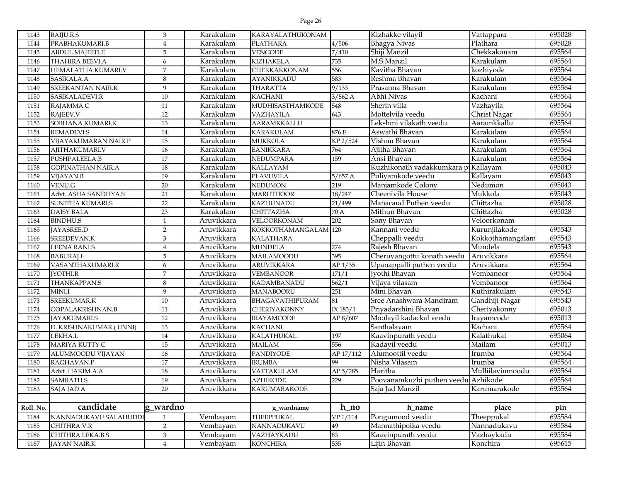| 1143      | <b>BAIJU.R.S</b>         | 3                         | Karakulam  | <b>KARAYALATHUKONAM</b> |                   | Kizhakke vilayil                     | Vattappara       | 695028 |
|-----------|--------------------------|---------------------------|------------|-------------------------|-------------------|--------------------------------------|------------------|--------|
| 1144      | PRABHAKUMARI.B           | $\overline{4}$            | Karakulam  | PLATHARA                | 4/506             | <b>Bhagya Nivas</b>                  | Plathara         | 695028 |
| 1145      | <b>ABDUL MAJEED.E</b>    | 5                         | Karakulam  | <b>VENGODE</b>          | 7/410             | Shiji Manzil                         | Chekkakonam      | 695564 |
| 1146      | THAHIRA BEEVI.A          | 6                         | Karakulam  | <b>KIZHAKELA</b>        | 735               | M.S.Manzil                           | Karakulam        | 695564 |
| 1147      | HEMALATHA KUMARI.V       | $\overline{7}$            | Karakulam  | CHEKKAKKONAM            | 556               | Kavitha Bhavan                       | kozhiyode        | 695564 |
| 1148      | SASIKALA.A               | 8                         | Karakulam  | AYANIKKADU              | 583               | Reshma Bhavan                        | Karakulam        | 695564 |
| 1149      | <b>SREEKANTAN NAIR.K</b> | 9                         | Karakulam  | THARATTA                | 9/133             | Prasanna Bhavan                      | Karakulam        | 695564 |
| 1150      | SASIKALADEVI.R           | 10                        | Karakulam  | <b>KACHANI</b>          | $3/862$ A         | Abhi Nivas                           | Kachani          | 695564 |
| 1151      | RAJAMMA.C                | 11                        | Karakulam  | MUDHISASTHAMKODE        | 548               | Sherin villa                         | Vazhavila        | 695564 |
| 1152      | RAJEEV.V                 | 12                        | Karakulam  | VAZHAYILA               | 643               | Mottelvila veedu                     | Christ Nagar     | 695564 |
| 1153      | SOBHANA KUMARI.K         | 13                        | Karakulam  | AARAMKKALLU             |                   | Lekshmi vilakath veedu               | Aaramkkallu      | 695564 |
| 1154      | <b>REMADEVI.S</b>        | 14                        | Karakulam  | <b>KARAKULAM</b>        | 876 E             | Aswathi Bhavan                       | Karakulam        | 695564 |
| 1155      | VIJAYAKUMARAN NAIR.P     | 15                        | Karakulam  | <b>MUKKOLA</b>          | KP 2/524          | Vishnu Bhavan                        | Karakulam        | 695564 |
| 1156      | AJITHAKUMARI.V           | 16                        | Karakulam  | <b>EANIKKARA</b>        | 764               | Ajitha Bhavan                        | Karakulam        | 695564 |
| 1157      | PUSHPALEELA.B            | 17                        | Karakulam  | <b>NEDUMPARA</b>        | 159               | Ansi Bhavan                          | Karakulam        | 695564 |
| 1158      | <b>GOPINATHAN NAIR.A</b> | 18                        | Karakulam  | <b>KALLAYAM</b>         |                   | Kuzhikonath vadakkumkara pi Kallayam |                  | 695043 |
| 1159      | VIJAYAN.B                | 19                        | Karakulam  | <b>PLAVUVILA</b>        | 5/657A            | Puliyamkode veedu                    | Kallayam         | 695043 |
| 1160      | <b>VENU.G</b>            | 20                        | Karakulam  | <b>NEDUMON</b>          | 219               | Manjamkode Colony                    | Nedumon          | 695043 |
| 1161      | Advt. ASHA SANDHYA.S     | 21                        | Karakulam  | <b>MARUTHOOR</b>        | 18/247            | Cheenivila House                     | Mukkola          | 695043 |
| 1162      | <b>SUNITHA KUMARI.S</b>  | 22                        | Karakulam  | <b>KAZHUNADU</b>        | 21/499            | Manacaud Puthen veedu                | Chittazha        | 695028 |
| 1163      | <b>DAISY BALA</b>        | 23                        | Karakulam  | <b>CHITTAZHA</b>        | 70 A              | Mithun Bhavan                        | Chittazha        | 695028 |
| 1164      | <b>BINDHU.S</b>          | $\mathbf{1}$              | Aruvikkara | VELOORKONAM             | 202               | Sony Bhavan                          | Veloorkonam      |        |
| 1165      | JAYASREE.D               | $\overline{2}$            | Aruvikkara | KOKKOTHAMANGALAM 120    |                   | Kannani veedu                        | Kurunjilakode    | 695543 |
| 1166      | SREEDEVAN.K              | 3                         | Aruvikkara | <b>KALATHARA</b>        |                   | Cheppalli veedu                      | Kokkothamangalam | 695543 |
| 1167      | <b>LEENA RANI.S</b>      | $\overline{4}$            | Aruvikkara | <b>MUNDELA</b>          | 274               | Rajesh Bhavan                        | Mundela          | 695543 |
| 1168      | <b>BABURAJ.L</b>         | 5                         | Aruvikkara | MAILAMOODU              | 395               | Cheruvangottu konath veedu           | Aruvikkara       | 695564 |
| 1169      | VASANTHAKUMARI.R         | 6                         | Aruvikkara | <b>ARUVIKKARA</b>       | AP 1/35           | Upanappalli puthen veedu             | Aruvikkara       | 695564 |
| 1170      | <b>JYOTHI.R</b>          | 7                         | Aruvikkara | <b>VEMBANOOR</b>        | 171/1             | <b>Jyothi Bhavan</b>                 | Vembanoor        | 695564 |
| 1171      | THANKAPPAN.S             | 8                         | Aruvikkara | KADAMBANADU             | 562/1             | Vijaya vilasam                       | Vembanoor        | 695564 |
| 1172      | MINI.I                   | 9                         | Aruvikkara | <b>MANABOORU</b>        | 251               | Mini Bhavan                          | Kuthirakulam     | 695543 |
| 1173      | SREEKUMAR.K              | 10                        | Aruvikkara | BHAGAVATHIPURAM         | 81                | Sree Anashwara Mandiram              | Gandhiji Nagar   | 695543 |
| 1174      | GOPALAKRISHNAN.B         | 11                        | Aruvikkara | CHERIYAKONNY            | IX 183/1          | Priyadarshini Bhavan                 | Cheriyakonny     | 695013 |
| 1175      | JAYAKUMARI.S             | 12                        | Aruvikkara | <b>IRAYAMCODE</b>       | AP 8/607          | Moolayil kadackal veedu              | Irayamcode       | 695013 |
| 1176      | D. KRISHNAKUMAR (UNNI)   | 13                        | Aruvikkara | <b>KACHANI</b>          |                   | Santhalayam                          | Kachani          | 695564 |
| 1177      | LEKHA.L                  | 14                        | Aruvikkara | KALATHUKAL              | 197               | Kaavinpurath veedu                   | Kalathukal       | 695064 |
| 1178      | MARIYA KUTTY.C           | 15                        | Aruvikkara | <b>MAILAM</b>           | 556               | Kadayil veedu                        | Mailam           | 695013 |
| 1179      | ALUMMOODU VIJAYAN        | 16                        | Aruvikkara | <b>PANDIYODE</b>        | AP 17/112         | Alumoottil veedu                     | Irumba           | 695564 |
| 1180      | RAGHAVAN.P               | 17                        | Aruvikkara | <b>IRUMBA</b>           | 99                | Nisha Vilasam                        | Irumba           | 695564 |
| 1181      | Advt. HAKIM.A.A          | 18                        | Aruvikkara | VATTAKULAM              | AP 5/285          | Haritha                              | Mulliilavinmoodu | 695564 |
| 1182      | SAMRATH.S                | 19                        | Aruvikkara | <b>AZHIKODE</b>         | 229               | Poovanamkuzhi puthen veedu Azhikode  |                  | 695564 |
| 1183      | SAJA JAD.A               | 20                        | Aruvikkara | <b>KARUMARAKODE</b>     |                   | Saja Jad Manzil                      | Karumarakode     | 695564 |
|           |                          |                           |            |                         |                   |                                      |                  |        |
| Roll. No. | candidate                | g_wardno                  |            | g_wardname              | $h$ <sub>no</sub> | h_name                               | place            | pin    |
| 1184      | NANNADUKAVU SALAHUDDI    | $\mathbf{1}$              | Vembayam   | <b>THEEPPUKAL</b>       | VP 1/114          | Pongumood veedu                      | Theeppukal       | 695584 |
| 1185      | CHITHRA.V.R              | $\overline{2}$            | Vembayam   | NANNADUKAVU             | 49                | Mannathipoika veedu                  | Nannadukavu      | 695584 |
| 1186      | CHITHRA LEKA.B.S         | $\ensuremath{\mathbf{3}}$ | Vembayam   | VAZHAYKADU              | 83                | Kaavinpurath veedu                   | Vazhaykadu       | 695584 |
| 1187      | JAYAN NAIR.K             | $\overline{4}$            | Vembayam   | <b>KONCHIRA</b>         | 535               | Lijin Bhavan                         | Konchira         | 695615 |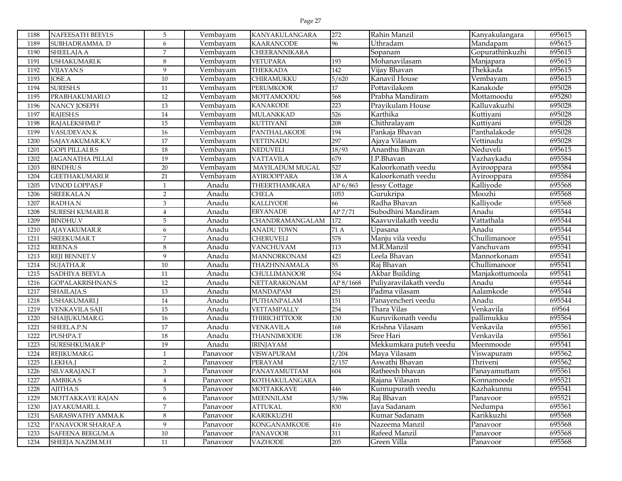| 1188 | <b>NAFEESATH BEEVI.S</b> | 5              | Vembayam                      | KANYAKULANGARA      | 272       | Rahin Manzil           | Kanyakulangara  | 695615 |
|------|--------------------------|----------------|-------------------------------|---------------------|-----------|------------------------|-----------------|--------|
| 1189 | SUBHADRAMMA. D           | 6              | Vembayam                      | <b>KAARANCODE</b>   | 96        | Uthradam               | Mandapam        | 695615 |
| 1190 | SHEELAJA.A               | 7              | Vembayam                      | CHEERANNIKARA       |           | Sopanam                | Gopurathinkuzhi | 695615 |
| 1191 | USHAKUMARI.K             | 8              | Vembayam                      | <b>VETUPARA</b>     | 193       | Mohanavilasam          | Manjapara       | 695615 |
| 1192 | VIJAYAN.S                | 9              | Vembayam                      | THEKKADA            | 142       | Vijay Bhavan           | Thekkada        | 695615 |
| 1193 | JOSE.A                   | 10             | Vembayam                      | CHIRAMUKKU          | 5/620     | Kanavil House          | Vembayam        | 695615 |
| 1194 | <b>SURESH.S</b>          | 11             | Vembayam                      | <b>PERUMKOOR</b>    | 17        | Pottavilakom           | Kanakode        | 695028 |
| 1195 | PRABHAKUMARI.O           | 12             | Vembayam                      | <b>MOTTAMOODU</b>   | 568       | Prabha Mandiram        | Mottamoodu      | 695280 |
| 1196 | <b>NANCY JOSEPH</b>      | 13             | Vembayam                      | <b>KANAKODE</b>     | 223       | Pravikulam House       | Kalluvakuzhi    | 695028 |
| 1197 | RAJESH.S                 | 14             | Vembayam                      | <b>MULANKKAD</b>    | 526       | Karthika               | Kuttiyani       | 695028 |
| 1198 | RAJALEKSHMI.P            | 15             | Vembayam                      | <b>KUTTIYANI</b>    | 208       | Chithralayam           | Kuttiyani       | 695028 |
| 1199 | VASUDEVAN.K              | 16             | Vembayam                      | PANTHALAKODE        | 194       | Pankaja Bhavan         | Panthalakode    | 695028 |
| 1200 | SAJAYAKUMAR.K.V          | 17             | Vembayam                      | <b>VETTINADU</b>    | 297       | Ajaya Vilasam          | Vettinadu       | 695028 |
| 1201 | <b>GOPI PILLAI.B.S</b>   | 18             | Vembayam                      | <b>NEDUVELI</b>     | 18/93     | Ananthu Bhavan         | Neduveli        | 695615 |
| 1202 | <b>JAGANATHA PILLAI</b>  | 19             | Vembayam                      | <b>VATTAVILA</b>    | 679       | J.P.Bhavan             | Vazhaykadu      | 695584 |
| 1203 | <b>BINDHU.S</b>          | $20\,$         | $\overline{\text{V}}$ embayam | MAYILADUM MUGAL     | 527       | Kaloorkonath veedu     | Ayirooppara     | 695584 |
| 1204 | <b>GEETHAKUMARI.R</b>    | 21             | Vembayam                      | <b>AYIROOPPARA</b>  | 138 A     | Kaloorkonath veedu     | Ayirooppara     | 695584 |
| 1205 | VINOD LOPPAS.F           | 1              | Anadu                         | THEERTHAMKARA       | AP 6/863  | <b>Jessy Cottage</b>   | Kalliyode       | 695568 |
| 1206 | SREEKALA.N               | 2              | Anadu                         | <b>CHELA</b>        | 1053      | Gurukripa              | Moozhi          | 695568 |
| 1207 | RADHA.N                  | 3              | Anadu                         | <b>KALLIYODE</b>    | 66        | Radha Bhavan           | Kalliyode       | 695568 |
| 1208 | <b>SURESH KUMARI.R</b>   | 4              | Anadu                         | <b>ERYANADE</b>     | AP 7/71   | Subodhini Mandiram     | Anadu           | 695544 |
| 1209 | <b>BINDHU.V</b>          | 5              | Anadu                         | CHANDRAMANGALAM     | 172       | Kaavuvilakath veedu    | Vattathala      | 695544 |
| 1210 | AJAYAKUMAR.R             | 6              | Anadu                         | <b>ANADU TOWN</b>   | 71 A      | Upasana                | Anadu           | 695544 |
| 1211 | SREEKUMAR.T              | $\overline{7}$ | Anadu                         | <b>CHERUVELI</b>    | 578       | Manju vila veedu       | Chullimanoor    | 695541 |
| 1212 | <b>REENA.S</b>           | 8              | Anadu                         | <b>VANCHUVAM</b>    | 113       | M.R.Manzil             | Vanchuvam       | 695541 |
| 1213 | <b>REJI BENNET.V</b>     | 9              | Anadu                         | MANNORKONAM         | 423       | Leela Bhavan           | Mannorkonam     | 695541 |
| 1214 | SUJATHA.R                | 10             | Anadu                         | THAZHNNAMALA        | 55        | Raj Bhavan             | Chullimanoor    | 695541 |
| 1215 | SADHIYA BEEVI.A          | 11             | Anadu                         | <b>CHULLIMANOOR</b> | 554       | <b>Akbar Building</b>  | Manjakottumoola | 695541 |
| 1216 | GOPALAKRISHNAN.S         | 12             | Anadu                         | NETTARAKONAM        | AP 8/1668 | Puliyaravilakath veedu | Anadu           | 695544 |
| 1217 | SHAILAJA.S               | 13             | Anadu                         | <b>MANDAPAM</b>     | 251       | Padma vilasam          | Aalamkode       | 695544 |
| 1218 | USHAKUMARI.J             | 14             | Anadu                         | PUTHANPALAM         | 151       | Panayencheri veedu     | Anadu           | 695544 |
| 1219 | <b>VENKAVILA SAJI</b>    | 15             | Anadu                         | VETTAMPALLY         | 254       | Thara Vilas            | Venkavila       | 69564  |
| 1220 | SHAIJUKUMAR.G            | 16             | Anadu                         | THIRICHITTOOR       | 130       | Kuruvikonath veedu     | pallimukku      | 695564 |
| 1221 | SHEELA.P.N               | 17             | Anadu                         | <b>VENKAVILA</b>    | 168       | Krishna Vilasam        | Venkavila       | 695561 |
| 1222 | PUSHPA.T                 | 18             | Anadu                         | THANNIMOODE         | 138       | Sree Hari              | Venkavila       | 695561 |
| 1223 | SURESHKUMAR.P            | 19             | Anadu                         | <b>IRINJAYAM</b>    |           | Mekkumkara puteh veedu | Meenmoode       | 695541 |
| 1224 | REJIKUMAR.G              | $\mathbf{1}$   | Panavoor                      | <b>VISWAPURAM</b>   | 1/204     | Maya Vilasam           | Viswapuram      | 695562 |
| 1225 | LEKHA.J                  | 2              | Panavoor                      | <b>PERAYAM</b>      | 2/157     | Aswathi Bhavan         | Thriveni        | 695562 |
| 1226 | SILVARAJAN.T             | 3              | Panavoor                      | PANAYAMUTTAM        | 604       | Ratheesh bhavan        | Panayamuttam    | 695561 |
| 1227 | AMBIKA.S                 | 4              | Panavoor                      | KOTHAKULANGARA      |           | Rajana Vilasam         | Konnamoode      | 695521 |
| 1228 | AJITHA.S                 | 5              | Panavoor                      | <b>MOTTAKKAVE</b>   | 446       | Kunnupurath veedu      | Kazhakunnu      | 695541 |
| 1229 | MOTTAKKAVE RAJAN         | 6              | Panavoor                      | <b>MEENNILAM</b>    | 3/596     | Raj Bhavan             | Panavoor        | 695521 |
| 1230 | JAYAKUMARIL              | 7              | Panavoor                      | <b>ATTUKAL</b>      | 830       | <b>Java Sadanam</b>    | Nedumpa         | 695561 |
| 1231 | SARASWATHY AMMA.K        | $\,8\,$        | Panavoor                      | <b>KARIKKUZHI</b>   |           | Kumar Sadanam          | Karikkuzhi      | 695568 |
| 1232 | PANAVOOR SHARAF.A        | 9              | Panavoor                      | <b>KONGANAMKODE</b> | 416       | Nazeema Manzil         | Panavoor        | 695568 |
| 1233 | SAFEENA BEEGUM.A         | $10\,$         | Panavoor                      | <b>PANAVOOR</b>     | 311       | Rafeed Manzil          | Panavoor        | 695568 |
| 1234 | SHEEJA NAZIM.M.H         | 11             | Panavoor                      | <b>VAZHODE</b>      | 205       | Green Villa            | Panavoor        | 695568 |
|      |                          |                |                               |                     |           |                        |                 |        |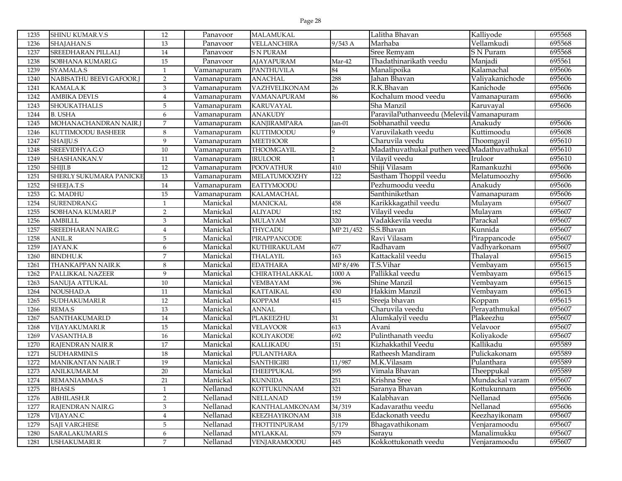| 1235 | <b>SHINU KUMAR.V.S</b>   | 12             | Panavoor    | <b>MALAMUKAL</b>    |             | Lalitha Bhavan                              | Kalliyode       | 695568 |
|------|--------------------------|----------------|-------------|---------------------|-------------|---------------------------------------------|-----------------|--------|
| 1236 | SHAJAHAN.S               | 13             | Panavoor    | VELLANCHIRA         | 9/543A      | Marhaba                                     | Vellamkudi      | 695568 |
| 1237 | SREEDHARAN PILLAI.J      | 14             | Panavoor    | <b>S N PURAM</b>    |             | <b>Sree Remyam</b>                          | S N Puram       | 695568 |
| 1238 | SOBHANA KUMARI.G         | $15\,$         | Panavoor    | AJAYAPURAM          | Mar-42      | Thadathinarikath veedu                      | Manjadi         | 695561 |
| 1239 | SYAMALA.S                | $\mathbf{1}$   | Vamanapuram | <b>PANTHUVILA</b>   | 84          | Manalipoika                                 | Kalamachal      | 695606 |
| 1240 | NABISATHU BEEVI GAFOOR.] | 2              | Vamanapuram | <b>ANACHAL</b>      | 288         | Jahan Bhavan                                | Valiyakanichode | 695606 |
| 1241 | <b>KAMALA.K</b>          | 3              | Vamanapuram | VAZHVELIKONAM       | 26          | R.K.Bhavan                                  | Kanichode       | 695606 |
| 1242 | AMBIKA DEVI.S            | $\overline{4}$ | Vamanapuram | <b>VAMANAPURAM</b>  | 86          | Kochalum mood veedu                         | Vamanapuram     | 695606 |
| 1243 | SHOUKATHALI.S            | 5              | Vamanapuram | <b>KARUVAYAL</b>    |             | Sha Manzil                                  | Karuvayal       | 695606 |
| 1244 | <b>B. USHA</b>           | 6              | Vamanapuram | <b>ANAKUDY</b>      |             | ParavilaPuthanveedu (Melevila Vamanapuram   |                 |        |
| 1245 | MOHANACHANDRAN NAIR.]    | $\overline{7}$ | Vamanapuram | <b>KANJIRAMPARA</b> | Jan-01      | Sobhanathil veedu                           | Anakudy         | 695606 |
| 1246 | KUTTIMOODU BASHEER       | 8              | Vamanapuram | <b>KUTTIMOODU</b>   | $\mathbf Q$ | Varuvilakath veedu                          | Kuttimoodu      | 695608 |
| 1247 | SHAIJU.S                 | 9              | Vamanapuram | <b>MEETHOOR</b>     |             | Charuvila veedu                             | Thoomgayil      | 695610 |
| 1248 | SREEVIDHYA.G.O           | 10             | Vamanapuram | <b>THOOMGAYIL</b>   |             | Madathuvathukal puthen veed Madathuvathukal |                 | 695610 |
| 1249 | SHASHANKAN.V             | 11             | Vamanapuram | <b>IRULOOR</b>      |             | Vilayil veedu                               | Iruloor         | 695610 |
| 1250 | SHIJI.B                  | 12             | Vamanapuram | <b>POOVATHUR</b>    | 410         | Shiji Vilasam                               | Ramankuzhi      | 695606 |
| 1251 | SHERLY SUKUMARA PANICKE  | 13             | Vamanapuram | <b>MELATUMOOZHY</b> | 122         | Sastham Thoppil veedu                       | Melatumoozhy    | 695606 |
| 1252 | SHEEJA.T.S               | 14             | Vamanapuram | <b>EATTYMOODU</b>   |             | Pezhumoodu veedu                            | Anakudy         | 695606 |
| 1253 | G. MADHU                 | 15             | Vamanapuram | <b>KALAMACHAL</b>   |             | Santhinikethan                              | Vamanapuram     | 695606 |
| 1254 | SURENDRAN.G              | $\mathbf{1}$   | Manickal    | <b>MANICKAL</b>     | 458         | Karikkkagathil veedu                        | Mulayam         | 695607 |
| 1255 | SOBHANA KUMARI.P         | 2              | Manickal    | <b>ALIYADU</b>      | 182         | Vilayil veedu                               | Mulayam         | 695607 |
| 1256 | AMBILI.L                 | 3              | Manickal    | <b>MULAYAM</b>      | 320         | Vadakkevila veedu                           | Parackal        | 695607 |
| 1257 | SREEDHARAN NAIR.G        | $\overline{4}$ | Manickal    | <b>THYCADU</b>      | MP 21/452   | S.S.Bhavan                                  | Kunnida         | 695607 |
| 1258 | ANIL.R                   | 5              | Manickal    | PIRAPPANCODE        |             | Ravi Vilasam                                | Pirappancode    | 695607 |
| 1259 | JAYAN.K                  | 6              | Manickal    | KUTHIRAKULAM        | 677         | Radhavam                                    | Vadhyarkonam    | 695607 |
| 1260 | <b>BINDHU.K</b>          | 7              | Manickal    | <b>THALAYIL</b>     | 163         | Kattackalil veedu                           | Thalayal        | 695615 |
| 1261 | THANKAPPAN NAIR.K        | 8              | Manickal    | <b>EDATHARA</b>     | MP 8/496    | T.S.Vihar                                   | Vembayam        | 695615 |
| 1262 | PALLIKKAL NAZEER         | 9              | Manickal    | CHIRATHALAKKAL      | 1000 A      | Pallikkal veedu                             | Vembayam        | 695615 |
| 1263 | <b>SANUJA ATTUKAL</b>    | 10             | Manickal    | VEMBAYAM            | 396         | <b>Shine Manzil</b>                         | Vembayam        | 695615 |
| 1264 | NOUSHAD.A                | 11             | Manickal    | <b>KATTAIKAL</b>    | 430         | Hakkim Manzil                               | Vembayam        | 695615 |
| 1265 | SUDHAKUMARI.R            | 12             | Manickal    | <b>KOPPAM</b>       | 415         | Sreeja bhavan                               | Koppam          | 695615 |
| 1266 | REMA.S                   | 13             | Manickal    | <b>ANNAL</b>        |             | Charuvila veedu                             | Perayathmukal   | 695607 |
| 1267 | SANTHAKUMARI.D           | 14             | Manickal    | <b>PLAKEEZHU</b>    | 31          | Alumkalyil veedu                            | Plakeezhu       | 695607 |
| 1268 | VIJAYAKUMARI.R           | 15             | Manickal    | <b>VELAVOOR</b>     | 613         | Avani                                       | Velavoor        | 695607 |
| 1269 | VASANTHA.B               | 16             | Manickal    | <b>KOLIYAKODE</b>   | 692         | Pulinthanath veedu                          | Koliyakode      | 695607 |
| 1270 | RAJENDRAN NAIR.R         | 17             | Manickal    | <b>KALLIKADU</b>    | 151         | Kizhakkathil Veedu                          | Kallikadu       | 695589 |
| 1271 | SUDHARMINI.S             | 18             | Manickal    | PULANTHARA          |             | Ratheesh Mandiram                           | Pulickakonam    | 695589 |
| 1272 | MANIKANTAN NAIR.T        | 19             | Manickal    | <b>SANTHIGIRI</b>   | 11/987      | M.K.Vilasam                                 | Pulanthara      | 695589 |
| 1273 | ANILKUMAR.M              | $20\,$         | Manickal    | THEEPPUKAL          | 595         | Vimala Bhavan                               | Theeppukal      | 695589 |
| 1274 | REMANIAMMA.S             | 21             | Manickal    | <b>KUNNIDA</b>      | 251         | Krishna Sree                                | Mundackal varam | 695607 |
| 1275 | <b>BHASI.S</b>           | $\mathbf{1}$   | Nellanad    | <b>KOTTUKUNNAM</b>  | 321         | Saranya Bhavan                              | Kottukunnam     | 695606 |
| 1276 | ABHILASH.R               | $\overline{2}$ | Nellanad    | NELLANAD            | 159         | Kalabhavan                                  | Nellanad        | 695606 |
| 1277 | RAJENDRAN NAIR.G         | 3              | Nellanad    | KANTHALAMKONAM      | 34/319      | Kadavarathu veedu                           | Nellanad        | 695606 |
| 1278 | VIJAYAN.C                | $\overline{4}$ | Nellanad    | KEEZHAYIKONAM       | 318         | Edackonath veedu                            | Keezhayikonam   | 695607 |
| 1279 | <b>SAJI VARGHESE</b>     | 5              | Nellanad    | THOTTINPURAM        | 5/179       | Bhagavathikonam                             | Venjaramoodu    | 695607 |
| 1280 | SARALAKUMARI.S           | 6              | Nellanad    | <b>MYLAKKAL</b>     | 579         | Sarayu                                      | Manalimukku     | 695607 |
| 1281 | USHAKUMARI.R             | $\sqrt{7}$     | Nellanad    | <b>VENJARAMOODU</b> | 445         | Kokkottukonath veedu                        | Venjaramoodu    | 695607 |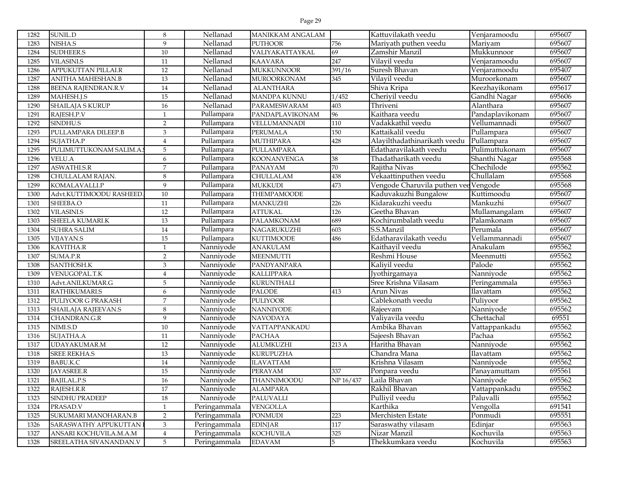| 1282 | SUNIL.D                      | 8              | Nellanad     | <b>MANIKKAM ANGALAM</b> |                | Kattuvilakath veedu                  | Venjaramoodu    | 695607 |
|------|------------------------------|----------------|--------------|-------------------------|----------------|--------------------------------------|-----------------|--------|
| 1283 | NISHA.S                      | 9              | Nellanad     | <b>PUTHOOR</b>          | 756            | Mariyath puthen veedu                | Mariyam         | 695607 |
| 1284 | SUDHEER.S                    | $10\,$         | Nellanad     | VALIYAKATTAYKAL         | 69             | Zamshir Manzil                       | Mukkunnoor      | 695607 |
| 1285 | <b>VILASINI.S</b>            | 11             | Nellanad     | <b>KAAVARA</b>          | 247            | Vilayil veedu                        | Venjaramoodu    | 695607 |
| 1286 | APPUKUTTAN PILLAI.R          | 12             | Nellanad     | <b>MUKKUNNOOR</b>       | 391/16         | Suresh Bhavan                        | Venjaramoodu    | 695407 |
| 1287 | ANITHA MAHESHAN.B            | 13             | Nellanad     | <b>MUROORKONAM</b>      | 345            | Vilayil veedu                        | Muroorkonam     | 695607 |
| 1288 | <b>BEENA RAJENDRAN.R.V</b>   | 14             | Nellanad     | <b>ALANTHARA</b>        |                | Shiva Kripa                          | Keezhavikonam   | 695617 |
| 1289 | MAHESH.J.S                   | 15             | Nellanad     | <b>MANDPA KUNNU</b>     | 1/452          | Cheriyil veedu                       | Gandhi Nagar    | 695606 |
| 1290 | SHAILAJA S KURUP             | 16             | Nellanad     | PARAMESWARAM            | 403            | Thriveni                             | Alanthara       | 695607 |
| 1291 | RAJESH.P.V                   | $\mathbf{1}$   | Pullampara   | PANDAPLAVIKONAM         | 96             | Kaithara veedu                       | Pandaplavikonam | 695607 |
| 1292 | SINDHU.S                     | $\overline{2}$ | Pullampara   | VELLUMANNADI            | 110            | Vadakkathil veedu                    | Vellumannadi    | 695607 |
| 1293 | PULLAMPARA DILEEP.B          | 3              | Pullampara   | <b>PERUMALA</b>         | 150            | Kattaikalil veedu                    | Pullampara      | 695607 |
| 1294 | SUJATHA.P                    | $\overline{4}$ | Pullampara   | MUTHIPARA               | 428            | Alayilthadathinarikath veedu         | Pullampara      | 695607 |
| 1295 | PULIMUTTUKONAM SALIM.A.      | 5              | Pullampara   | PULLAMPARA              |                | Edatharavilakath veedu               | Pulimuttukonam  | 695607 |
| 1296 | <b>VELU.A</b>                | 6              | Pullampara   | <b>KOONANVENGA</b>      | 38             | Thadatharikath veedu                 | Shanthi Nagar   | 695568 |
| 1297 | ASWATHI.S.R                  | $\overline{7}$ | Pullampara   | PANAYAM                 | 70             | Rajitha Nivas                        | Chechilode      | 695562 |
| 1298 | CHULLALAM RAJAN.             | 8              | Pullampara   | CHULLALAM               | 438            | Vekaattinputhen veedu                | Chullalam       | 695568 |
| 1299 | KOMALAVALLI.P                | 9              | Pullampara   | <b>MUKKUDI</b>          | 473            | Vengode Charuvila puthen vee Vengode |                 | 695568 |
| 1300 | Advt.KUTTIMOODU RASHEED.     | 10             | Pullampara   | THEMPAMOODE             |                | Kaduvakuzhi Bungalow                 | Kuttimoodu      | 695607 |
| 1301 | SHEEBA.O                     | 11             | Pullampara   | <b>MANKUZHI</b>         | 226            | Kidarakuzhi veedu                    | Mankuzhi        | 695607 |
| 1302 | <b>VILASINI.S</b>            | 12             | Pullampara   | <b>ATTUKAL</b>          | 126            | Geetha Bhavan                        | Mullamangalam   | 695607 |
| 1303 | SHEELA KUMARI.K              | 13             | Pullampara   | PALAMKONAM              | 689            | Kochirumbalath veedu                 | Palamkonam      | 695607 |
| 1304 | <b>SUHRA SALIM</b>           | 14             | Pullampara   | NAGARUKUZHI             | 603            | S.S.Manzil                           | Perumala        | 695607 |
| 1305 | VIJAYAN.S                    | 15             | Pullampara   | <b>KUTTIMOODE</b>       | 486            | Edatharavilakath veedu               | Vellammannadi   | 695607 |
| 1306 | <b>KAVITHA.R</b>             | $\mathbf{1}$   | Nanniyode    | <b>ANAKULAM</b>         |                | Kaithayil veedu                      | Anakulam        | 695562 |
| 1307 | SUMA.P.R                     | $\overline{2}$ | Nanniyode    | <b>MEENMUTTI</b>        |                | Reshmi House                         | Meenmutti       | 695562 |
| 1308 | SANTHOSH.K                   | 3              | Nanniyode    | PANDYANPARA             |                | Kaliyil veedu                        | Palode          | 695562 |
| 1309 | VENUGOPAL.T.K                | $\overline{4}$ | Nanniyode    | <b>KALLIPPARA</b>       |                | Jyothirgamaya                        | Nanniyode       | 695562 |
| 1310 | Advt.ANILKUMAR.G             | 5              | Nanniyode    | <b>KURUNTHALI</b>       |                | Sree Krishna Vilasam                 | Peringammala    | 695563 |
| 1311 | RATHIKUMARI.S                | 6              | Nanniyode    | <b>PALODE</b>           | 413            | Arun Nivas                           | Ilavattam       | 695562 |
| 1312 | PULIYOOR G PRAKASH           | $\overline{7}$ | Nanniyode    | <b>PULIYOOR</b>         |                | Cablekonath veedu                    | Puliyoor        | 695562 |
| 1313 | SHAILAJA RAJEEVAN.S          | 8              | Nanniyode    | <b>NANNIYODE</b>        |                | Rajeevam                             | Nanniyode       | 695562 |
| 1314 | CHANDRAN.G.R                 | 9              | Nanniyode    | <b>NAVODAYA</b>         |                | Valiyavila veedu                     | Chettachal      | 69551  |
| 1315 | NIMI.S.D                     | 10             | Nanniyode    | VATTAPPANKADU           |                | Ambika Bhavan                        | Vattappankadu   | 695562 |
| 1316 | SUJATHA.A                    | 11             | Nanniyode    | <b>PACHAA</b>           |                | Sajeesh Bhavan                       | Pachaa          | 695562 |
| 1317 | UDAYAKUMAR.M                 | 12             | Nanniyode    | <b>ALUMKUZHI</b>        | 213 A          | Haritha Bhavan                       | Nanniyode       | 695562 |
| 1318 | <b>SREE REKHA.S</b>          | 13             | Nanniyode    | <b>KURUPUZHA</b>        |                | Chandra Mana                         | Ilavattam       | 695562 |
| 1319 | <b>BABU.K.C</b>              | 14             | Nanniyode    | <b>ILAVATTAM</b>        |                | Krishna Vilasam                      | Nanniyode       | 695562 |
| 1320 | JAYASREE.R                   | 15             | Nanniyode    | PERAYAM                 | 337            | Ponpara veedu                        | Panayamuttam    | 695561 |
| 1321 | <b>BAJILAL.P.S</b>           | $16\,$         | Nanniyode    | <b>THANNIMOODU</b>      |                | NP 16/437 Laila Bhavan               | Nanniyode       | 695562 |
| 1322 | RAJESH.R.R                   | 17             | Nanniyode    | <b>ALAMPARA</b>         |                | Rakhil Bhavan                        | Vattappankadu   | 695562 |
| 1323 | <b>SINDHU PRADEEP</b>        | $18\,$         | Nanniyode    | PALUVALLI               |                | Pulliyil veedu                       | Paluvalli       | 695562 |
| 1324 | PRASAD.V                     | $\mathbf{1}$   | Peringammala | <b>VENGOLLA</b>         |                | Karthika                             | Vengolla        | 691541 |
| 1325 | SUKUMARI MANOHARAN.B         | $\overline{2}$ | Peringammala | <b>PONMUDI</b>          | 223            | Merchisten Estate                    | Ponmudi         | 695551 |
| 1326 | <b>SARASWATHY APPUKUTTAN</b> | 3              | Peringammala | <b>EDINJAR</b>          | 117            | Saraswathy vilasam                   | Edinjar         | 695563 |
| 1327 | ANSARI KOCHUVILA.M.A.M       | $\overline{4}$ | Peringammala | <b>KOCHUVILA</b>        | 325            | Nizar Manzil                         | Kochuvila       | 695563 |
| 1328 | SREELATHA SIVANANDAN.V       | 5              | Peringammala | <b>EDAVAM</b>           | 5 <sup>5</sup> | Thekkumkara veedu                    | Kochuvila       | 695563 |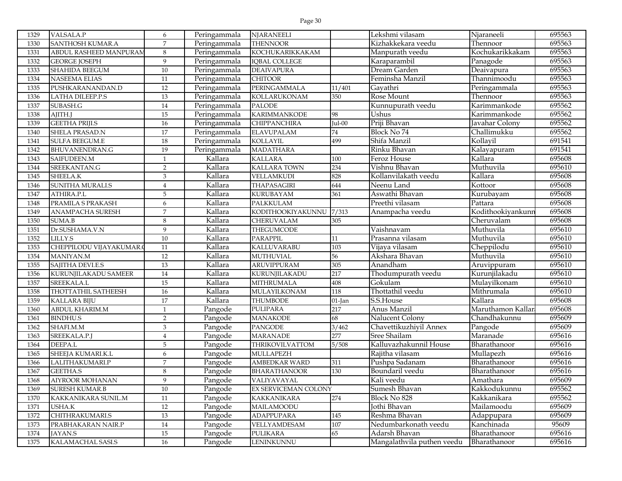| 1329 | VALSALA.P               | 6                | Peringammala | <b>NJARANEELI</b>        |                                 | Lekshmi vilasam            | Njaraneeli        | 695563 |
|------|-------------------------|------------------|--------------|--------------------------|---------------------------------|----------------------------|-------------------|--------|
| 1330 | SANTHOSH KUMAR.A        | $\overline{7}$   | Peringammala | <b>THENNOOR</b>          |                                 | Kizhakkekara veedu         | Thennoor          | 695563 |
| 1331 | ABDUL RASHEED MANPURAM  | 8                | Peringammala | <b>KOCHUKARIKKAKAM</b>   |                                 | Manpurath veedu            | Kochukarikkakam   | 695563 |
| 1332 | <b>GEORGE JOSEPH</b>    | 9                | Peringammala | <b>IQBAL COLLEGE</b>     |                                 | Karaparambil               | Panagode          | 695563 |
| 1333 | <b>SHAHIDA BEEGUM</b>   | 10               | Peringammala | <b>DEAIVAPURA</b>        |                                 | Dream Garden               | Deaivapura        | 695563 |
| 1334 | <b>NASEEMA ELIAS</b>    | 11               | Peringammala | <b>CHITOOR</b>           |                                 | Feminsha Manzil            | Thannimoodu       | 695563 |
| 1335 | PUSHKARANANDAN.D        | 12               | Peringammala | PERINGAMMALA             | 11/401                          | Gayathri                   | Peringammala      | 695563 |
| 1336 | <b>LATHA DILEEP.P.S</b> | 13               | Peringammala | <b>KOLLARUKONAM</b>      | 350                             | Rose Mount                 | Thennoor          | 695563 |
| 1337 | SUBASH.G                | 14               | Peringammala | <b>PALODE</b>            |                                 | Kunnupurath veedu          | Karimmankode      | 695562 |
| 1338 | AJITH.J                 | $15\,$           | Peringammala | <b>KARIMMANKODE</b>      | 98                              | Ushus                      | Karimmankode      | 695562 |
| 1339 | <b>GEETHA PRIJI.S</b>   | 16               | Peringammala | <b>CHIPPANCHIRA</b>      | $\overline{\text{Id} \cdot 00}$ | Priji Bhavan               | Javahar Colony    | 695562 |
| 1340 | SHELA PRASAD.N          | 17               | Peringammala | <b>ELAVUPALAM</b>        | 74                              | <b>Block No 74</b>         | Challimukku       | 695562 |
| 1341 | <b>SULFA BEEGUM.E</b>   | 18               | Peringammala | <b>KOLLAYIL</b>          | 499                             | Shifa Manzil               | Kollavil          | 691541 |
| 1342 | <b>BHUVANENDRAN.G</b>   | 19               | Peringammala | <b>MADATHARA</b>         |                                 | Rinku Bhavan               | Kalayapuram       | 691541 |
| 1343 | SAIFUDEEN.M             | $\mathbf{1}$     | Kallara      | <b>KALLARA</b>           | 100                             | Feroz House                | Kallara           | 695608 |
| 1344 | SREEKANTAN.G            | 2                | Kallara      | <b>KALLARA TOWN</b>      | 234                             | Vishnu Bhavan              | Muthuvila         | 695610 |
| 1345 | <b>SHEELA.K</b>         | 3                | Kallara      | VELLAMKUDI               | 828                             | Kollanvilakath veedu       | Kallara           | 695608 |
| 1346 | SUNITHA MURALI.S        | $\overline{4}$   | Kallara      | THAPASAGIRI              | 644                             | Neenu Land                 | Kottoor           | 695608 |
| 1347 | ATHIRA.P.L              | 5                | Kallara      | <b>KURUBAYAM</b>         | 361                             | Aswathi Bhavan             | Kurubayam         | 695608 |
| 1348 | PRAMILA S PRAKASH       | 6                | Kallara      | <b>PALKKULAM</b>         |                                 | Preethi vilasam            | Pattara           | 695608 |
| 1349 | <b>ANAMPACHA SURESH</b> | $\overline{7}$   | Kallara      | <b>KODITHOOKIYAKUNNU</b> | 7/313                           | Anampacha veedu            | Kodithookiyankunr | 695608 |
| 1350 | SUMA.B                  | 8                | Kallara      | CHERUVALAM               | 305                             |                            | Cheruvalam        | 695608 |
| 1351 | Dr.SUSHAMA.V.N          | 9                | Kallara      | THEGUMCODE               |                                 | Vaishnavam                 | Muthuvila         | 695610 |
| 1352 | LILLY.S                 | 10               | Kallara      | <b>PARAPPIL</b>          | 11                              | Prasanna vilasam           | Muthuvila         | 695610 |
| 1353 | CHEPPILODU VIJAYAKUMAR. | 11               | Kallara      | <b>KALLUVARABU</b>       | 103                             | Vijaya vilasam             | Cheppilodu        | 695610 |
| 1354 | MANIYAN.M               | 12               | Kallara      | MUTHUVIAL                | 56                              | Akshara Bhavan             | Muthuvila         | 695610 |
| 1355 | SAJITHA DEVI.E.S        | 13               | Kallara      | ARUVIPPURAM              | 305                             | Anandham                   | Aruvippuram       | 695610 |
| 1356 | KURUNJILAKADU SAMEER    | 14               | Kallara      | KURUNJILAKADU            | 217                             | Thodumpurath veedu         | Kurunjilakadu     | 695610 |
| 1357 | SREEKALA.L              | 15               | Kallara      | <b>MITHRUMALA</b>        | 408                             | Gokulam                    | Mulayilkonam      | 695610 |
| 1358 | THOTTATHIL SATHEESH     | 16               | Kallara      | MULAYILKONAM             | 118                             | Thottathil veedu           | Mithrumala        | 695610 |
| 1359 | <b>KALLARA BIJU</b>     | 17               | Kallara      | <b>THUMBODE</b>          | $01$ -Jan                       | S.S.House                  | Kallara           | 695608 |
| 1360 | ABDUL KHARIM.M          | $\mathbf{1}$     | Pangode      | <b>PULIPARA</b>          | 217                             | <b>Anus Manzil</b>         | Maruthamon Kallar | 695608 |
| 1361 | <b>BINDHU.S</b>         | $\overline{2}$   | Pangode      | <b>MANAKODE</b>          | 68                              | Nalucent Colony            | Chandhakunnu      | 695609 |
| 1362 | SHAFI.M.M               | 3                | Pangode      | <b>PANGODE</b>           | 3/462                           | Chavettikuzhiyil Annex     | Pangode           | 695609 |
| 1363 | SREEKALA.P.J            | $\overline{4}$   | Pangode      | <b>MARANADE</b>          | 277                             | <b>Sree Shailam</b>        | Maranade          | 695616 |
| 1364 | DEEPA.L                 | 5                | Pangode      | THRIKOVILVATTOM          | 5/508                           | Kalluvazhakunnil House     | Bharathanoor      | 695616 |
| 1365 | SHEEJA KUMARI.K.L       | 6                | Pangode      | <b>MULLAPEZH</b>         |                                 | Rajitha vilasam            | Mullapezh         | 695616 |
| 1366 | LALITHAKUMARI.P         | $\boldsymbol{7}$ | Pangode      | <b>AMBEDKAR WARD</b>     | 311                             | Pushpa Sadanam             | Bharathanoor      | 695616 |
| 1367 | <b>GEETHA.S</b>         | $\,8\,$          | Pangode      | <b>BHARATHANOOR</b>      | 130                             | Boundaril veedu            | Bharathanoor      | 695616 |
| 1368 | AIYROOR MOHANAN         | $\mathbf Q$      | Pangode      | VALIYAVAYAL              |                                 | Kali veedu                 | Amathara          | 695609 |
| 1369 | <b>SURESH KUMAR.B</b>   | 10               | Pangode      | EX SERVICEMAN COLONY     |                                 | Sumesh Bhavan              | Kakkodukunnu      | 695562 |
| 1370 | KAKKANIKARA SUNIL.M     | 11               | Pangode      | <b>KAKKANIKARA</b>       | 274                             | Block No 828               | Kakkanikara       | 695562 |
| 1371 | USHA.K                  | 12               | Pangode      | <b>MAILAMOODU</b>        |                                 | Jothi Bhavan               | Mailamoodu        | 695609 |
| 1372 | CHITHRAKUMARI.S         | 13               | Pangode      | <b>ADAPPUPARA</b>        | 145                             | Reshma Bhavan              | Adappupara        | 695609 |
| 1373 | PRABHAKARAN NAIR.P      | 14               | Pangode      | VELLYAMDESAM             | 107                             | Nedumbarkonath veedu       | Kanchinada        | 95609  |
| 1374 | JAYAN.S                 | 15               | Pangode      | <b>PULIKARA</b>          | 65                              | Adarsh Bhavan              | Bharathanoor      | 695616 |
| 1375 | KALAMACHAL SASI.S       | 16               | Pangode      | LENINKUNNU               |                                 | Mangalathvila puthen veedu | Bharathanoor      | 695616 |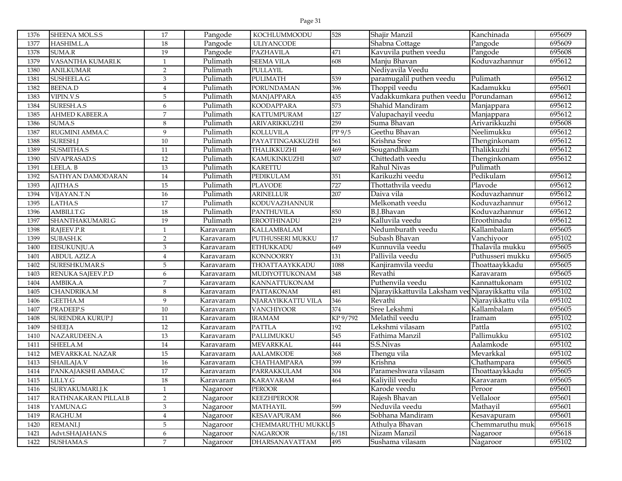| 1376 | SHEENA MOL.S.S        | 17               | Pangode   | <b>KOCHLUMMOODU</b>   | 528      | Shajir Manzil                                    | Kanchinada         | 695609 |
|------|-----------------------|------------------|-----------|-----------------------|----------|--------------------------------------------------|--------------------|--------|
| 1377 | HASHIM.L.A            | 18               | Pangode   | <b>ULIYANCODE</b>     |          | Shabna Cottage                                   | Pangode            | 695609 |
| 1378 | <b>SUMA.R</b>         | $\overline{19}$  | Pangode   | <b>PAZHAVILA</b>      | 471      | Kavuvila puthen veedu                            | Pangode            | 695608 |
| 1379 | VASANTHA KUMARI.K     | $\mathbf{1}$     | Pulimath  | <b>SEEMA VILA</b>     | 608      | Manju Bhavan                                     | Koduvazhannur      | 695612 |
| 1380 | <b>ANILKUMAR</b>      | $\overline{2}$   | Pulimath  | PULLAYIL              |          | Nediyavila Veedu                                 |                    |        |
| 1381 | SUSHEELA.G            | $\mathfrak{Z}$   | Pulimath  | <b>PULIMATH</b>       | 539      | paramugalil puthen veedu                         | Pulimath           | 695612 |
| 1382 | <b>BEENA.D</b>        | $\bf{4}$         | Pulimath  | <b>PORUNDAMAN</b>     | 396      | Thoppil veedu                                    | Kadamukku          | 695601 |
| 1383 | <b>VIPIN.V.S</b>      | 5                | Pulimath  | <b>MANJAPPARA</b>     | 435      | Vadakkumkara puthen veedu Porundaman             |                    | 695612 |
| 1384 | SURESH.A.S            | 6                | Pulimath  | <b>KOODAPPARA</b>     | 573      | Shahid Mandiram                                  | Manjappara         | 695612 |
| 1385 | <b>AHMED KABEER.A</b> | $\overline{7}$   | Pulimath  | <b>KATTUMPURAM</b>    | 127      | Valupachayil veedu                               | Manjappara         | 695612 |
| 1386 | SUMA.S                | 8                | Pulimath  | ARIVARIKKUZHI         | 259      | Suma Bhavan                                      | Arivarikkuzhi      | 695608 |
| 1387 | RUGMINI AMMA.C        | 9                | Pulimath  | <b>KOLLUVILA</b>      | PP9/5    | Geethu Bhavan                                    | Neelimukku         | 695612 |
| 1388 | SURESH.J              | 10               | Pulimath  | PAYATTINGAKKUZHI      | 561      | Krishna Sree                                     | Thenginkonam       | 695612 |
| 1389 | SUSMITHA.S            | 11               | Pulimath  | THALIKKUZHI           | 469      | Sougandhikam                                     | Thalikkuzhi        | 695612 |
| 1390 | SIVAPRASAD.S          | 12               | Pulimath  | KAMUKINKUZHI          | 307      | Chittedath veedu                                 | Thenginkonam       | 695612 |
| 1391 | LEELA. B              | 13               | Pulimath  | <b>KARETTU</b>        |          | Rahul Nivas                                      | Pulimath           |        |
| 1392 | SATHYAN DAMODARAN     | 14               | Pulimath  | PEDIKULAM             | 351      | Karikuzhi veedu                                  | Pedikulam          | 695612 |
| 1393 | AJITHA.S              | 15               | Pulimath  | <b>PLAVODE</b>        | 727      | Thottathvila veedu                               | Plavode            | 695612 |
| 1394 | VIJAYAN.T.N           | 16               | Pulimath  | <b>ARINELLUR</b>      | 207      | Daiva vila                                       | Koduvazhannur      | 695612 |
| 1395 | LATHA.S               | 17               | Pulimath  | <b>KODUVAZHANNUR</b>  |          | Melkonath veedu                                  | Koduvazhannur      | 695612 |
| 1396 | AMBILI.T.G            | 18               | Pulimath  | <b>PANTHUVILA</b>     | 850      | <b>B.J.Bhavan</b>                                | Koduvazhannur      | 695612 |
| 1397 | SHANTHAKUMARI.G       | 19               | Pulimath  | <b>EROOTHINADU</b>    | 219      | Kalluvila veedu                                  | Eroothinadu        | 695612 |
| 1398 | RAJEEV.P.R            | $\mathbf{1}$     | Karavaram | <b>KALLAMBALAM</b>    |          | Nedumburath veedu                                | Kallambalam        | 695605 |
| 1399 | SUBASH.K              | $\overline{2}$   | Karavaram | PUTHUSSERI MUKKU      | 17       | Subash Bhavan                                    | Vanchiyoor         | 695102 |
| 1400 | <b>EESUKUNJU.A</b>    | 3                | Karavaram | <b>ETHUKKADU</b>      | 649      | Kunnuvila veedu                                  | Thalavila mukku    | 695605 |
| 1401 | <b>ABDUL AZIZ.A</b>   | $\bf{4}$         | Karavaram | <b>KONNOORRY</b>      | 131      | Pallivila veedu                                  | Puthusseri mukku   | 695605 |
| 1402 | SURESHKUMAR.S         | 5                | Karavaram | THOATTAAYKKADU        | 1088     | Kanjiramvila veedu                               | Thoattaaykkadu     | 695605 |
| 1403 | RENUKA SAJEEV.P.D     | 6                | Karavaram | MUDIYOTTUKONAM        | 348      | Revathi                                          | Karavaram          | 695605 |
| 1404 | AMBIKA.A              | $\overline{7}$   | Karavaram | KANNATTUKONAM         |          | Puthenvila veedu                                 | Kannattukonam      | 695102 |
| 1405 | <b>CHANDRIKA.M</b>    | 8                | Karavaram | PATTAKONAM            | 481      | Njarayikkattuvila Laksham vee Njarayikkattu vila |                    | 695102 |
| 1406 | GEETHA.M              | 9                | Karavaram | NJARAYIKKATTU VILA    | 346      | Revathi                                          | Njarayikkattu vila | 695102 |
| 1407 | PRADEEP.S             | 10               | Karavaram | <b>VANCHIYOOR</b>     | 374      | Sree Lekshmi                                     | Kallambalam        | 695605 |
| 1408 | SURENDRA KURUP.J      | 11               | Karavaram | <b>IRAMAM</b>         | KP 9/792 | Melathil veedu                                   | Iramam             | 695102 |
| 1409 | <b>SHEEJA</b>         | 12               | Karavaram | <b>PATTLA</b>         | 192      | Lekshmi vilasam                                  | Pattla             | 695102 |
| 1410 | NAZARUDEEN.A          | 13               | Karavaram | PALLIMUKKU            | 545      | Fathima Manzil                                   | Pallimukku         | 695102 |
| 1411 | SHEELA.M              | 14               | Karavaram | <b>MEVARKKAL</b>      | 444      | S.S.Nivas                                        | Aalamkode          | 695102 |
| 1412 | MEVARKKAL NAZAR       | 15               | Karavaram | AALAMKODE             | 368      | Thengu vila                                      | Mevarkkal          | 695102 |
| 1413 | SHAILAJA.V            | 16               | Karavaram | CHATHAMPARA           | 399      | Krishna                                          | Chathampara        | 695605 |
| 1414 | PANKAJAKSHI AMMA.C    | $\overline{17}$  | Karavaram | PARRAKKULAM           | 304      | Parameshwara vilasam                             | Thoattaaykkadu     | 695605 |
| 1415 | <b>LILLY.G</b>        | 18               | Karavaram | <b>KARAVARAM</b>      | 464      | Kaliyilil veedu                                  | Karavaram          | 695605 |
| 1416 | SURYAKUMARI.J.K       | 1                | Nagaroor  | <b>PEROOR</b>         |          | Karode veedu                                     | Peroor             | 695601 |
| 1417 | RATHNAKARAN PILLAI.B  | $\overline{2}$   | Nagaroor  | <b>KEEZHPEROOR</b>    |          | Rajesh Bhavan                                    | Vellaloor          | 695601 |
| 1418 | YAMUNA.G              | 3                | Nagaroor  | <b>MATHAYIL</b>       | 599      | Neduvila veedu                                   | Mathayil           | 695601 |
| 1419 | RAGHU.M               | $\bf{4}$         | Nagaroor  | <b>KESAVAPURAM</b>    | 866      | Sobhana Mandiram                                 | Kesavapuram        | 695601 |
| 1420 | REMANI.J              | $\mathbf 5$      | Nagaroor  | CHEMMARUTHU MUKKU5    |          | Athulya Bhavan                                   | Chemmaruthu muk    | 695618 |
| 1421 | Advt.SHAJAHAN.S       | $\boldsymbol{6}$ | Nagaroor  | <b>NAGAROOR</b>       | 6/181    | Nizam Manzil                                     | Nagaroor           | 695618 |
| 1422 | SUSHAMA.S             | $\overline{7}$   | Nagaroor  | <b>DHARSANAVATTAM</b> | 495      | Sushama vilasam                                  | Nagaroor           | 695102 |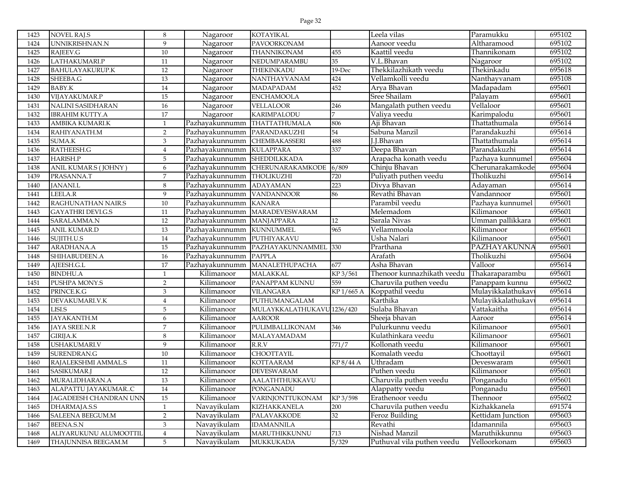| 1423 | <b>NOVEL RAJ.S</b>       | 8               | Nagaroor       | KOTAYIKAL                  |                 | Leela vilas                | Paramukku         | 695102 |
|------|--------------------------|-----------------|----------------|----------------------------|-----------------|----------------------------|-------------------|--------|
| 1424 | UNNIKRISHNAN.N           | 9               | Nagaroor       | PAVOORKONAM                |                 | Aanoor veedu               | Altharamood       | 695102 |
| 1425 | RAJEEV.G                 | 10              | Nagaroor       | THANNIKONAM                | 455             | Kaattil veedu              | Thannikonam       | 695102 |
| 1426 | LATHAKUMARI.P            | 11              | Nagaroor       | NEDUMPARAMBU               | 35              | V.L.Bhavan                 | Nagaroor          | 695102 |
| 1427 | <b>BAHULAYAKURUP.K</b>   | 12              | Nagaroor       | THEKINKADU                 | 19-Dec          | Thekkilazhikath veedu      | Thekinkadu        | 695618 |
| 1428 | SHEEBA.G                 | 13              | Nagaroor       | NANTHAYVANAM               | 424             | Vellamkolli veedu          | Nanthayvanam      | 695108 |
| 1429 | <b>BABY.K</b>            | 14              | Nagaroor       | MADAPADAM                  | 452             | Arya Bhavan                | Madapadam         | 695601 |
| 1430 | VIJAYAKUMAR.P            | 15              | Nagaroor       | <b>ENCHAMOOLA</b>          |                 | <b>Sree Shailam</b>        | Palayam           | 695601 |
| 1431 | <b>NALINI SASIDHARAN</b> | 16              | Nagaroor       | VELLALOOR                  | 246             | Mangalath puthen veedu     | Vellaloor         | 695601 |
| 1432 | <b>IBRAHIM KUTTY.A</b>   | 17              | Nagaroor       | <b>KARIMPALODU</b>         |                 | Valiya veedu               | Karimpalodu       | 695601 |
| 1433 | AMBIKA KUMARI.K          | $\mathbf{1}$    | Pazhayakunnumm | <b>THATTATHUMALA</b>       | 806             | Aji Bhavan                 | Thattathumala     | 695614 |
| 1434 | RAHIYANATH.M             | 2               | Pazhayakunnumm | PARANDAKUZHI               | 54              | Sabuna Manzil              | Parandakuzhi      | 695614 |
| 1435 | SUMA.K                   | 3               | Pazhayakunnumm | CHEMBAKASSERI              | 488             | J.J.Bhavan                 | Thattathumala     | 695614 |
| 1436 | RATHEESH.G               | $\overline{4}$  | Pazhayakunnumm | <b>KULAPPARA</b>           | 337             | Deepa Bhavan               | Parandakuzhi      | 695614 |
| 1437 | HARISH.P                 | 5               | Pazhayakunnumm | SHEDDILKKADA               |                 | Arapacha konath veedu      | Pazhaya kunnumel  | 695604 |
| 1438 | ANIL KUMAR.S (JOHNY)     | 6               | Pazhayakunnumm | CHERUNARAKAMKODE           | 6/809           | Chinju Bhavan              | Cherunarakamkode  | 695604 |
| 1439 | PRASANNA.T               | $\overline{7}$  | Pazhayakunnumm | THOLIKUZHI                 | 720             | Puliyath puthen veedu      | Tholikuzhi        | 695614 |
| 1440 | <b>JANANI.L</b>          | 8               | Pazhayakunnumm | <b>ADAYAMAN</b>            | 223             | Divya Bhavan               | Adayaman          | 695614 |
| 1441 | LEELA.R                  | 9               | Pazhayakunnumm | <b>VANDANNOOR</b>          | 86              | Revathi Bhavan             | Vandannoor        | 695601 |
| 1442 | RAGHUNATHAN NAIR.S       | 10              | Pazhayakunnumm | <b>KANARA</b>              |                 | Parambil veedu             | Pazhaya kunnumel  | 695601 |
| 1443 | <b>GAYATHRI DEVI.G.S</b> | 11              | Pazhayakunnumm | MARADEVESWARAM             |                 | Melemadom                  | Kilimanoor        | 695601 |
| 1444 | SARALAMMA.N              | 12              | Pazhayakunnumm | <b>MANJAPPARA</b>          | $\overline{12}$ | Sarala Nivas               | Umman pallikkara  | 695601 |
| 1445 | <b>ANIL KUMAR.D</b>      | 13              | Pazhavakunnumm | <b>KUNNUMMEL</b>           | 965             | Vellammoola                | Kilimanoor        | 695601 |
| 1446 | SUJITH.U.S               | 14              | Pazhayakunnumm | PUTHIYAKAVU                |                 | Usha Nalari                | Kilimanoor        | 695601 |
| 1447 | ARADHANA.A               | 15              | Pazhayakunnumm | PAZHAYAKUNNAMMEL           | 330             | Prarthana                  | PAZHAYAKUNNA      | 695601 |
| 1448 | SHIHABUDEEN.A            | 16              | Pazhayakunnumm | <b>PAPPLA</b>              |                 | Arafath                    | Tholikuzhi        | 695604 |
| 1449 | AJEESH.G.L               | 17              | Pazhayakunnumm | MANALETHUPACHA             | 677             | Asha Bhavan                | Valloor           | 695614 |
| 1450 | <b>BINDHU.A</b>          | $\mathbf{1}$    | Kilimanoor     | MALAKKAL                   | KP 3/561        | Thenoor kunnazhikath veedu | Thakaraparambu    | 695601 |
| 1451 | PUSHPA MONY.S            | 2               | Kilimanoor     | PANAPPAM KUNNU             | 559             | Charuvila puthen veedu     | Panappam kunnu    | 695602 |
| 1452 | PRINCE.K.G               | 3               | Kilimanoor     | VILANGARA                  | KP 1/665 A      | Koppathil veedu            | Mulayikkalathukav | 695614 |
| 1453 | DEVAKUMARI.V.K           | $\overline{4}$  | Kilimanoor     | PUTHUMANGALAM              |                 | Karthika                   | Mulayikkalathukav | 695614 |
| 1454 | LISI.S                   | 5               | Kilimanoor     | MULAYKKALATHUKAVU 1236/420 |                 | Sulaba Bhavan              | Vattakaitha       | 695614 |
| 1455 | <b>JAYAKANTH.M</b>       | 6               | Kilimanoor     | <b>AAROOR</b>              |                 | Sheeja bhavan              | Aaroor            | 695614 |
| 1456 | JAYA SREE.N.R            | $\overline{7}$  | Kilimanoor     | PULIMBALLIKONAM            | 346             | Pulurkunnu veedu           | Kilimanoor        | 695601 |
| 1457 | <b>GIRIJA.K</b>          | 8               | Kilimanoor     | MALAYAMADAM                |                 | Kulathinkara veedu         | Kilimanoor        | 695601 |
| 1458 | USHAKUMARI.V             | 9               | Kilimanoor     | R.R.V                      | 771/7           | Kollonath veedu            | Kilimanoor        | 695601 |
| 1459 | SURENDRAN.G              | 10              | Kilimanoor     | <b>CHOOTTAYIL</b>          |                 | Komalath veedu             | Choottayil        | 695601 |
| 1460 | RAJALEKSHMI AMMAL.S      | 11              | Kilimanoor     | KOTTAARAM                  | KP 8/44 A       | Uthradam                   | Deveswaram        | 695601 |
| 1461 | SASIKUMAR.J              | $\overline{12}$ | Kilimanoor     | <b>DEVESWARAM</b>          |                 | Puthen veedu               | Kilimanoor        | 695601 |
| 1462 | MURALIDHARAN.A           | $13\,$          | Kilimanoor     | AALATHTHUKKAVU             |                 | Charuvila puthen veedu     | Ponganadu         | 695601 |
| 1463 | ALAPATTU JAYAKUMARC      | 14              | Kilimanoor     | PONGANADU                  |                 | Alappatty veedu            | Ponganadu         | 695601 |
| 1464 | JAGADEESH CHANDRAN UNN   | 15              | Kilimanoor     | VARINJONTTUKONAM           | KP 3/598        | Erathenoor veedu           | Thennoor          | 695602 |
| 1465 | DHARMAJA.S.S             | $\mathbf{1}$    | Navayikulam    | KIZHAKKANELA               | 200             | Charuvila puthen veedu     | Kizhakkanela      | 691574 |
| 1466 | SALEENA BEEGUM.M         | $\sqrt{2}$      | Navayikulam    | PALAVAKKODE                | 32              | Feroz Building             | Kettidam Junction | 695603 |
| 1467 | <b>BEENA.S.N</b>         | 3               | Navayikulam    | <b>IDAMANNILA</b>          |                 | Revathi                    | Idamannila        | 695603 |
| 1468 | ALIYARUKUNU ALUMOOTTIL   | $\overline{4}$  | Navayikulam    | MARUTHIKKUNNU              | 713             | Nishad Manzil              | Maruthikkunnu     | 695603 |
| 1469 | THAJUNNISA BEEGAM.M      | 5               | Navayikulam    | <b>MUKKUKADA</b>           | 5/329           | Puthuval vila puthen veedu | Velloorkonam      | 695603 |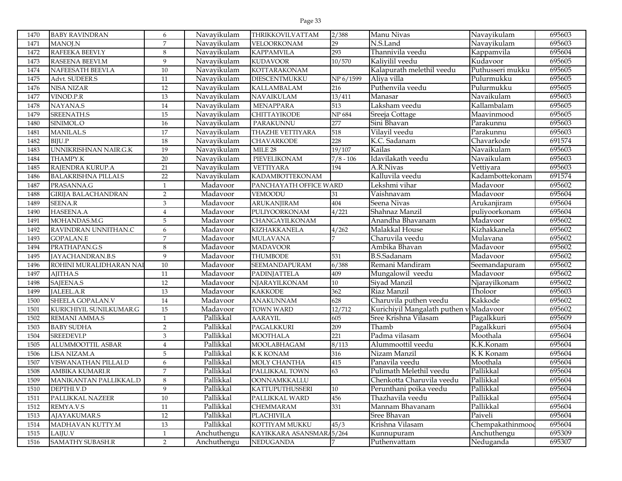| 1470 | <b>BABY RAVINDRAN</b>       | 6               | Navayikulam | <b>THRIKKOVILVATTAM</b>   | 2/388            | Manu Nivas                             | Navayikulam      | 695603 |
|------|-----------------------------|-----------------|-------------|---------------------------|------------------|----------------------------------------|------------------|--------|
| 1471 | MANOJ.N                     | $\overline{7}$  | Navayikulam | VELOORKONAM               | 29               | N.S.Land                               | Navayikulam      | 695603 |
| 1472 | RAFEEKA BEEVI.Y             | 8               | Navayikulam | <b>KAPPAMVILA</b>         | 293              | Thannivila veedu                       | Kappamvila       | 695604 |
| 1473 | <b>RASEENA BEEVI.M</b>      | 9               | Navayikulam | <b>KUDAVOOR</b>           | 10/570           | Kaliyilil veedu                        | Kudavoor         | 695605 |
| 1474 | NAFEESATH BEEVI.A           | 10              | Navayikulam | KOTTARAKONAM              |                  | Kalapurath melethil veedu              | Puthusseri mukku | 695605 |
| 1475 | Advt. SUDEER.S              | 11              | Navayikulam | DIESCENTMUKKU             | NP 6/1599        | Aliya villa                            | Pulurmukku       | 695605 |
| 1476 | <b>NISA NIZAR</b>           | 12              | Navayikulam | <b>KALLAMBALAM</b>        | 216              | Puthenvila veedu                       | Pulurmukku       | 695605 |
| 1477 | VINOD.P.R                   | 13              | Navayikulam | NAVAIKULAM                | 13/411           | Manasar                                | Navaikulam       | 695603 |
| 1478 | NAYANA.S                    | 14              | Navayikulam | MENAPPARA                 | 513              | Laksham veedu                          | Kallambalam      | 695605 |
| 1479 | SREENATH.S                  | $15\,$          | Navayikulam | CHITTAYIKODE              | NP 684           | Sreeja Cottage                         | Maavinmood       | 695605 |
| 1480 | SINIMOL.O                   | 16              | Navayikulam | PARAKUNNU                 | 277              | Sini Bhavan                            | Parakunnu        | 695603 |
| 1481 | <b>MANILAL.S</b>            | $\overline{17}$ | Navayikulam | <b>THAZHE VETTIYARA</b>   | 518              | Vilayil veedu                          | Parakunnu        | 695603 |
| 1482 | BIJU.P                      | 18              | Navayikulam | CHAVARKODE                | 228              | K.C. Sadanam                           | Chavarkode       | 691574 |
| 1483 | UNNIKRISHNAN NAIR.G.K       | 19              | Navayikulam | MILE 28                   | 19/107           | Kailas                                 | Navaikulam       | 695603 |
| 1484 | THAMPY.K                    | 20              | Navayikulam | PIEVELIKONAM              | $7/8 - 106$      | Idavilakath veedu                      | Navaikulam       | 695603 |
| 1485 | RAJENDRA KURUP.A            | 21              | Navayikulam | VETTIYARA                 | 194              | A.R.Nivas                              | Vettivara        | 695603 |
| 1486 | <b>BALAKRISHNA PILLAI.S</b> | 22              | Navayikulam | <b>KADAMBOTTEKONAM</b>    |                  | Kalluvila veedu                        | Kadambottekonam  | 691574 |
| 1487 | PRASANNA.G                  | 1               | Madavoor    | PANCHAYATH OFFICE WARD    |                  | Lekshmi vihar                          | Madavoor         | 695602 |
| 1488 | <b>GIRIJA BALACHANDRAN</b>  | 2               | Madavoor    | <b>VEMOODU</b>            | 31               | Vaishnavam                             | Madavoor         | 695604 |
| 1489 | <b>SEENA.R</b>              | 3               | Madavoor    | ARUKANJIRAM               | 404              | Seena Nivas                            | Arukanjiram      | 695604 |
| 1490 | HASEENA.A                   | $\overline{4}$  | Madavoor    | PULIYOORKONAM             | 4/221            | Shahnaz Manzil                         | puliyoorkonam    | 695604 |
| 1491 | MOHANDAS.M.G                | 5               | Madavoor    | CHANGAYILKONAM            |                  | Anandha Bhavanam                       | Madavoor         | 695602 |
| 1492 | RAVINDRAN UNNITHAN.C        | 6               | Madavoor    | KIZHAKKANELA              | 4/262            | Malakkal House                         | Kizhakkanela     | 695602 |
| 1493 | <b>GOPALAN.E</b>            | $\overline{7}$  | Madavoor    | <b>MULAVANA</b>           |                  | Charuvila veedu                        | Mulavana         | 695602 |
| 1494 | PRATHAPAN.G.S               | 8               | Madavoor    | <b>MADAVOOR</b>           |                  | Ambika Bhavan                          | Madavoor         | 695602 |
| 1495 | JAYACHANDRAN.B.S            | 9               | Madavoor    | <b>THUMBODE</b>           | 531              | <b>B.S.Sadanam</b>                     | Madavoor         | 695602 |
| 1496 | ROHINI MURALIDHARAN NAI     | 10              | Madavoor    | SEEMANDAPURAM             | 6/388            | Remani Mandiram                        | Seemandapuram    | 695602 |
| 1497 | AJITHA.S                    | 11              | Madavoor    | PADINJATTELA              | 409              | Mungalowil veedu                       | Madavoor         | 695602 |
| 1498 | SAJEENA.S                   | 12              | Madavoor    | NJARAYILKONAM             | $\overline{10}$  | Siyad Manzil                           | Njarayilkonam    | 695602 |
| 1499 | JALEEL.A.R                  | 13              | Madavoor    | <b>KAKKODE</b>            | $\overline{362}$ | Riaz Manzil                            | Tholoor          | 695603 |
| 1500 | SHEELA GOPALAN.V            | 14              | Madavoor    | <b>ANAKUNNAM</b>          | 628              | Charuvila puthen veedu                 | Kakkode          | 695602 |
| 1501 | KURICHIYIL SUNILKUMAR.G     | 15              | Madavoor    | <b>TOWN WARD</b>          | 12/712           | Kurichiyil Mangalath puthen v Madavoor |                  | 695602 |
| 1502 | REMANI AMMA.S               | $\mathbf{1}$    | Pallikkal   | <b>AARAYIL</b>            | 605              | Sree Krishna Vilasam                   | Pagalkkuri       | 695609 |
| 1503 | <b>BABY SUDHA</b>           | $\overline{2}$  | Pallikkal   | PAGALKKURI                | 209              | Thamb                                  | Pagalkkuri       | 695604 |
| 1504 | SREEDEVI.P                  | 3               | Pallikkal   | <b>MOOTHALA</b>           | 221              | Padma vilasam                          | Moothala         | 695604 |
| 1505 | ALUMMOOTTIL ASBAR           | $\overline{4}$  | Pallikkal   | MOOLABHAGAM               | 8/113            | Alummoottil veedu                      | K.K.Konam        | 695604 |
| 1506 | LISA NIZAM.A                | 5               | Pallikkal   | <b>KKKONAM</b>            | 316              | Nizam Manzil                           | <b>KKKonam</b>   | 695604 |
| 1507 | VISWANATHAN PILLAI.D        | 6               | Pallikkal   | <b>MOLY CHANTHA</b>       | 415              | Panavila veedu                         | Moothala         | 695604 |
| 1508 | AMBIKA KUMARI.R             | $\overline{7}$  | Pallikkal   | PALLIKKAL TOWN            | 63               | Pulimath Melethil veedu                | Pallikkal        | 695604 |
| 1509 | MANIKANTAN PALLIKKAL.D      | $\,8\,$         | Pallikkal   | OONNAMKKALLU              |                  | Chenkotta Charuvila veedu              | Pallikkal        | 695604 |
| 1510 | DEPTHI.V.D                  | 9               | Pallikkal   | KATTUPUTHUSSERI           | $10\,$           | Perunthani poika veedu                 | Pallikkal        | 695604 |
| 1511 | PALLIKKAL NAZEER            | 10              | Pallikkal   | PALLIKKAL WARD            | 456              | Thazhavila veedu                       | Pallikkal        | 695604 |
| 1512 | REMYA.V.S                   | 11              | Pallikkal   | CHEMMARAM                 | 331              | Mannam Bhavanam                        | Pallikkal        | 695604 |
| 1513 | AJAYAKUMAR.S                | $12\,$          | Pallikkal   | PLACHIVILA                |                  | Sree Bhavan                            | Paiveli          | 695604 |
| 1514 | MADHAVAN KUTTY.M            | $13\,$          | Pallikkal   | KOTTIYAM MUKKU            | 45/3             | Krishna Vilasam                        | Chempakathinmood | 695604 |
| 1515 | LAIJU.V                     | $\mathbf{1}$    | Anchuthengu | KAYIKKARA ASANSMARA 5/264 |                  | Kunnupuram                             | Anchuthengu      | 695309 |
| 1516 | SAMATHY SUBASH.R            | $\overline{2}$  | Anchuthengu | <b>NEDUGANDA</b>          |                  | Puthenvattam                           | Neduganda        | 695307 |
|      |                             |                 |             |                           |                  |                                        |                  |        |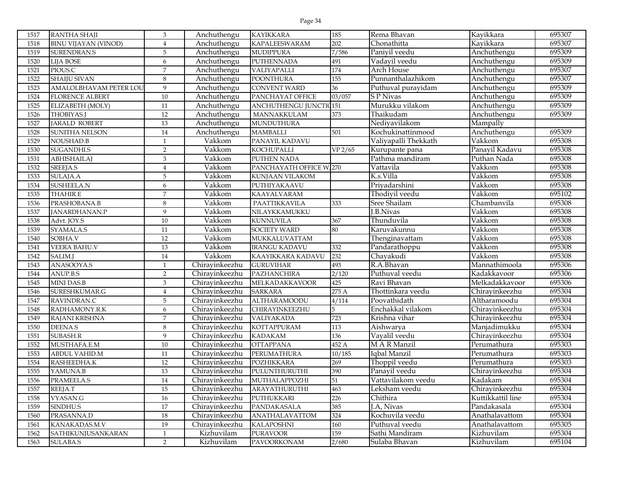| 1517 | <b>RANTHA SHAJI</b>         | 3              | Anchuthengu    | <b>KAYIKKARA</b>         | 185       | Rema Bhavan          | Kayikkara         | 695307 |
|------|-----------------------------|----------------|----------------|--------------------------|-----------|----------------------|-------------------|--------|
| 1518 | <b>BINU VIJAYAN (VINOD)</b> | $\overline{4}$ | Anchuthengu    | <b>KAPALEESWARAM</b>     | 202       | Chonathitta          | Kayikkara         | 695307 |
| 1519 | <b>SURENDRAN.S</b>          | 5              | Anchuthengu    | <b>MUDIPPURA</b>         | 7/586     | Paniyil veedu        | Anchuthengu       | 695309 |
| 1520 | <b>LIJA BOSE</b>            | 6              | Anchuthengu    | <b>PUTHENNADA</b>        | 491       | Vadayil veedu        | Anchuthengu       | 695309 |
| 1521 | PIOUS.C                     | $\overline{7}$ | Anchuthengu    | VALIYAPALLI              | 174       | Arch House           | Anchuthengu       | 695307 |
| 1522 | <b>SHAIJU SIVAN</b>         | 8              | Anchuthengu    | <b>POONTHURA</b>         | 155       | Punnanthalazhikom    | Anchuthengu       | 695307 |
| 1523 | AMALOLBHAVAM PETER LOU      | 9              | Anchuthengu    | <b>CONVENT WARD</b>      | 36        | Puthuval purayidam   | Anchuthengu       | 695309 |
| 1524 | <b>FLORENCE ALBERT</b>      | 10             | Anchuthengu    | PANCHAYAT OFFICE         | 03/057    | <b>SP</b> Nivas      | Anchuthengu       | 695309 |
| 1525 | ELIZABETH (MOLY)            | 11             | Anchuthengu    | ANCHUTHENGU JUNCTIC 151  |           | Murukku vilakom      | Anchuthengu       | 695309 |
| 1526 | THOBIYAS.J                  | 12             | Anchuthengu    | MANNAKKULAM              | 373       | Thaikudam            | Anchuthengu       | 695309 |
| 1527 | <b>JARALD ROBERT</b>        | 13             | Anchuthengu    | <b>MUNDUTHURA</b>        |           | Nediyavilakom        | Mampally          |        |
| 1528 | <b>SUNITHA NELSON</b>       | 14             | Anchuthengu    | <b>MAMBALLI</b>          | 501       | Kochukinattinmood    | Anchuthengu       | 695309 |
| 1529 | NOUSHAD.B                   | $\mathbf{1}$   | Vakkom         | PANAYIL KADAVU           |           | Valiyapalli Thekkath | Vakkom            | 695308 |
| 1530 | SUGANDHI.S                  | $\overline{2}$ | Vakkom         | <b>KOCHUPALLI</b>        | $VP$ 2/65 | Kurupante pana       | Panayil Kadavu    | 695308 |
| 1531 | ABHISHAILAJ                 | 3              | Vakkom         | PUTHEN NADA              |           | Pathma mandiram      | Puthan Nada       | 695308 |
| 1532 | SREEJA.S                    | $\bf{4}$       | Vakkom         | PANCHAYATH OFFICE W. 270 |           | Vattavila            | Vakkom            | 695308 |
| 1533 | SULAJA.A                    | 5              | Vakkom         | <b>KUNJAAN VILAKOM</b>   |           | K.s.Villa            | Vakkom            | 695308 |
| 1534 | SUSHEELA.N                  | 6              | Vakkom         | PUTHIYAKAAVU             |           | Priyadarshini        | Vakkom            | 695308 |
| 1535 | THAHIR.E                    | $\overline{7}$ | Vakkom         | KAAYALVARAM              |           | Thodivil veedu       | Vakkom            | 695102 |
| 1536 | PRASHOBANA.B                | 8              | Vakkom         | PAATTIKKAVILA            | 333       | <b>Sree Shailam</b>  | Chambanvila       | 695308 |
| 1537 | JANARDHANAN.P               | 9              | Vakkom         | NILAYKKAMUKKU            |           | J.B.Nivas            | Vakkom            | 695308 |
| 1538 | Advt. JOY.S                 | 10             | Vakkom         | <b>KUNNUVILA</b>         | 367       | Thunduvila           | Vakkom            | 695308 |
| 1539 | SYAMALA.S                   | 11             | Vakkom         | <b>SOCIETY WARD</b>      | 80        | Karuvakunnu          | Vakkom            | 695308 |
| 1540 | SOBHA.V                     | 12             | Vakkom         | MUKKALUVATTAM            |           | Thenginavattam       | Vakkom            | 695308 |
| 1541 | <b>VEERA BAHU.V</b>         | 13             | Vakkom         | <b>IRANGU KADAVU</b>     | 332       | Pandarathoppu        | Vakkom            | 695308 |
| 1542 | SALIM.J                     | 14             | Vakkom         | KAAYIKKARA KADAVU        | 232       | Chayakudi            | Vakkom            | 695308 |
| 1543 | ANASOOYA.S                  | $\mathbf{1}$   | Chirayinkeezhu | <b>GURUVIHAR</b>         | 493       | R.A.Bhavan           | Mannathimoola     | 695306 |
| 1544 | ANUP.B.S                    | 2              | Chirayinkeezhu | PAZHANCHIRA              | 2/120     | Puthuval veedu       | Kadakkavoor       | 695306 |
| 1545 | <b>MINI DAS.B</b>           | 3              | Chirayinkeezhu | MELKADAKKAVOOR           | 425       | Ravi Bhavan          | Melkadakkavoor    | 695306 |
| 1546 | SURESHKUMAR.G               | $\overline{4}$ | Chirayinkeezhu | <b>SARKARA</b>           | 275 A     | Thottinkara veedu    | Chirayinkeezhu    | 695304 |
| 1547 | RAVINDRAN.C                 | 5              | Chirayinkeezhu | <b>ALTHARAMOODU</b>      | 4/114     | Poovathidath         | Altharamoodu      | 695304 |
| 1548 | RADHAMONY.R.K               | 6              | Chirayinkeezhu | <b>CHIRAYINKEEZHU</b>    | 5         | Enchakkal vilakom    | Chirayinkeezhu    | 695304 |
| 1549 | RAJANI KRISHNA              | 7              | Chirayinkeezhu | VALIYAKADA               | 723       | Krishna vihar        | Chirayinkeezhu    | 695304 |
| 1550 | DEENA.S                     | 8              | Chirayinkeezhu | <b>KOTTAPPURAM</b>       | 113       | Aishwarya            | Manjadimukku      | 695304 |
| 1551 | SUBASH.R                    | 9              | Chirayinkeezhu | <b>KADAKAM</b>           | 136       | Vayalil veedu        | Chirayinkeezhu    | 695304 |
| 1552 | MUSTHAFA.E.M                | 10             | Chirayinkeezhu | <b>OTTAPPANA</b>         | 452 A     | M A R Manzil         | Perumathura       | 695303 |
| 1553 | <b>ABDUL VAHID.M</b>        | 11             | Chirayinkeezhu | <b>PERUMATHURA</b>       | 10/185    | Iqbal Manzil         | Perumathura       | 695303 |
| 1554 | RASHEEDHA.K                 | 12             | Chirayinkeezhu | <b>POZHIKKARA</b>        | 269       | Thoppil veedu        | Perumathura       | 695303 |
| 1555 | YAMUNA.B                    | 13             | Chirayinkeezhu | PULUNTHURUTHI            | 390       | Panayil veedu        | Chirayinkeezhu    | 695304 |
| 1556 | PRAMEELA.S                  | $14\,$         | Chirayinkeezhu | MUTHALAPPOZHI            | 51        | Vattavilakom veedu   | Kadakam           | 695304 |
| 1557 | REEJA.T                     | 15             | Chirayinkeezhu | ARAYATHURUTHI            | 463       | Leksham veedu        | Chirayinkeezhu    | 695304 |
| 1558 | VYASAN.G                    | 16             | Chiravinkeezhu | PUTHUKKARI               | 226       | Chithira             | Kuttikkattil line | 695304 |
| 1559 | SINDHU.S                    | 17             | Chirayinkeezhu | PANDAKASALA              | 385       | J.A, Nivas           | Pandakasala       | 695304 |
| 1560 | PRASANNA.D                  | 18             | Chirayinkeezhu | <b>ANATHALAVATTOM</b>    | 324       | Kochuvila veedu      | Anathalavattom    | 695304 |
| 1561 | KANAKADAS.M.V               | 19             | Chirayinkeezhu | <b>KALAPOSHNI</b>        | 160       | Puthuval veedu       | Anathalavattom    | 695305 |
| 1562 | SATHIKUNJUSANKARAN          | $\mathbf{1}$   | Kizhuvilam     | <b>PURAVOOR</b>          | 159       | Sathi Mandiram       | Kizhuvilam        | 695304 |
| 1563 | SULABA.S                    | $\overline{2}$ | Kizhuvilam     | PAVOORKONAM              | 2/680     | Sulaba Bhavan        | Kizhuvilam        | 695104 |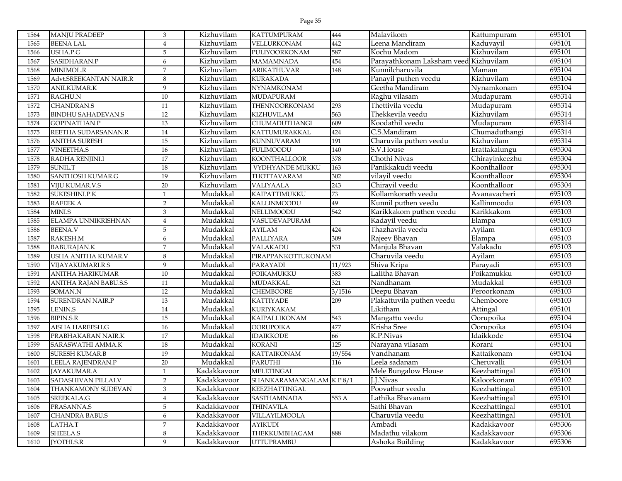| 1564 | <b>MANJU PRADEEP</b>      | 3                | Kizhuvilam  | <b>KATTUMPURAM</b>     | 444    | Malavikom                             | Kattumpuram    | 695101 |
|------|---------------------------|------------------|-------------|------------------------|--------|---------------------------------------|----------------|--------|
| 1565 | <b>BEENA LAL</b>          | $\overline{4}$   | Kizhuvilam  | VELLURKONAM            | 442    | Leena Mandiram                        | Kaduvayil      | 695101 |
| 1566 | USHA.P.G                  | 5                | Kizhuvilam  | PULIYOORKONAM          | 587    | Kochu Madom                           | Kizhuvilam     | 695101 |
| 1567 | SASIDHARAN.P              | 6                | Kizhuvilam  | <b>MAMAMNADA</b>       | 454    | Parayathkonam Laksham veed Kizhuvilam |                | 695104 |
| 1568 | MINIMOL.R                 | $\overline{7}$   | Kizhuvilam  | <b>ARIKATHUVAR</b>     | 148    | Kunnilcharuvila                       | Mamam          | 695104 |
| 1569 | Advt.SREEKANTAN NAIR.R    | 8                | Kizhuvilam  | <b>KURAKADA</b>        |        | Panayil puthen veedu                  | Kizhuvilam     | 695104 |
| 1570 | <b>ANILKUMAR.K</b>        | 9                | Kizhuvilam  | <b>NYNAMKONAM</b>      |        | Geetha Mandiram                       | Nynamkonam     | 695104 |
| 1571 | RAGHU.N                   | 10               | Kizhuvilam  | <b>MUDAPURAM</b>       |        | Raghu vilasam                         | Mudapuram      | 695314 |
| 1572 | <b>CHANDRAN.S</b>         | 11               | Kizhuvilam  | THENNOORKONAM          | 293    | Thettivila veedu                      | Mudapuram      | 695314 |
| 1573 | <b>BINDHU SAHADEVAN.S</b> | 12               | Kizhuvilam  | <b>KIZHUVILAM</b>      | 563    | Thekkevila veedu                      | Kizhuvilam     | 695314 |
| 1574 | GOPINATHAN.P              | 13               | Kizhuvilam  | CHUMADUTHANGI          | 609    | Koodathil veedu                       | Mudapuram      | 695314 |
| 1575 | REETHA SUDARSANAN.R       | 14               | Kizhuvilam  | KATTUMURAKKAL          | 424    | C.S.Mandiram                          | Chumaduthangi  | 695314 |
| 1576 | <b>ANITHA SURESH</b>      | 15               | Kizhuvilam  | <b>KUNNUVARAM</b>      | 191    | Charuvila puthen veedu                | Kizhuvilam     | 695314 |
| 1577 | <b>VINEETHA.S</b>         | 16               | Kizhuvilam  | PULIMOODU              | 140    | S.V.House                             | Erattakalungu  | 695304 |
| 1578 | RADHA RENJINI.I           | 17               | Kizhuvilam  | <b>KOONTHALLOOR</b>    | 378    | Chothi Nivas                          | Chirayinkeezhu | 695304 |
| 1579 | SUNIL.T                   | 18               | Kizhuvilam  | VYDHYANDE MUKKU        | 163    | Panikkakudi veedu                     | Koonthalloor   | 695304 |
| 1580 | SANTHOSH KUMAR.G          | 19               | Kizhuvilam  | THOTTAVARAM            | 302    | vilayil veedu                         | Koonthalloor   | 695304 |
| 1581 | <b>VIJU KUMAR.V.S</b>     | 20               | Kizhuvilam  | VALIYAALA              | 243    | Chirayil veedu                        | Koonthalloor   | 695304 |
| 1582 | SUKESHINI.P.K             | $\mathbf{1}$     | Mudakkal    | KAIPATTIMUKKU          | 73     | Kollamkonath veedu                    | Avanavacheri   | 695103 |
| 1583 | RAFEEK.A                  | $\overline{2}$   | Mudakkal    | <b>KALLINMOODU</b>     | 49     | Kunnil puthen veedu                   | Kallinmoodu    | 695103 |
| 1584 | MINI.S                    | 3                | Mudakkal    | <b>NELLIMOODU</b>      | 542    | Karikkakom puthen veedu               | Karikkakom     | 695103 |
| 1585 | ELAMPA UNNIKRISHNAN       | $\overline{4}$   | Mudakkal    | <b>VASUDEVAPURAM</b>   |        | Kadayil veedu                         | Elampa         | 695103 |
| 1586 | <b>BEENA.V</b>            | 5                | Mudakkal    | <b>AYILAM</b>          | 424    | Thazhavila veedu                      | Ayilam         | 695103 |
| 1587 | <b>RAKESH.M</b>           | 6                | Mudakkal    | PALLIYARA              | 309    | Rajeev Bhavan                         | Elampa         | 695103 |
| 1588 | <b>BABURAJAN.K</b>        | 7                | Mudakkal    | <b>VALAKADU</b>        | 531    | Manjula Bhavan                        | Valakadu       | 695103 |
| 1589 | USHA ANITHA KUMAR.V       | 8                | Mudakkal    | PIRAPPANKOTTUKONAM     |        | Charuvila veedu                       | Avilam         | 695103 |
| 1590 | VIJAYAKUMARI.R.S          | 9                | Mudakkal    | PARAYADI               | 11/923 | Shiva Kripa                           | Parayadi       | 695103 |
| 1591 | ANITHA HARIKUMAR          | 10               | Mudakkal    | POIKAMUKKU             | 383    | Lalitha Bhavan                        | Poikamukku     | 695103 |
| 1592 | ANITHA RAJAN BABU.S.S     | 11               | Mudakkal    | <b>MUDAKKAL</b>        | 321    | Nandhanam                             | Mudakkal       | 695103 |
| 1593 | SOMAN.N                   | 12               | Mudakkal    | <b>CHEMBOORE</b>       | 3/1516 | Deepu Bhavan                          | Peroorkonam    | 695103 |
| 1594 | <b>SURENDRAN NAIR.P</b>   | 13               | Mudakkal    | <b>KATTIYADE</b>       | 209    | Plakattuvila puthen veedu             | Chemboore      | 695103 |
| 1595 | <b>LENIN.S</b>            | 14               | Mudakkal    | <b>KURIYKAKAM</b>      |        | Likitham                              | Attingal       | 695101 |
| 1596 | <b>BIPIN.S.R</b>          | 15               | Mudakkal    | <b>KAIPALLIKONAM</b>   | 543    | Mangattu veedu                        | Oorupoika      | 695104 |
| 1597 | <b>AISHA HAREESH.G</b>    | 16               | Mudakkal    | <b>OORUPOIKA</b>       | 477    | Krisha Sree                           | Oorupoika      | 695104 |
| 1598 | PRABHAKARAN NAIR.K        | 17               | Mudakkal    | <b>IDAIKKODE</b>       | 66     | K.P.Nivas                             | Idaikkode      | 695104 |
| 1599 | SARASWATHI AMMA.K         | 18               | Mudakkal    | <b>KORANI</b>          | 125    | Narayana vilasam                      | Korani         | 695104 |
| 1600 | <b>SURESH KUMAR.B</b>     | $\overline{19}$  | Mudakkal    | <b>KATTAIKONAM</b>     | 19/554 | Vandhanam                             | Kattaikonam    | 695104 |
| 1601 | LEELA RAJENDRAN.P         | 20               | Mudakkal    | <b>PARUTHI</b>         | 116    | Leela sadanam                         | Cheruvalli     | 695104 |
| 1602 | JAYAKUMAR.A               | $\mathbf{1}$     | Kadakkavoor | <b>MELETINGAL</b>      |        | Mele Bungalow House                   | Keezhattingal  | 695101 |
| 1603 | SADASHIVAN PILLAI.V       | $\overline{2}$   | Kadakkavoor | SHANKARAMANGALAM KP8/1 |        | J.J.Nivas                             | Kaloorkonam    | 695102 |
| 1604 | THANKAMONY SUDEVAN        | 3                | Kadakkavoor | KEEZHATTINGAL          |        | Poovathur veedu                       | Keezhattingal  | 695101 |
| 1605 | SREEKALA.G                | $\overline{4}$   | Kadakkavoor | SASTHAMNADA            | 553 A  | Lathika Bhavanam                      | Keezhattingal  | 695101 |
| 1606 | PRASANNA.S                | 5                | Kadakkavoor | <b>THINAVILA</b>       |        | Sathi Bhavan                          | Keezhattingal  | 695101 |
| 1607 | <b>CHANDRA BABU.S</b>     | $\boldsymbol{6}$ | Kadakkavoor | VILLAYILMOOLA          |        | Charuvila veedu                       | Keezhattingal  | 695101 |
| 1608 | LATHA.T                   | 7                | Kadakkavoor | AYIKUDI                |        | Ambadi                                | Kadakkavoor    | 695306 |
| 1609 | SHEELA.S                  | $\,8\,$          | Kadakkavoor | THEKKUMBHAGAM          | 888    | Madathu vilakom                       | Kadakkavoor    | 695306 |
| 1610 | JYOTHI.S.R                | 9                | Kadakkavoor | <b>UTTUPRAMBU</b>      |        | Ashoka Building                       | Kadakkavoor    | 695306 |
|      |                           |                  |             |                        |        |                                       |                |        |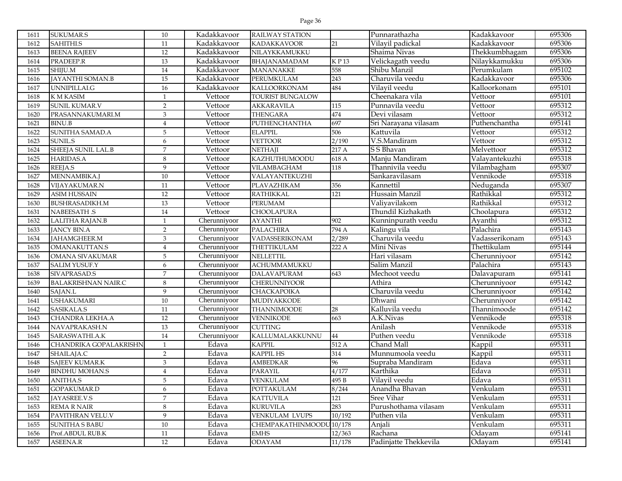|              |                               |                       | Kadakkavoor  | <b>RAILWAY STATION</b>   |             | Punnarathazha         | Kadakkavoor          | 695306 |
|--------------|-------------------------------|-----------------------|--------------|--------------------------|-------------|-----------------------|----------------------|--------|
| 1611<br>1612 | <b>SUKUMAR.S</b><br>SAHITHI.S | 10                    | Kadakkavoor  |                          | 21          | Vilayil padickal      | Kadakkavoor          | 695306 |
|              |                               | 11                    | Kadakkavoor  | <b>KADAKKAVOOR</b>       |             |                       | Thekkumbhagam        | 695306 |
| 1613         | <b>BEENA RAJEEV</b>           | 12<br>$\overline{13}$ |              | NILAYKKAMUKKU            |             | Shaima Nivas          | Nilaykkamukku        | 695306 |
| 1614         | PRADEEP.R                     |                       | Kadakkavoor  | BHAJANAMADAM             | <b>KP13</b> | Velickagath veedu     |                      |        |
| 1615         | SHIJU.M                       | 14                    | Kadakkavoor  | <b>MANANAKKE</b>         | 558         | Shibu Manzil          | Perumkulam           | 695102 |
| 1616         | JAYANTHI SOMAN.B              | 15                    | Kadakkavoor  | PERUMKULAM               | 243         | Charuvila veedu       | Kadakkavoor          | 695306 |
| 1617         | UNNIPILLAI.G                  | 16                    | Kadakkavoor  | <b>KALLOORKONAM</b>      | 484         | Vilayil veedu         | Kalloorkonam         | 695101 |
| 1618         | <b>KM KASIM</b>               | $\mathbf{1}$          | Vettoor      | <b>TOURIST BUNGALOW</b>  |             | Cheenakara vila       | Vettoor              | 695101 |
| 1619         | <b>SUNIL KUMAR.V</b>          | 2                     | Vettoor      | <b>AKKARAVILA</b>        | 115         | Punnavila veedu       | Vettoor              | 695312 |
| 1620         | PRASANNAKUMARI.M              | 3                     | Vettoor      | THENGARA                 | 474         | Devi vilasam          | Vettoor              | 695312 |
| 1621         | <b>BINU.B</b>                 | $\overline{4}$        | Vettoor      | PUTHENCHANTHA            | 697         | Sri Narayana vilasam  | Puthenchantha        | 695141 |
| 1622         | SUNITHA SAMAD.A               | $\sqrt{5}$            | Vettoor      | <b>ELAPPIL</b>           | 506         | Kattuvila             | Vettoor              | 695312 |
| 1623         | SUNIL.S                       | 6                     | Vettoor      | <b>VETTOOR</b>           | 2/190       | V.S.Mandiram          | Vettoor              | 695312 |
| 1624         | SHEEJA SUNIL LAL.B            | $\overline{7}$        | Vettoor      | <b>NETHAJI</b>           | 217 A       | S S Bhavan            | Melvettoor           | 695312 |
| 1625         | HARIDAS.A                     | 8                     | Vettoor      | KAZHUTHUMOODU            | 618 A       | Manju Mandiram        | Valayantekuzhi       | 695318 |
| 1626         | REEJA.S                       | 9                     | Vettoor      | VILAMBAGHAM              | 118         | Thannivila veedu      | Vilambagham          | 695307 |
| 1627         | MENNAMBIKA.J                  | 10                    | Vettoor      | VALAYANTEKUZHI           |             | Sankaravilasam        | Vennikode            | 695318 |
| 1628         | VIJAYAKUMAR.N                 | 11                    | Vettoor      | PLAVAZHIKAM              | 356         | Kannettil             | Neduganda            | 695307 |
| 1629         | <b>ASIM HUSSAIN</b>           | 12                    | Vettoor      | <b>RATHIKKAL</b>         | 121         | Hussain Manzil        | Rathikkal            | 695312 |
| 1630         | <b>BUSHRASADIKH.M</b>         | 13                    | Vettoor      | <b>PERUMAM</b>           |             | Valivavilakom         | Rathikkal            | 695312 |
| 1631         | <b>NABEESATH .S</b>           | 14                    | Vettoor      | CHOOLAPURA               |             | Thundil Kizhakath     | Choolapura           | 695312 |
| 1632         | LALITHA RAJAN.B               | $\mathbf{1}$          | Cherunniyoor | <b>AYANTHI</b>           | 902         | Kunninpurath veedu    | Avanthi              | 695312 |
| 1633         | <b>JANCY BIN.A</b>            | 2                     | Cherunniyoor | <b>PALACHIRA</b>         | 794 A       | Kalingu vila          | Palachira            | 695143 |
| 1634         | JAHAMGHEER.M                  | 3                     | Cherunniyoor | VADASSERIKONAM           | 2/289       | Charuvila veedu       | Vadasserikonam       | 695143 |
| 1635         | <b>OMANAKUTTAN.S</b>          | $\overline{4}$        | Cherunniyoor | THETTIKULAM              | 222 A       | Mini Nivas            | Thettikulam          | 695144 |
| 1636         | <b>OMANA SIVAKUMAR</b>        | 5                     | Cherunniyoor | <b>NELLETTIL</b>         |             | Hari vilasam          | Cherunniyoor         | 695142 |
| 1637         | SALIM YUSUF.Y                 | 6                     | Cherunniyoor | ACHUMMAMUKKU             |             | Salim Manzil          | Palachira            | 695143 |
| 1638         | SIVAPRASAD.S                  | $\overline{7}$        | Cherunniyoor | <b>DALAVAPURAM</b>       | 643         | Mechoot veedu         | Dalavapuram          | 695141 |
| 1639         | <b>BALAKRISHNAN NAIR.C</b>    | 8                     | Cherunniyoor | <b>CHERUNNIYOOR</b>      |             | Athira                | Cherunniyoor         | 695142 |
| 1640         | SAJAN.L                       | 9                     | Cherunniyoor | CHACKAPOIKA              |             | Charuvila veedu       | Cherunniyoor         | 695142 |
| 1641         | <b>USHAKUMARI</b>             | 10                    | Cherunniyoor | MUDIYAKKODE              |             | Dhwani                | Cherunniyoor         | 695142 |
| 1642         | SASIKALA.S                    | 11                    | Cherunniyoor | THANNIMOODE              | 28          | Kalluvila veedu       | Thannimoode          | 695142 |
| 1643         | CHANDRA LEKHA.A               | 12                    | Cherunniyoor | VENNIKODE                | 663         | A.K.Nivas             | Vennikode            | 695318 |
| 1644         | NAVAPRAKASH.N                 | 13                    | Cherunniyoor | <b>CUTTING</b>           |             | Anilash               | Vennikode            | 695318 |
| 1645         | SARASWATHI.A.K                | 14                    | Cherunniyoor | KALLUMALAKKUNNU          | 44          | Puthen veedu          | Vennikode            | 695318 |
| 1646         | CHANDRIKA GOPALAKRISHN        | $\mathbf{1}$          | Edava        | <b>KAPPIL</b>            | 512 A       | Chand Mall            | Kappil               | 695311 |
| 1647         | SHAILAJA.C                    | 2                     | Edava        | <b>KAPPIL HS</b>         | 314         | Munnumoola veedu      | Kappil               | 695311 |
| 1648         | <b>SAJEEV KUMAR.K</b>         | 3                     | Edava        | <b>AMBEDKAR</b>          | 96          | Supraba Mandiram      | Edava                | 695311 |
| 1649         | <b>BINDHU MOHAN.S</b>         | $\overline{4}$        | Edava        | PARAYIL                  | 4/177       | Karthika              | Edava                | 695311 |
|              | <b>ANITHA.S</b>               |                       |              |                          |             | Vilayil veedu         | Edava                |        |
| 1650         |                               | $\mathbf 5$           | Edava        | <b>VENKULAM</b>          | 495 B       |                       |                      | 695311 |
| 1651         | GOPAKUMAR.D                   | 6                     | Edava        | <b>POTTAKULAM</b>        | 8/244       | Anandha Bhavan        | Venkulam<br>Venkulam | 695311 |
| 1652         | JAYASREE.V.S                  | 7                     | Edava        | <b>KATTUVILA</b>         | 121         | Sree Vihar            |                      | 695311 |
| 1653         | <b>REMARNAIR</b>              | 8                     | Edava        | <b>KURUVILA</b>          | 283         | Purushothama vilasam  | Venkulam             | 695311 |
| 1654         | PAVITHRAN VELU.V              | 9                     | Edava        | VENKULAM LVUPS           | 10/192      | Puthen vila           | Venkulam             | 695311 |
| 1655         | <b>SUNITHA S BABU</b>         | 10                    | Edava        | CHEMPAKATHINMOODU 10/178 |             | Anjali                | Venkulam             | 695311 |
| 1656         | Prof.ABDUL RUB.K              | 11                    | Edava        | <b>EMHS</b>              | 12/363      | Rachana               | Odayam               | 695141 |
| 1657         | ASEENA.R                      | 12                    | Edava        | <b>ODAYAM</b>            | 11/178      | Padinjatte Thekkevila | Odayam               | 695141 |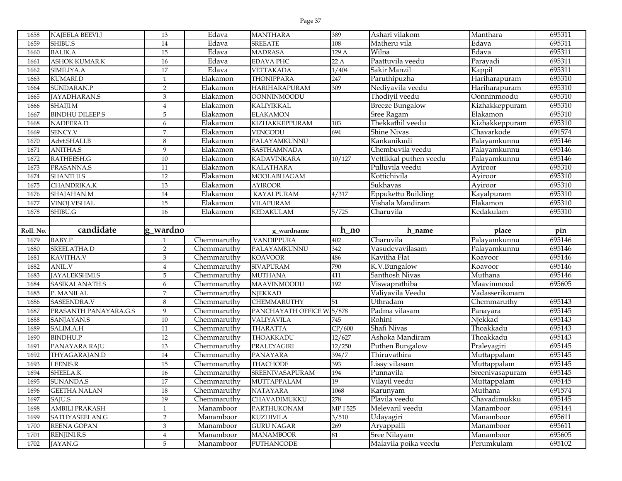| 1658         | NAJEELA BEEVI.J        | 13                  | Edava                  | <b>MANTHARA</b>                | 389      | Ashari vilakom                       | Manthara                | 695311           |
|--------------|------------------------|---------------------|------------------------|--------------------------------|----------|--------------------------------------|-------------------------|------------------|
| 1659         | SHIBU.S                | 14                  | Edava                  | <b>SREEATE</b>                 | 108      | Matheru vila                         | Edava                   | 695311           |
| 1660         | <b>BALIK.A</b>         | 15                  | Edava                  | <b>MADRASA</b>                 | 129 A    | Wilna                                | Edava                   | 695311           |
| 1661         | <b>ASHOK KUMAR.K</b>   | 16                  | Edava                  | <b>EDAVA PHC</b>               | 22A      | Paattuvila veedu                     | Parayadi                | 695311           |
| 1662         | SIMILIYA.A             | 17                  | Edava                  | VETTAKADA                      | 1/404    | Sakir Manzil                         | Kappil                  | 695311           |
| 1663         | <b>KUMARI.D</b>        | $\mathbf{1}$        | Elakamon               | <b>THONIPPARA</b>              | 247      | Paruthipuzha                         | Hariharapuram           | 695310           |
| 1664         | SUNDARAN.P             | $\overline{2}$      | Elakamon               | <b>HARIHARAPURAM</b>           | 309      | Nediyavila veedu                     | Hariharapuram           | 695310           |
| 1665         | JAYADHARAN.S           | 3                   | Elakamon               | <b>OONNINMOODU</b>             |          | Thodiyil veedu                       | Oonninmoodu             | 695310           |
| 1666         | SHAIJI.M               | $\overline{4}$      | Elakamon               | <b>KALIYIKKAL</b>              |          | <b>Breeze Bungalow</b>               | Kizhakkeppuram          | 695310           |
| 1667         | <b>BINDHU DILEEP.S</b> | 5                   | Elakamon               | <b>ELAKAMON</b>                |          | <b>Sree Ragam</b>                    | Elakamon                | 695310           |
| 1668         | NADEERA.D              | 6                   | Elakamon               | KIZHAKKEPPURAM                 | 103      | Thekkathil veedu                     | Kizhakkeppuram          | 695310           |
| 1669         | SENCY.V                | $\overline{7}$      | Elakamon               | <b>VENGODU</b>                 | 694      | Shine Nivas                          | Chavarkode              | 691574           |
| 1670         | Advt.SHALI.B           | 8                   | Elakamon               | PALAYAMKUNNU                   |          | Kankanikudi                          | Palayamkunnu            | 695146           |
| 1671         | <b>ANITHA.S</b>        | 9                   | Elakamon               | <b>SASTHAMNADA</b>             |          | Chembuvila veedu                     | Palayamkunnu            | 695146           |
| 1672         | RATHEESH.G             | 10                  | Elakamon               | <b>KADAVINKARA</b>             | 10/127   | Vettikkal puthen veedu               | Palayamkunnu            | 695146           |
| 1673         | PRASANNA.S             | 11                  | Elakamon               | <b>KALATHARA</b>               |          | Pulluvila veedu                      | Aviroor                 | 695310           |
| 1674         | SHANTHI.S              | 12                  | Elakamon               | MOOLABHAGAM                    |          | Kottichivila                         | Ayiroor                 | 695310           |
| 1675         | <b>CHANDRIKA.K</b>     | 13                  | Elakamon               | <b>AYIROOR</b>                 |          | Sukhavas                             | Ayiroor                 | 695310           |
| 1676         | SHAJAHAN.M             | 14                  | Elakamon               | <b>KAYALPURAM</b>              | 4/317    | Eppukettu Building                   | Kayalpuram              | 695310           |
| 1677         | <b>VINOJ VISHAL</b>    | 15                  | Elakamon               | <b>VILAPURAM</b>               |          | Vishala Mandiram                     | Elakamon                | 695310           |
| 1678         | SHIBU.G                | 16                  | Elakamon               | <b>KEDAKULAM</b>               | 5/725    | Charuvila                            | Kedakulam               | 695310           |
|              |                        |                     |                        |                                |          |                                      |                         |                  |
| Roll. No.    | candidate              | g wardno            |                        | g_wardname                     | h no     | h name                               | place                   | pin              |
|              | <b>BABY.P</b>          | $\mathbf{1}$        | Chemmaruthy            |                                |          |                                      |                         |                  |
| 1679         |                        |                     |                        | VANDIPPURA                     | 402      | Charuvila                            | Palayamkunnu            | 695146           |
| 1680         | SREELATHA.D            | 2                   | Chemmaruthy            | PALAYAMKUNNU                   | 342      | Vasudevavilasam                      | Palayamkunnu            | 695146           |
| 1681         | KAVITHA.V              | 3                   | Chemmaruthy            | <b>KOAVOOR</b>                 | 486      | Kavitha Flat                         | Koavoor                 | 695146           |
| 1682         | ANIL.V                 | $\overline{4}$      | Chemmaruthy            | <b>SIVAPURAM</b>               | 790      | K.V.Bungalow                         | Koavoor                 | 695146           |
| 1683         | <b>JAYALEKSHMLS</b>    | 5                   | Chemmaruthy            | <b>MUTHANA</b>                 | 411      | Santhosh Nivas                       | Muthana                 | 695146           |
| 1684         | SASIKALANATH.S         | 6                   | Chemmaruthy            | <b>MAAVINMOODU</b>             | 192      | Viswaprathiba                        | Maavinmood              | 695605           |
| 1685         | P. MANILAL             | 7                   | Chemmaruthy            | <b>NJEKKAD</b>                 |          | Valiyavila Veedu                     | Vadasserikonam          |                  |
| 1686         | <b>SASEENDRA.V</b>     | 8                   | Chemmaruthy            | <b>CHEMMARUTHY</b>             | 51       | Uthradam                             | Chemmaruthy             | 695143           |
| 1687         | PRASANTH PANAYARA.G.S  | 9                   | Chemmaruthy            | PANCHAYATH OFFICE W 5/878      |          | Padma vilasam                        | Panayara                | 695145           |
| 1688         | SANJAYAN.S             | 10                  | Chemmaruthy            | <b>VALIYAVILA</b>              | 745      | Rohini                               | Njekkad                 | 695143           |
| 1689         | SALIM.A.H              | 11                  | Chemmaruthy            | <b>THARATTA</b>                | CP/600   | Shafi Nivas                          | Thoakkadu               | 695143           |
| 1690         | <b>BINDHU.P</b>        | 12                  | Chemmaruthy            | THOAKKADU                      | 12/627   | Ashoka Mandiram                      | Thoakkadu               | 695143           |
| 1691         | PANAYARA RAJU          | 13                  | Chemmaruthy            | PRALEYAGIRI                    | 12/250   | Puthen Bungalow                      | Praleyagiri             | 695145           |
| 1692         | THYAGARAJAN.D          | 14                  | Chemmaruthy            | PANAYARA                       | 394/7    | Thiruvathira                         | Muttappalam             | 695145           |
| 1693         | LEENIS.R               | 15                  | Chemmaruthy            | <b>THACHODE</b>                | 393      | Lissy vilasam                        | Muttappalam             | 695145           |
| 1694         | SHEELA.K               | 16                  | Chemmaruthy            | <b>SREENIVASAPURAM</b>         | 194      | Punnavila                            | Sreenivasapuram         | 695145           |
| 1695         | SUNANDA.S              | 17                  | Chemmaruthy            | MUTTAPPALAM                    | 19       | Vilayil veedu                        | Muttappalam             | 695145           |
| 1696         | <b>GEETHA NALAN</b>    | 18                  | Chemmaruthy            | <b>NATAYARA</b>                | 1068     | Karunyam                             | Muthana                 | 691574           |
| 1697         | SAJU.S                 | 19                  | Chemmaruthy            | CHAVADIMUKKU                   | 278      | Plavila veedu                        | Chavadimukku            | 695145           |
| 1698         | <b>AMBILI PRAKASH</b>  | 1                   | Manamboor              | PARTHUKONAM                    | MP I 525 | Melevaril veedu                      | Manamboor               | 695144           |
| 1699         | SATHYASEELAN.G         | 2                   | Manamboor              | <b>KUZHIVILA</b>               | 3/510    | Udayagiri                            | Manamboor               | 695611           |
| 1700         | <b>REENA GOPAN</b>     | 3                   | Manamboor              | <b>GURU NAGAR</b>              | 269      | Aryappalli                           | Manamboor               | 695611           |
| 1701<br>1702 | RENJINI.R.S<br>JAYAN.G | $\overline{4}$<br>5 | Manamboor<br>Manamboor | <b>MANAMBOOR</b><br>PUTHANCODE | 81       | Sree Nilayam<br>Malavila poika veedu | Manamboor<br>Perumkulam | 695605<br>695102 |